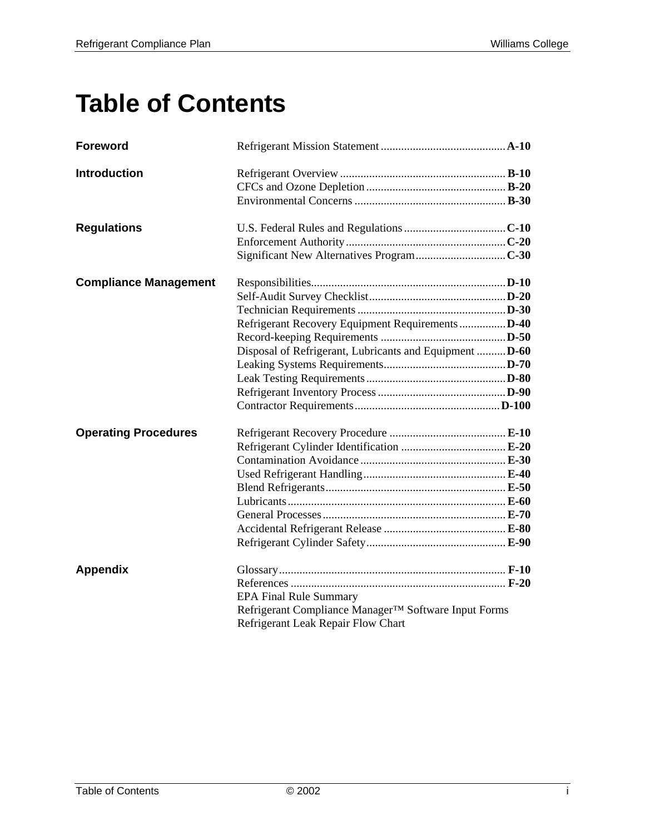# **Table of Contents**

| <b>Foreword</b>              |                                                         |  |
|------------------------------|---------------------------------------------------------|--|
| <b>Introduction</b>          |                                                         |  |
|                              |                                                         |  |
|                              |                                                         |  |
| <b>Regulations</b>           |                                                         |  |
|                              |                                                         |  |
|                              |                                                         |  |
| <b>Compliance Management</b> |                                                         |  |
|                              |                                                         |  |
|                              |                                                         |  |
|                              | Refrigerant Recovery Equipment Requirements D-40        |  |
|                              |                                                         |  |
|                              | Disposal of Refrigerant, Lubricants and Equipment  D-60 |  |
|                              |                                                         |  |
|                              |                                                         |  |
|                              |                                                         |  |
|                              |                                                         |  |
| <b>Operating Procedures</b>  |                                                         |  |
|                              |                                                         |  |
|                              |                                                         |  |
|                              |                                                         |  |
|                              |                                                         |  |
|                              |                                                         |  |
|                              |                                                         |  |
|                              |                                                         |  |
|                              |                                                         |  |
| <b>Appendix</b>              |                                                         |  |
|                              |                                                         |  |
|                              | <b>EPA Final Rule Summary</b>                           |  |
|                              | Refrigerant Compliance Manager™ Software Input Forms    |  |
|                              | Refrigerant Leak Repair Flow Chart                      |  |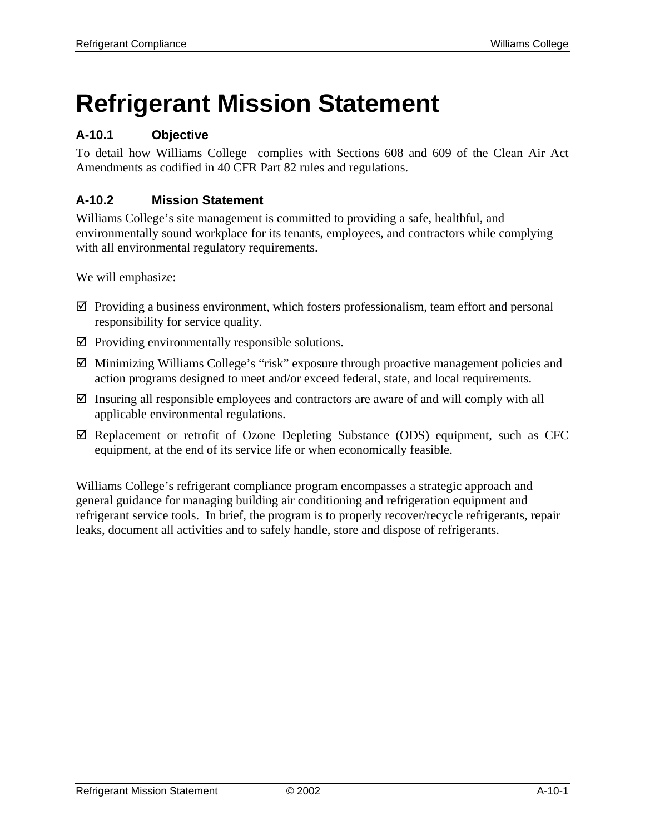# **Refrigerant Mission Statement**

## **A-10.1 Objective**

To detail how Williams College complies with Sections 608 and 609 of the Clean Air Act Amendments as codified in 40 CFR Part 82 rules and regulations.

## **A-10.2 Mission Statement**

Williams College's site management is committed to providing a safe, healthful, and environmentally sound workplace for its tenants, employees, and contractors while complying with all environmental regulatory requirements.

We will emphasize:

- $\boxtimes$  Providing a business environment, which fosters professionalism, team effort and personal responsibility for service quality.
- $\boxtimes$  Providing environmentally responsible solutions.
- $\boxtimes$  Minimizing Williams College's "risk" exposure through proactive management policies and action programs designed to meet and/or exceed federal, state, and local requirements.
- $\boxtimes$  Insuring all responsible employees and contractors are aware of and will comply with all applicable environmental regulations.
- $\boxtimes$  Replacement or retrofit of Ozone Depleting Substance (ODS) equipment, such as CFC equipment, at the end of its service life or when economically feasible.

Williams College's refrigerant compliance program encompasses a strategic approach and general guidance for managing building air conditioning and refrigeration equipment and refrigerant service tools. In brief, the program is to properly recover/recycle refrigerants, repair leaks, document all activities and to safely handle, store and dispose of refrigerants.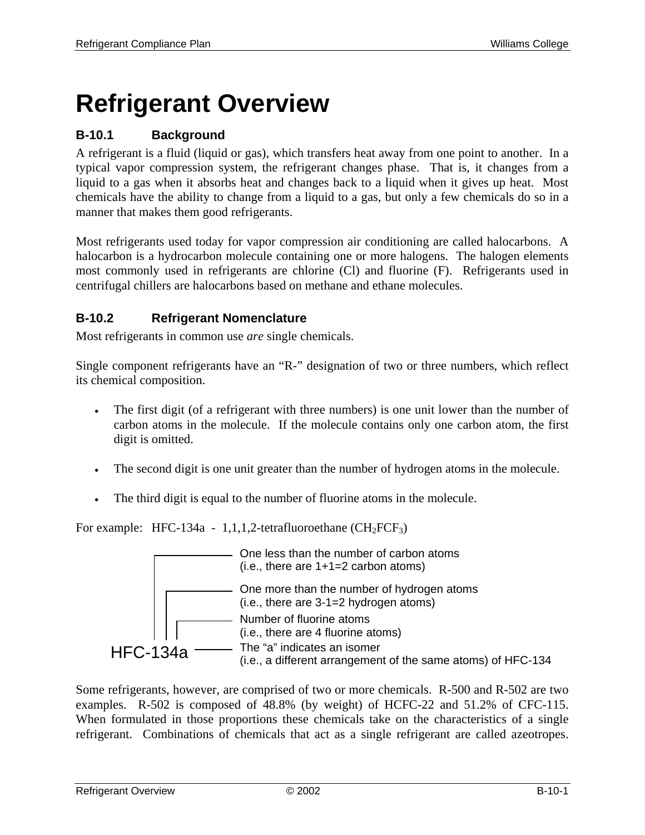# **Refrigerant Overview**

## **B-10.1 Background**

A refrigerant is a fluid (liquid or gas), which transfers heat away from one point to another. In a typical vapor compression system, the refrigerant changes phase. That is, it changes from a liquid to a gas when it absorbs heat and changes back to a liquid when it gives up heat. Most chemicals have the ability to change from a liquid to a gas, but only a few chemicals do so in a manner that makes them good refrigerants.

Most refrigerants used today for vapor compression air conditioning are called halocarbons. A halocarbon is a hydrocarbon molecule containing one or more halogens. The halogen elements most commonly used in refrigerants are chlorine (Cl) and fluorine (F). Refrigerants used in centrifugal chillers are halocarbons based on methane and ethane molecules.

## **B-10.2 Refrigerant Nomenclature**

Most refrigerants in common use *are* single chemicals.

Single component refrigerants have an "R-" designation of two or three numbers, which reflect its chemical composition.

- The first digit (of a refrigerant with three numbers) is one unit lower than the number of carbon atoms in the molecule. If the molecule contains only one carbon atom, the first digit is omitted.
- The second digit is one unit greater than the number of hydrogen atoms in the molecule.
- The third digit is equal to the number of fluorine atoms in the molecule.

For example: HFC-134a - 1,1,1,2-tetrafluoroethane  $(CH_2FCF_3)$ 



Some refrigerants, however, are comprised of two or more chemicals. R-500 and R-502 are two examples. R-502 is composed of 48.8% (by weight) of HCFC-22 and 51.2% of CFC-115. When formulated in those proportions these chemicals take on the characteristics of a single refrigerant. Combinations of chemicals that act as a single refrigerant are called azeotropes.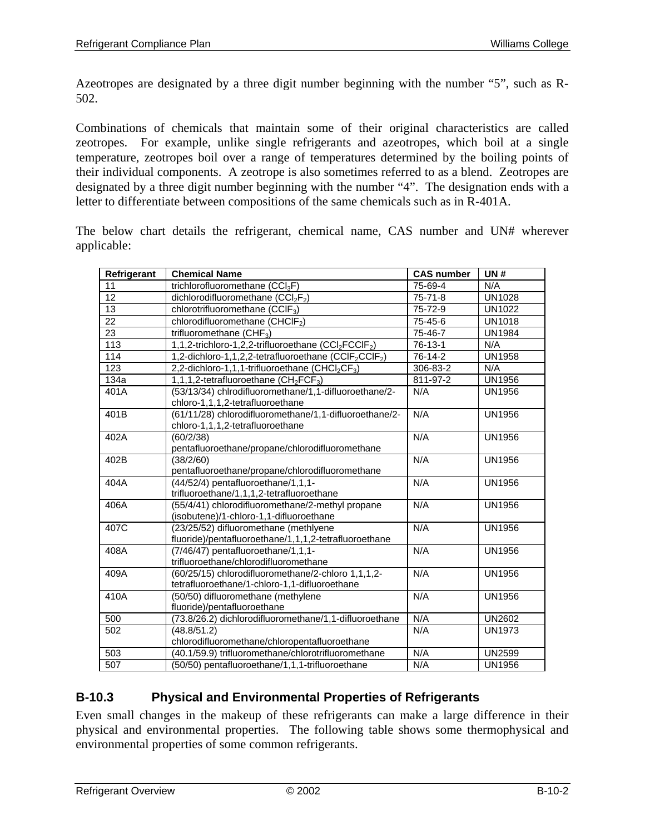Azeotropes are designated by a three digit number beginning with the number "5", such as R-502.

Combinations of chemicals that maintain some of their original characteristics are called zeotropes. For example, unlike single refrigerants and azeotropes, which boil at a single temperature, zeotropes boil over a range of temperatures determined by the boiling points of their individual components. A zeotrope is also sometimes referred to as a blend. Zeotropes are designated by a three digit number beginning with the number "4". The designation ends with a letter to differentiate between compositions of the same chemicals such as in R-401A.

The below chart details the refrigerant, chemical name, CAS number and UN# wherever applicable:

| Refrigerant     | <b>Chemical Name</b>                                                                                | <b>CAS number</b> | <b>UN#</b>    |
|-----------------|-----------------------------------------------------------------------------------------------------|-------------------|---------------|
| 11              | trichlorofluoromethane (CCI <sub>3</sub> F)                                                         | 75-69-4           | N/A           |
| $\overline{12}$ | dichlorodifluoromethane (CCl <sub>2</sub> F <sub>2</sub> )                                          | $75 - 71 - 8$     | <b>UN1028</b> |
| $\overline{13}$ | chlorotrifluoromethane (CCIF <sub>3</sub> )                                                         | 75-72-9           | <b>UN1022</b> |
| 22              | chlorodifluoromethane (CHCIF <sub>2</sub> )                                                         | 75-45-6           | <b>UN1018</b> |
| 23              | trifluoromethane (CHF <sub>3</sub> )                                                                | 75-46-7           | <b>UN1984</b> |
| 113             | 1,1,2-trichloro-1,2,2-trifluoroethane (CCl <sub>2</sub> FCCIF <sub>2</sub> )                        | 76-13-1           | N/A           |
| 114             | 1,2-dichloro-1,1,2,2-tetrafluoroethane (CCIF <sub>2</sub> CCIF <sub>2</sub> )                       | 76-14-2           | <b>UN1958</b> |
| 123             | 2,2-dichloro-1,1,1-trifluoroethane (CHCl <sub>2</sub> CF <sub>3</sub> )                             | 306-83-2          | N/A           |
| 134a            | 1,1,1,2-tetrafluoroethane $(CH_2FCF_3)$                                                             | 811-97-2          | <b>UN1956</b> |
| 401A            | (53/13/34) chlrodifluoromethane/1,1-difluoroethane/2-                                               | N/A               | <b>UN1956</b> |
|                 | chloro-1,1,1,2-tetrafluoroethane                                                                    |                   |               |
| 401B            | (61/11/28) chlorodifluoromethane/1,1-difluoroethane/2-                                              | N/A               | <b>UN1956</b> |
|                 | chloro-1,1,1,2-tetrafluoroethane                                                                    |                   |               |
| 402A            | (60/2/38)                                                                                           | N/A               | <b>UN1956</b> |
|                 | pentafluoroethane/propane/chlorodifluoromethane                                                     |                   |               |
| 402B            | (38/2/60)                                                                                           | N/A               | <b>UN1956</b> |
|                 | pentafluoroethane/propane/chlorodifluoromethane                                                     |                   |               |
| 404A            | (44/52/4) pentafluoroethane/1,1,1-                                                                  | N/A               | <b>UN1956</b> |
|                 | trifluoroethane/1,1,1,2-tetrafluoroethane                                                           |                   |               |
| 406A            | (55/4/41) chlorodifluoromethane/2-methyl propane                                                    | N/A               | <b>UN1956</b> |
|                 | (isobutene)/1-chloro-1,1-difluoroethane                                                             |                   |               |
| 407C            | (23/25/52) difluoromethane (methlyene                                                               | N/A               | <b>UN1956</b> |
|                 | fluoride)/pentafluoroethane/1,1,1,2-tetrafluoroethane                                               |                   |               |
| 408A            | (7/46/47) pentafluoroethane/1,1,1-                                                                  | N/A               | <b>UN1956</b> |
|                 | trifluoroethane/chlorodifluoromethane                                                               |                   |               |
| 409A            | (60/25/15) chlorodifluoromethane/2-chloro 1,1,1,2-<br>tetrafluoroethane/1-chloro-1,1-difluoroethane | N/A               | <b>UN1956</b> |
| 410A            | (50/50) difluoromethane (methylene                                                                  | N/A               | <b>UN1956</b> |
|                 | fluoride)/pentafluoroethane                                                                         |                   |               |
| 500             | (73.8/26.2) dichlorodifluoromethane/1,1-difluoroethane                                              | N/A               | <b>UN2602</b> |
| 502             | (48.8/51.2)                                                                                         | N/A               | <b>UN1973</b> |
|                 | chlorodifluoromethane/chloropentafluoroethane                                                       |                   |               |
| 503             | (40.1/59.9) trifluoromethane/chlorotrifluoromethane                                                 | N/A               | <b>UN2599</b> |
| 507             | (50/50) pentafluoroethane/1,1,1-trifluoroethane                                                     | N/A               | <b>UN1956</b> |
|                 |                                                                                                     |                   |               |

#### **B-10.3 Physical and Environmental Properties of Refrigerants**

Even small changes in the makeup of these refrigerants can make a large difference in their physical and environmental properties. The following table shows some thermophysical and environmental properties of some common refrigerants.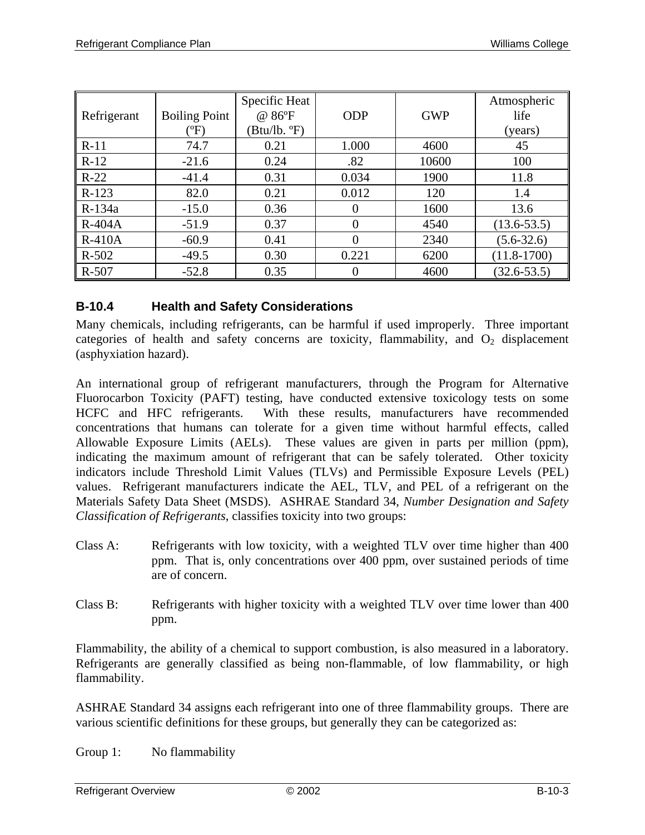|             |                      | Specific Heat |            |            | Atmospheric     |
|-------------|----------------------|---------------|------------|------------|-----------------|
| Refrigerant | <b>Boiling Point</b> | @ 86°F        | <b>ODP</b> | <b>GWP</b> | life            |
|             | $({}^o\mathrm{F})$   | (Btu/lb. °F)  |            |            | (years)         |
| $R-11$      | 74.7                 | 0.21          | 1.000      | 4600       | 45              |
| $R-12$      | $-21.6$              | 0.24          | .82        | 10600      | 100             |
| $R-22$      | $-41.4$              | 0.31          | 0.034      | 1900       | 11.8            |
| $R-123$     | 82.0                 | 0.21          | 0.012      | 120        | 1.4             |
| R-134a      | $-15.0$              | 0.36          | $\theta$   | 1600       | 13.6            |
| $R-404A$    | $-51.9$              | 0.37          | $\theta$   | 4540       | $(13.6 - 53.5)$ |
| $R-410A$    | $-60.9$              | 0.41          | $\theta$   | 2340       | $(5.6-32.6)$    |
| $R - 502$   | $-49.5$              | 0.30          | 0.221      | 6200       | $(11.8 - 1700)$ |
| $R - 507$   | $-52.8$              | 0.35          | $\theta$   | 4600       | $(32.6 - 53.5)$ |

#### **B-10.4 Health and Safety Considerations**

Many chemicals, including refrigerants, can be harmful if used improperly. Three important categories of health and safety concerns are toxicity, flammability, and  $O_2$  displacement (asphyxiation hazard).

An international group of refrigerant manufacturers, through the Program for Alternative Fluorocarbon Toxicity (PAFT) testing, have conducted extensive toxicology tests on some HCFC and HFC refrigerants. With these results, manufacturers have recommended concentrations that humans can tolerate for a given time without harmful effects, called Allowable Exposure Limits (AELs). These values are given in parts per million (ppm), indicating the maximum amount of refrigerant that can be safely tolerated. Other toxicity indicators include Threshold Limit Values (TLVs) and Permissible Exposure Levels (PEL) values. Refrigerant manufacturers indicate the AEL, TLV, and PEL of a refrigerant on the Materials Safety Data Sheet (MSDS). ASHRAE Standard 34, *Number Designation and Safety Classification of Refrigerants*, classifies toxicity into two groups:

- Class A: Refrigerants with low toxicity, with a weighted TLV over time higher than 400 ppm. That is, only concentrations over 400 ppm, over sustained periods of time are of concern.
- Class B: Refrigerants with higher toxicity with a weighted TLV over time lower than 400 ppm.

Flammability, the ability of a chemical to support combustion, is also measured in a laboratory. Refrigerants are generally classified as being non-flammable, of low flammability, or high flammability.

ASHRAE Standard 34 assigns each refrigerant into one of three flammability groups. There are various scientific definitions for these groups, but generally they can be categorized as:

Group 1: No flammability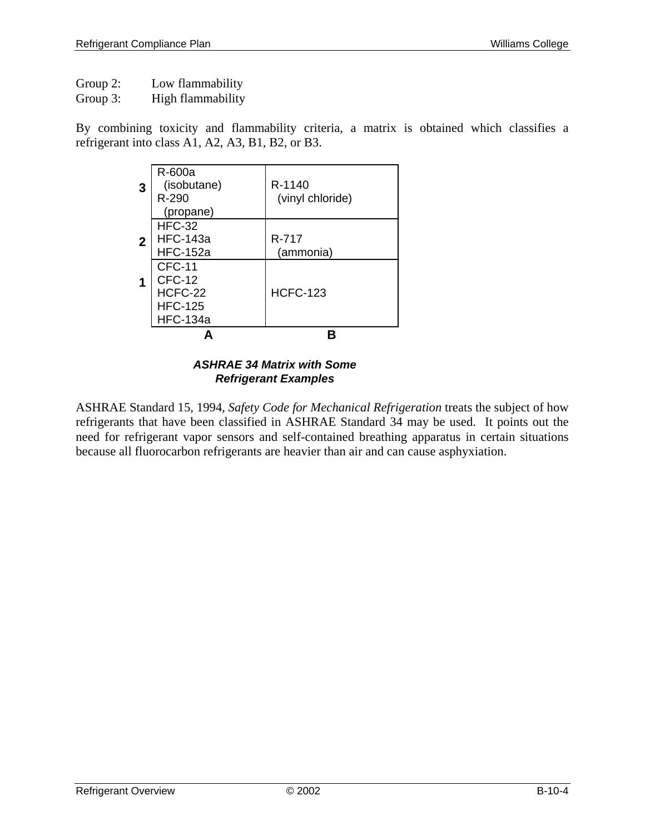Group 2: Low flammability

Group 3: High flammability

By combining toxicity and flammability criteria, a matrix is obtained which classifies a refrigerant into class A1, A2, A3, B1, B2, or B3.

|   | <b>HFC-134a</b> |                  |
|---|-----------------|------------------|
|   | <b>HFC-125</b>  |                  |
|   | HCFC-22         | <b>HCFC-123</b>  |
|   | CFC-12          |                  |
|   | <b>CFC-11</b>   |                  |
|   | <b>HFC-152a</b> | (ammonia)        |
| 2 | <b>HFC-143a</b> | R-717            |
|   | <b>HFC-32</b>   |                  |
|   | (propane)       |                  |
|   | $R - 290$       | (vinyl chloride) |
| 3 | (isobutane)     | R-1140           |
|   | R-600a          |                  |
|   |                 |                  |

#### *ASHRAE 34 Matrix with Some Refrigerant Examples*

ASHRAE Standard 15, 1994, *Safety Code for Mechanical Refrigeration* treats the subject of how refrigerants that have been classified in ASHRAE Standard 34 may be used. It points out the need for refrigerant vapor sensors and self-contained breathing apparatus in certain situations because all fluorocarbon refrigerants are heavier than air and can cause asphyxiation.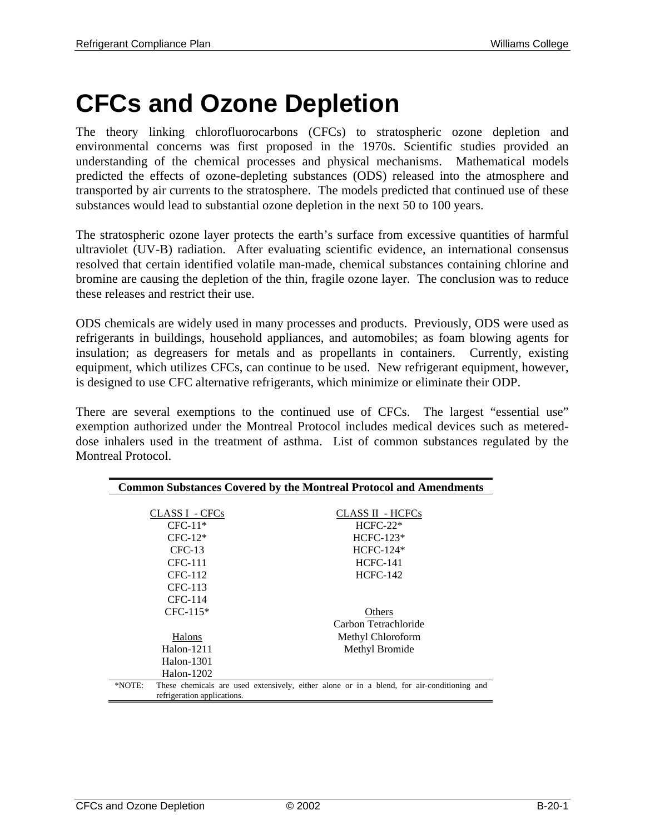## **CFCs and Ozone Depletion**

The theory linking chlorofluorocarbons (CFCs) to stratospheric ozone depletion and environmental concerns was first proposed in the 1970s. Scientific studies provided an understanding of the chemical processes and physical mechanisms. Mathematical models predicted the effects of ozone-depleting substances (ODS) released into the atmosphere and transported by air currents to the stratosphere. The models predicted that continued use of these substances would lead to substantial ozone depletion in the next 50 to 100 years.

The stratospheric ozone layer protects the earth's surface from excessive quantities of harmful ultraviolet (UV-B) radiation. After evaluating scientific evidence, an international consensus resolved that certain identified volatile man-made, chemical substances containing chlorine and bromine are causing the depletion of the thin, fragile ozone layer. The conclusion was to reduce these releases and restrict their use.

ODS chemicals are widely used in many processes and products. Previously, ODS were used as refrigerants in buildings, household appliances, and automobiles; as foam blowing agents for insulation; as degreasers for metals and as propellants in containers. Currently, existing equipment, which utilizes CFCs, can continue to be used. New refrigerant equipment, however, is designed to use CFC alternative refrigerants, which minimize or eliminate their ODP.

There are several exemptions to the continued use of CFCs. The largest "essential use" exemption authorized under the Montreal Protocol includes medical devices such as metereddose inhalers used in the treatment of asthma. List of common substances regulated by the Montreal Protocol.

|        |                             | <b>Common Substances Covered by the Montreal Protocol and Amendments</b>                   |
|--------|-----------------------------|--------------------------------------------------------------------------------------------|
|        |                             |                                                                                            |
|        | CLASS I - CFCs              | CLASS II - HCFCs                                                                           |
|        | $CFC-11*$                   | $HCFC-22*$                                                                                 |
|        | $CFC-12*$                   | $HCFC-123*$                                                                                |
|        | $CFC-13$                    | $HCFC-124*$                                                                                |
|        | <b>CFC-111</b>              | <b>HCFC-141</b>                                                                            |
|        | CFC-112                     | <b>HCFC-142</b>                                                                            |
|        | CFC-113                     |                                                                                            |
|        | CFC-114                     |                                                                                            |
|        | $CFC-115*$                  | Others                                                                                     |
|        |                             | Carbon Tetrachloride                                                                       |
|        | Halons                      | Methyl Chloroform                                                                          |
|        | $H$ alon-1211               | Methyl Bromide                                                                             |
|        | Halon-1301                  |                                                                                            |
|        | Halon-1202                  |                                                                                            |
| *NOTE: | refrigeration applications. | These chemicals are used extensively, either alone or in a blend, for air-conditioning and |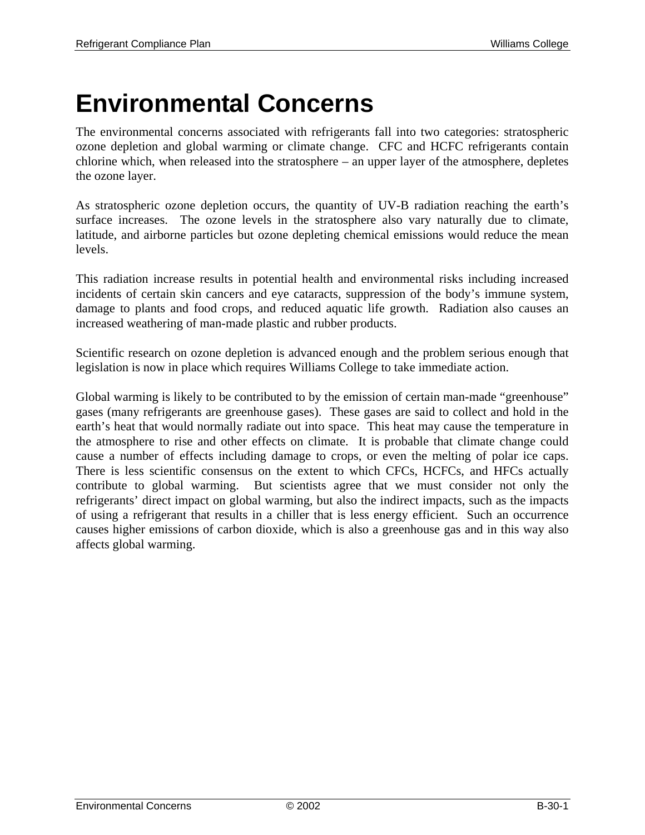# **Environmental Concerns**

The environmental concerns associated with refrigerants fall into two categories: stratospheric ozone depletion and global warming or climate change. CFC and HCFC refrigerants contain chlorine which, when released into the stratosphere – an upper layer of the atmosphere, depletes the ozone layer.

As stratospheric ozone depletion occurs, the quantity of UV-B radiation reaching the earth's surface increases. The ozone levels in the stratosphere also vary naturally due to climate, latitude, and airborne particles but ozone depleting chemical emissions would reduce the mean levels.

This radiation increase results in potential health and environmental risks including increased incidents of certain skin cancers and eye cataracts, suppression of the body's immune system, damage to plants and food crops, and reduced aquatic life growth. Radiation also causes an increased weathering of man-made plastic and rubber products.

Scientific research on ozone depletion is advanced enough and the problem serious enough that legislation is now in place which requires Williams College to take immediate action.

Global warming is likely to be contributed to by the emission of certain man-made "greenhouse" gases (many refrigerants are greenhouse gases). These gases are said to collect and hold in the earth's heat that would normally radiate out into space. This heat may cause the temperature in the atmosphere to rise and other effects on climate. It is probable that climate change could cause a number of effects including damage to crops, or even the melting of polar ice caps. There is less scientific consensus on the extent to which CFCs, HCFCs, and HFCs actually contribute to global warming. But scientists agree that we must consider not only the refrigerants' direct impact on global warming, but also the indirect impacts, such as the impacts of using a refrigerant that results in a chiller that is less energy efficient. Such an occurrence causes higher emissions of carbon dioxide, which is also a greenhouse gas and in this way also affects global warming.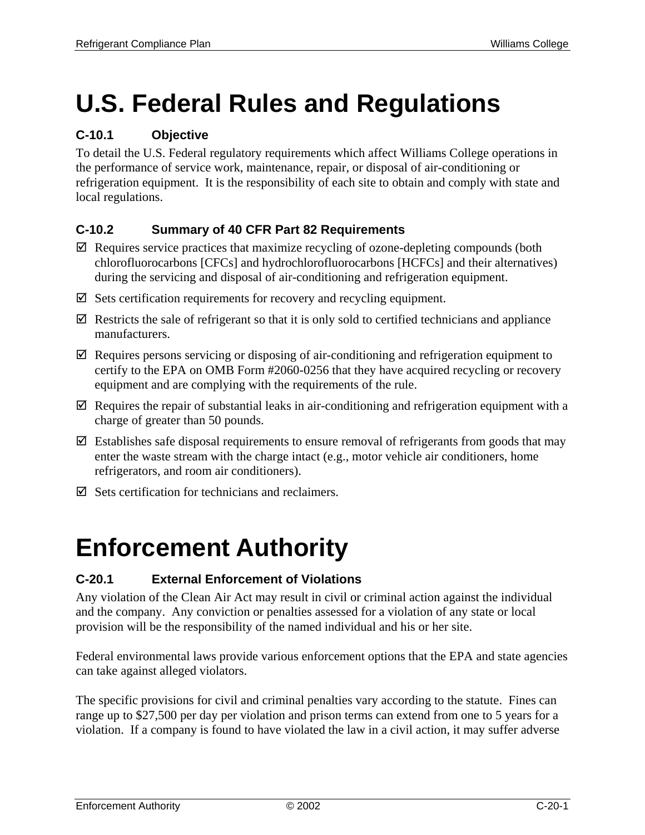# **U.S. Federal Rules and Regulations**

## **C-10.1 Objective**

To detail the U.S. Federal regulatory requirements which affect Williams College operations in the performance of service work, maintenance, repair, or disposal of air-conditioning or refrigeration equipment. It is the responsibility of each site to obtain and comply with state and local regulations.

## **C-10.2 Summary of 40 CFR Part 82 Requirements**

- $\boxtimes$  Requires service practices that maximize recycling of ozone-depleting compounds (both chlorofluorocarbons [CFCs] and hydrochlorofluorocarbons [HCFCs] and their alternatives) during the servicing and disposal of air-conditioning and refrigeration equipment.
- $\boxtimes$  Sets certification requirements for recovery and recycling equipment.
- $\boxtimes$  Restricts the sale of refrigerant so that it is only sold to certified technicians and appliance manufacturers.
- $\boxtimes$  Requires persons servicing or disposing of air-conditioning and refrigeration equipment to certify to the EPA on OMB Form #2060-0256 that they have acquired recycling or recovery equipment and are complying with the requirements of the rule.
- $\boxtimes$  Requires the repair of substantial leaks in air-conditioning and refrigeration equipment with a charge of greater than 50 pounds.
- $\boxtimes$  Establishes safe disposal requirements to ensure removal of refrigerants from goods that may enter the waste stream with the charge intact (e.g., motor vehicle air conditioners, home refrigerators, and room air conditioners).
- $\boxtimes$  Sets certification for technicians and reclaimers.

# **Enforcement Authority**

## **C-20.1 External Enforcement of Violations**

Any violation of the Clean Air Act may result in civil or criminal action against the individual and the company. Any conviction or penalties assessed for a violation of any state or local provision will be the responsibility of the named individual and his or her site.

Federal environmental laws provide various enforcement options that the EPA and state agencies can take against alleged violators.

The specific provisions for civil and criminal penalties vary according to the statute. Fines can range up to \$27,500 per day per violation and prison terms can extend from one to 5 years for a violation. If a company is found to have violated the law in a civil action, it may suffer adverse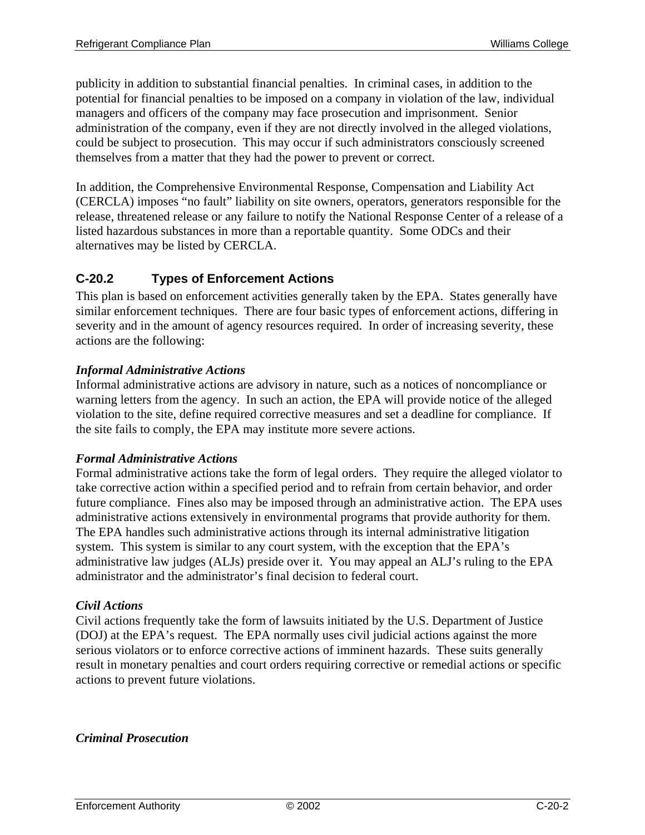publicity in addition to substantial financial penalties. In criminal cases, in addition to the potential for financial penalties to be imposed on a company in violation of the law, individual managers and officers of the company may face prosecution and imprisonment. Senior administration of the company, even if they are not directly involved in the alleged violations, could be subject to prosecution. This may occur if such administrators consciously screened themselves from a matter that they had the power to prevent or correct.

In addition, the Comprehensive Environmental Response, Compensation and Liability Act (CERCLA) imposes "no fault" liability on site owners, operators, generators responsible for the release, threatened release or any failure to notify the National Response Center of a release of a listed hazardous substances in more than a reportable quantity. Some ODCs and their alternatives may be listed by CERCLA.

## **C-20.2 Types of Enforcement Actions**

This plan is based on enforcement activities generally taken by the EPA. States generally have similar enforcement techniques. There are four basic types of enforcement actions, differing in severity and in the amount of agency resources required. In order of increasing severity, these actions are the following:

#### *Informal Administrative Actions*

Informal administrative actions are advisory in nature, such as a notices of noncompliance or warning letters from the agency. In such an action, the EPA will provide notice of the alleged violation to the site, define required corrective measures and set a deadline for compliance. If the site fails to comply, the EPA may institute more severe actions.

#### *Formal Administrative Actions*

Formal administrative actions take the form of legal orders. They require the alleged violator to take corrective action within a specified period and to refrain from certain behavior, and order future compliance. Fines also may be imposed through an administrative action. The EPA uses administrative actions extensively in environmental programs that provide authority for them. The EPA handles such administrative actions through its internal administrative litigation system. This system is similar to any court system, with the exception that the EPA's administrative law judges (ALJs) preside over it. You may appeal an ALJ's ruling to the EPA administrator and the administrator's final decision to federal court.

#### *Civil Actions*

Civil actions frequently take the form of lawsuits initiated by the U.S. Department of Justice (DOJ) at the EPA's request. The EPA normally uses civil judicial actions against the more serious violators or to enforce corrective actions of imminent hazards. These suits generally result in monetary penalties and court orders requiring corrective or remedial actions or specific actions to prevent future violations.

#### *Criminal Prosecution*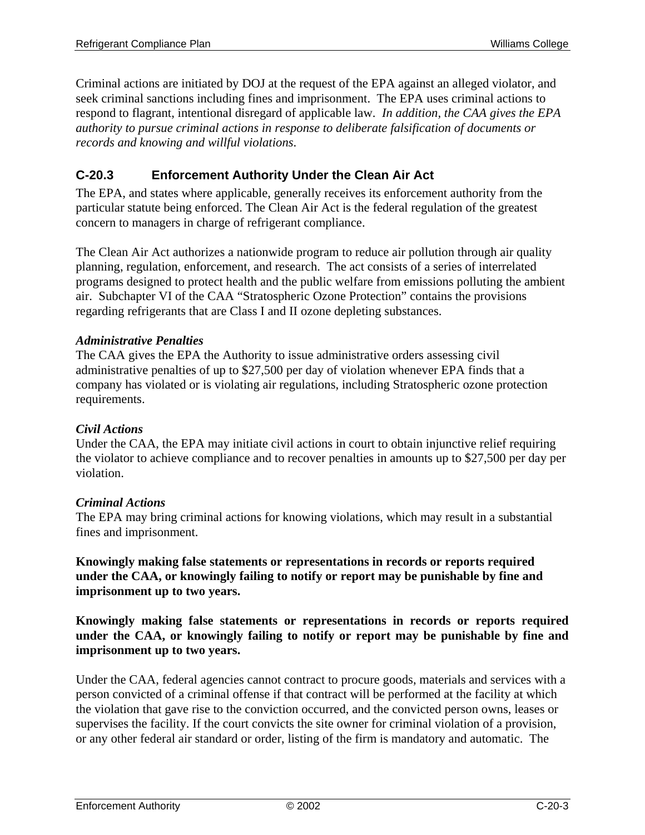Criminal actions are initiated by DOJ at the request of the EPA against an alleged violator, and seek criminal sanctions including fines and imprisonment. The EPA uses criminal actions to respond to flagrant, intentional disregard of applicable law. *In addition, the CAA gives the EPA authority to pursue criminal actions in response to deliberate falsification of documents or records and knowing and willful violations*.

## **C-20.3 Enforcement Authority Under the Clean Air Act**

The EPA, and states where applicable, generally receives its enforcement authority from the particular statute being enforced. The Clean Air Act is the federal regulation of the greatest concern to managers in charge of refrigerant compliance.

The Clean Air Act authorizes a nationwide program to reduce air pollution through air quality planning, regulation, enforcement, and research. The act consists of a series of interrelated programs designed to protect health and the public welfare from emissions polluting the ambient air. Subchapter VI of the CAA "Stratospheric Ozone Protection" contains the provisions regarding refrigerants that are Class I and II ozone depleting substances.

#### *Administrative Penalties*

The CAA gives the EPA the Authority to issue administrative orders assessing civil administrative penalties of up to \$27,500 per day of violation whenever EPA finds that a company has violated or is violating air regulations, including Stratospheric ozone protection requirements.

#### *Civil Actions*

Under the CAA, the EPA may initiate civil actions in court to obtain injunctive relief requiring the violator to achieve compliance and to recover penalties in amounts up to \$27,500 per day per violation.

#### *Criminal Actions*

The EPA may bring criminal actions for knowing violations, which may result in a substantial fines and imprisonment.

**Knowingly making false statements or representations in records or reports required under the CAA, or knowingly failing to notify or report may be punishable by fine and imprisonment up to two years.** 

**Knowingly making false statements or representations in records or reports required under the CAA, or knowingly failing to notify or report may be punishable by fine and imprisonment up to two years.** 

Under the CAA, federal agencies cannot contract to procure goods, materials and services with a person convicted of a criminal offense if that contract will be performed at the facility at which the violation that gave rise to the conviction occurred, and the convicted person owns, leases or supervises the facility. If the court convicts the site owner for criminal violation of a provision, or any other federal air standard or order, listing of the firm is mandatory and automatic. The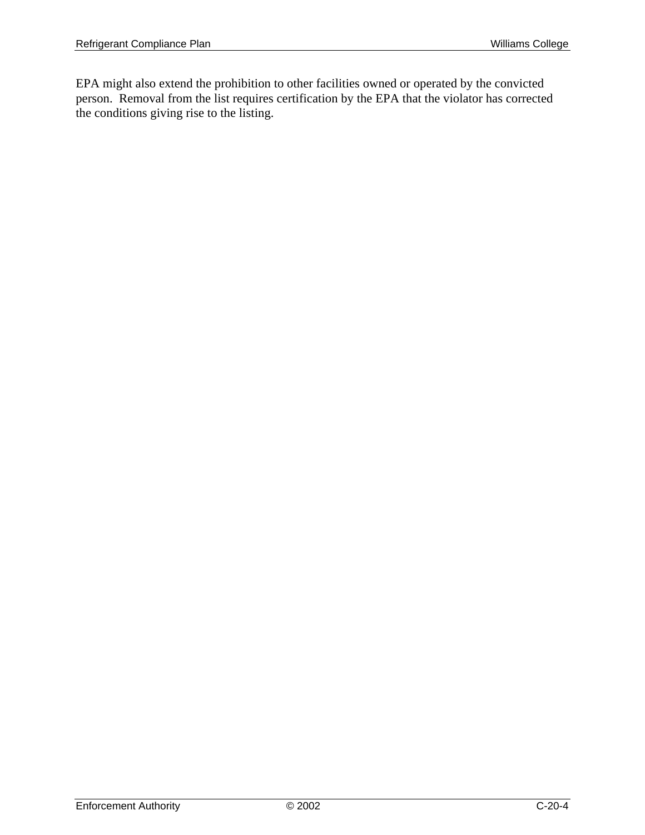EPA might also extend the prohibition to other facilities owned or operated by the convicted person. Removal from the list requires certification by the EPA that the violator has corrected the conditions giving rise to the listing.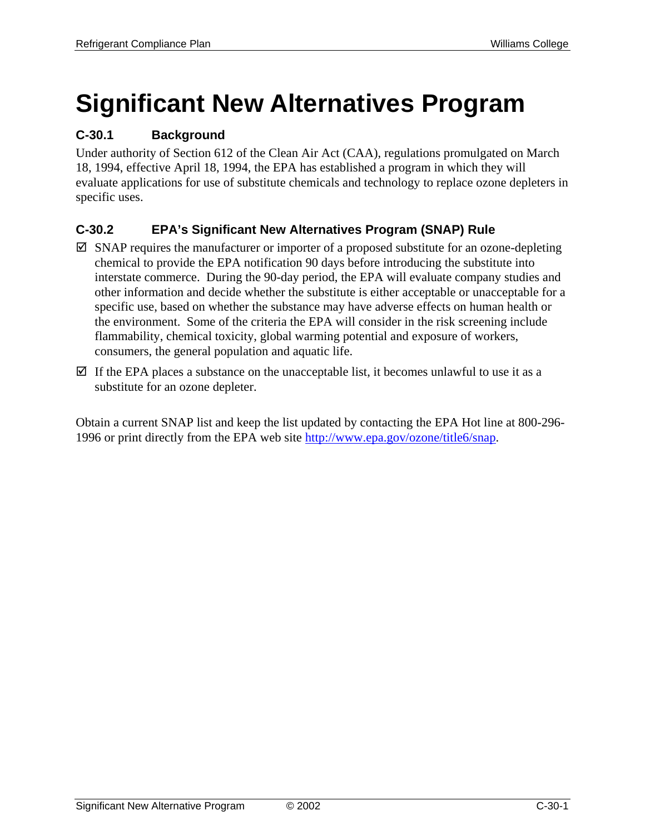# **Significant New Alternatives Program**

## **C-30.1 Background**

Under authority of Section 612 of the Clean Air Act (CAA), regulations promulgated on March 18, 1994, effective April 18, 1994, the EPA has established a program in which they will evaluate applications for use of substitute chemicals and technology to replace ozone depleters in specific uses.

## **C-30.2 EPA's Significant New Alternatives Program (SNAP) Rule**

- $\boxtimes$  SNAP requires the manufacturer or importer of a proposed substitute for an ozone-depleting chemical to provide the EPA notification 90 days before introducing the substitute into interstate commerce. During the 90-day period, the EPA will evaluate company studies and other information and decide whether the substitute is either acceptable or unacceptable for a specific use, based on whether the substance may have adverse effects on human health or the environment. Some of the criteria the EPA will consider in the risk screening include flammability, chemical toxicity, global warming potential and exposure of workers, consumers, the general population and aquatic life.
- $\boxtimes$  If the EPA places a substance on the unacceptable list, it becomes unlawful to use it as a substitute for an ozone depleter.

Obtain a current SNAP list and keep the list updated by contacting the EPA Hot line at 800-296- 1996 or print directly from the EPA web site http://www.epa.gov/ozone/title6/snap.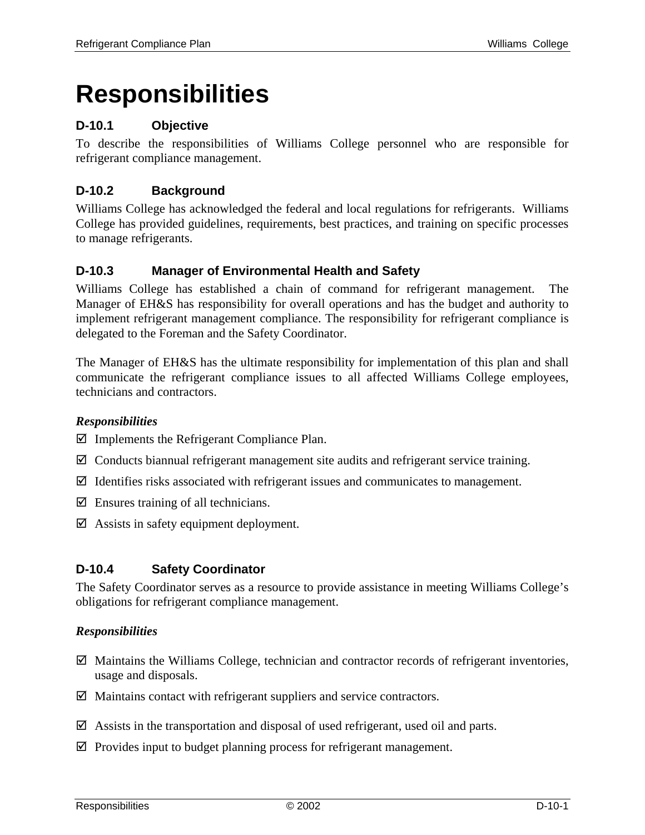## **Responsibilities**

## **D-10.1 Objective**

To describe the responsibilities of Williams College personnel who are responsible for refrigerant compliance management.

## **D-10.2 Background**

Williams College has acknowledged the federal and local regulations for refrigerants. Williams College has provided guidelines, requirements, best practices, and training on specific processes to manage refrigerants.

#### **D-10.3 Manager of Environmental Health and Safety**

Williams College has established a chain of command for refrigerant management. The Manager of EH&S has responsibility for overall operations and has the budget and authority to implement refrigerant management compliance. The responsibility for refrigerant compliance is delegated to the Foreman and the Safety Coordinator.

The Manager of EH&S has the ultimate responsibility for implementation of this plan and shall communicate the refrigerant compliance issues to all affected Williams College employees, technicians and contractors.

#### *Responsibilities*

 $\boxtimes$  Implements the Refrigerant Compliance Plan.

- $\boxtimes$  Conducts biannual refrigerant management site audits and refrigerant service training.
- $\boxtimes$  Identifies risks associated with refrigerant issues and communicates to management.
- $\boxtimes$  Ensures training of all technicians.
- $\boxtimes$  Assists in safety equipment deployment.

#### **D-10.4 Safety Coordinator**

The Safety Coordinator serves as a resource to provide assistance in meeting Williams College's obligations for refrigerant compliance management.

#### *Responsibilities*

- $\boxtimes$  Maintains the Williams College, technician and contractor records of refrigerant inventories, usage and disposals.
- $\boxtimes$  Maintains contact with refrigerant suppliers and service contractors.
- $\boxtimes$  Assists in the transportation and disposal of used refrigerant, used oil and parts.
- $\boxtimes$  Provides input to budget planning process for refrigerant management.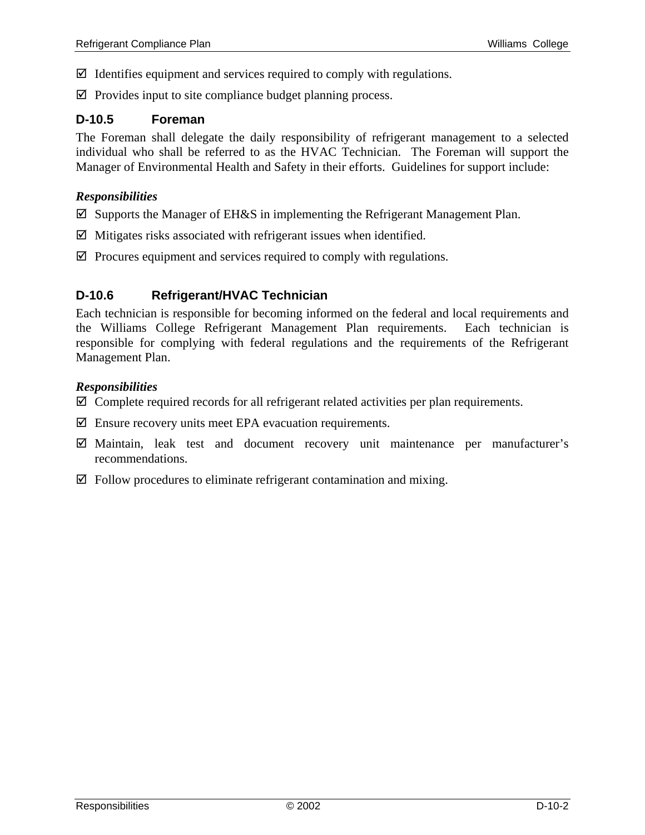- $\boxtimes$  Identifies equipment and services required to comply with regulations.
- $\boxtimes$  Provides input to site compliance budget planning process.

#### **D-10.5 Foreman**

The Foreman shall delegate the daily responsibility of refrigerant management to a selected individual who shall be referred to as the HVAC Technician. The Foreman will support the Manager of Environmental Health and Safety in their efforts. Guidelines for support include:

#### *Responsibilities*

- $\boxtimes$  Supports the Manager of EH&S in implementing the Refrigerant Management Plan.
- $\boxtimes$  Mitigates risks associated with refrigerant issues when identified.
- $\boxtimes$  Procures equipment and services required to comply with regulations.

## **D-10.6 Refrigerant/HVAC Technician**

Each technician is responsible for becoming informed on the federal and local requirements and the Williams College Refrigerant Management Plan requirements. Each technician is responsible for complying with federal regulations and the requirements of the Refrigerant Management Plan.

#### *Responsibilities*

- $\boxtimes$  Complete required records for all refrigerant related activities per plan requirements.
- $\boxtimes$  Ensure recovery units meet EPA evacuation requirements.
- $\boxtimes$  Maintain, leak test and document recovery unit maintenance per manufacturer's recommendations.
- $\boxtimes$  Follow procedures to eliminate refrigerant contamination and mixing.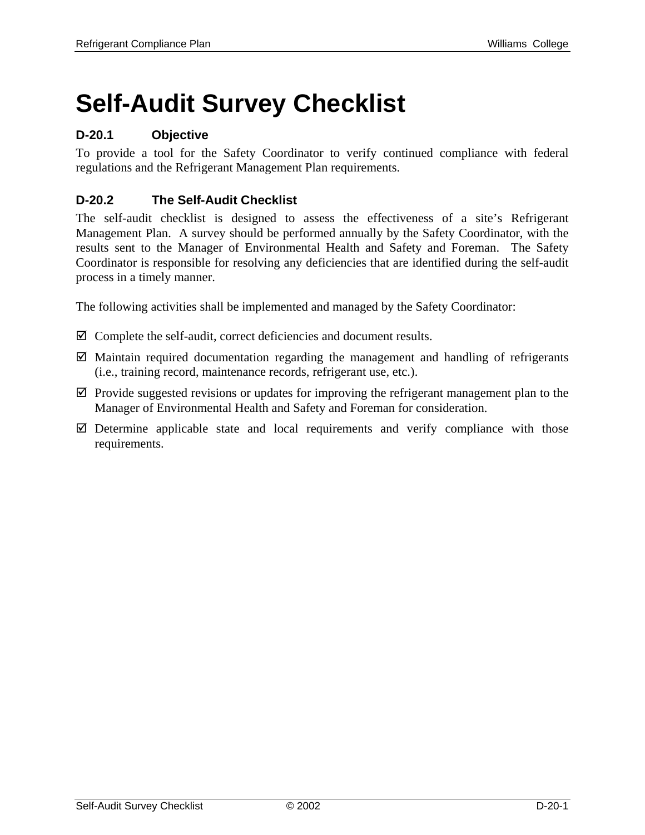# **Self-Audit Survey Checklist**

## **D-20.1 Objective**

To provide a tool for the Safety Coordinator to verify continued compliance with federal regulations and the Refrigerant Management Plan requirements.

## **D-20.2 The Self-Audit Checklist**

The self-audit checklist is designed to assess the effectiveness of a site's Refrigerant Management Plan. A survey should be performed annually by the Safety Coordinator, with the results sent to the Manager of Environmental Health and Safety and Foreman. The Safety Coordinator is responsible for resolving any deficiencies that are identified during the self-audit process in a timely manner.

The following activities shall be implemented and managed by the Safety Coordinator:

- $\boxtimes$  Complete the self-audit, correct deficiencies and document results.
- $\boxtimes$  Maintain required documentation regarding the management and handling of refrigerants (i.e., training record, maintenance records, refrigerant use, etc.).
- $\boxtimes$  Provide suggested revisions or updates for improving the refrigerant management plan to the Manager of Environmental Health and Safety and Foreman for consideration.
- $\boxtimes$  Determine applicable state and local requirements and verify compliance with those requirements.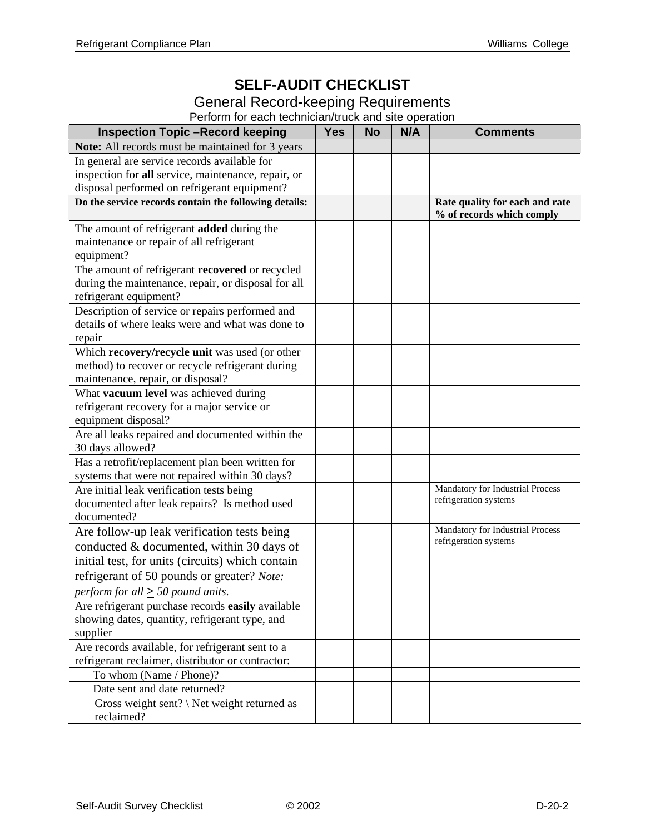## **SELF-AUDIT CHECKLIST**

### General Record-keeping Requirements

Perform for each technician/truck and site operation

| <b>Inspection Topic -Record keeping</b>                                                             | <b>Yes</b> | <b>No</b> | N/A | <b>Comments</b>                                           |
|-----------------------------------------------------------------------------------------------------|------------|-----------|-----|-----------------------------------------------------------|
| Note: All records must be maintained for 3 years                                                    |            |           |     |                                                           |
| In general are service records available for                                                        |            |           |     |                                                           |
| inspection for all service, maintenance, repair, or                                                 |            |           |     |                                                           |
| disposal performed on refrigerant equipment?                                                        |            |           |     |                                                           |
| Do the service records contain the following details:                                               |            |           |     | Rate quality for each and rate                            |
|                                                                                                     |            |           |     | % of records which comply                                 |
| The amount of refrigerant added during the                                                          |            |           |     |                                                           |
| maintenance or repair of all refrigerant                                                            |            |           |     |                                                           |
| equipment?<br>The amount of refrigerant recovered or recycled                                       |            |           |     |                                                           |
| during the maintenance, repair, or disposal for all                                                 |            |           |     |                                                           |
| refrigerant equipment?                                                                              |            |           |     |                                                           |
| Description of service or repairs performed and                                                     |            |           |     |                                                           |
| details of where leaks were and what was done to                                                    |            |           |     |                                                           |
| repair                                                                                              |            |           |     |                                                           |
| Which recovery/recycle unit was used (or other                                                      |            |           |     |                                                           |
| method) to recover or recycle refrigerant during                                                    |            |           |     |                                                           |
| maintenance, repair, or disposal?                                                                   |            |           |     |                                                           |
| What vacuum level was achieved during                                                               |            |           |     |                                                           |
| refrigerant recovery for a major service or                                                         |            |           |     |                                                           |
| equipment disposal?                                                                                 |            |           |     |                                                           |
| Are all leaks repaired and documented within the                                                    |            |           |     |                                                           |
| 30 days allowed?                                                                                    |            |           |     |                                                           |
| Has a retrofit/replacement plan been written for                                                    |            |           |     |                                                           |
| systems that were not repaired within 30 days?                                                      |            |           |     |                                                           |
| Are initial leak verification tests being                                                           |            |           |     | Mandatory for Industrial Process<br>refrigeration systems |
| documented after leak repairs? Is method used<br>documented?                                        |            |           |     |                                                           |
|                                                                                                     |            |           |     | Mandatory for Industrial Process                          |
| Are follow-up leak verification tests being                                                         |            |           |     | refrigeration systems                                     |
| conducted & documented, within 30 days of<br>initial test, for units (circuits) which contain       |            |           |     |                                                           |
|                                                                                                     |            |           |     |                                                           |
| refrigerant of 50 pounds or greater? Note:                                                          |            |           |     |                                                           |
| perform for all $\geq$ 50 pound units.                                                              |            |           |     |                                                           |
| Are refrigerant purchase records easily available<br>showing dates, quantity, refrigerant type, and |            |           |     |                                                           |
| supplier                                                                                            |            |           |     |                                                           |
| Are records available, for refrigerant sent to a                                                    |            |           |     |                                                           |
| refrigerant reclaimer, distributor or contractor:                                                   |            |           |     |                                                           |
| To whom (Name / Phone)?                                                                             |            |           |     |                                                           |
| Date sent and date returned?                                                                        |            |           |     |                                                           |
| Gross weight sent? $\Set{Net weight returned as}$                                                   |            |           |     |                                                           |
| reclaimed?                                                                                          |            |           |     |                                                           |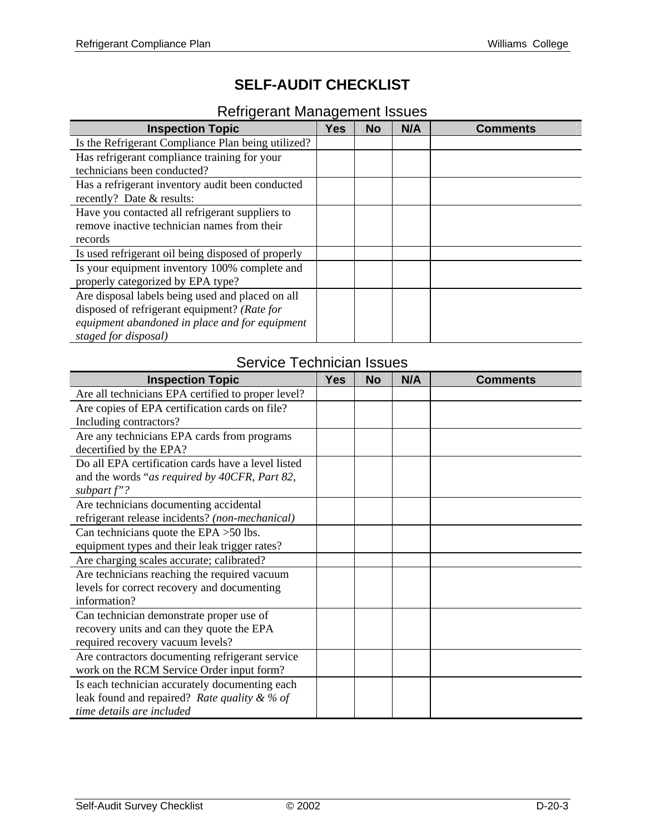## **SELF-AUDIT CHECKLIST**

## Refrigerant Management Issues

| <b>Inspection Topic</b>                            | <b>Yes</b> | <b>No</b> | N/A | <b>Comments</b> |
|----------------------------------------------------|------------|-----------|-----|-----------------|
| Is the Refrigerant Compliance Plan being utilized? |            |           |     |                 |
| Has refrigerant compliance training for your       |            |           |     |                 |
| technicians been conducted?                        |            |           |     |                 |
| Has a refrigerant inventory audit been conducted   |            |           |     |                 |
| recently? Date & results:                          |            |           |     |                 |
| Have you contacted all refrigerant suppliers to    |            |           |     |                 |
| remove inactive technician names from their        |            |           |     |                 |
| records                                            |            |           |     |                 |
| Is used refrigerant oil being disposed of properly |            |           |     |                 |
| Is your equipment inventory 100% complete and      |            |           |     |                 |
| properly categorized by EPA type?                  |            |           |     |                 |
| Are disposal labels being used and placed on all   |            |           |     |                 |
| disposed of refrigerant equipment? (Rate for       |            |           |     |                 |
| equipment abandoned in place and for equipment     |            |           |     |                 |
| staged for disposal)                               |            |           |     |                 |

## Service Technician Issues

| <b>Inspection Topic</b>                            | <b>Yes</b> | <b>No</b> | N/A | <b>Comments</b> |
|----------------------------------------------------|------------|-----------|-----|-----------------|
| Are all technicians EPA certified to proper level? |            |           |     |                 |
| Are copies of EPA certification cards on file?     |            |           |     |                 |
| Including contractors?                             |            |           |     |                 |
| Are any technicians EPA cards from programs        |            |           |     |                 |
| decertified by the EPA?                            |            |           |     |                 |
| Do all EPA certification cards have a level listed |            |           |     |                 |
| and the words "as required by 40CFR, Part 82,      |            |           |     |                 |
| subpart $f$ "?                                     |            |           |     |                 |
| Are technicians documenting accidental             |            |           |     |                 |
| refrigerant release incidents? (non-mechanical)    |            |           |     |                 |
| Can technicians quote the EPA $>50$ lbs.           |            |           |     |                 |
| equipment types and their leak trigger rates?      |            |           |     |                 |
| Are charging scales accurate; calibrated?          |            |           |     |                 |
| Are technicians reaching the required vacuum       |            |           |     |                 |
| levels for correct recovery and documenting        |            |           |     |                 |
| information?                                       |            |           |     |                 |
| Can technician demonstrate proper use of           |            |           |     |                 |
| recovery units and can they quote the EPA          |            |           |     |                 |
| required recovery vacuum levels?                   |            |           |     |                 |
| Are contractors documenting refrigerant service    |            |           |     |                 |
| work on the RCM Service Order input form?          |            |           |     |                 |
| Is each technician accurately documenting each     |            |           |     |                 |
| leak found and repaired? Rate quality & % of       |            |           |     |                 |
| time details are included                          |            |           |     |                 |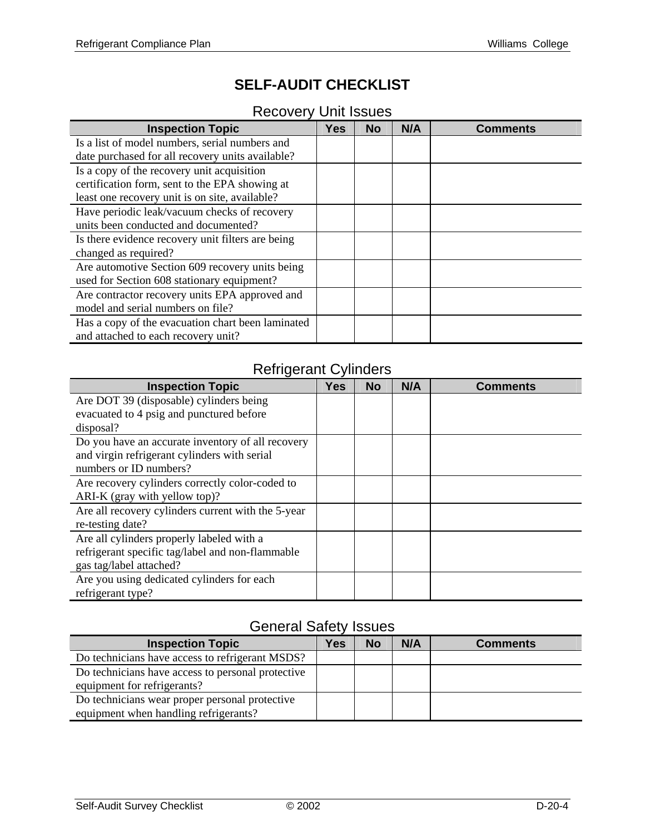## **SELF-AUDIT CHECKLIST**

## Recovery Unit Issues

| <b>Inspection Topic</b>                           | <b>Yes</b> | <b>No</b> | N/A | <b>Comments</b> |
|---------------------------------------------------|------------|-----------|-----|-----------------|
| Is a list of model numbers, serial numbers and    |            |           |     |                 |
| date purchased for all recovery units available?  |            |           |     |                 |
| Is a copy of the recovery unit acquisition        |            |           |     |                 |
| certification form, sent to the EPA showing at    |            |           |     |                 |
| least one recovery unit is on site, available?    |            |           |     |                 |
| Have periodic leak/vacuum checks of recovery      |            |           |     |                 |
| units been conducted and documented?              |            |           |     |                 |
| Is there evidence recovery unit filters are being |            |           |     |                 |
| changed as required?                              |            |           |     |                 |
| Are automotive Section 609 recovery units being   |            |           |     |                 |
| used for Section 608 stationary equipment?        |            |           |     |                 |
| Are contractor recovery units EPA approved and    |            |           |     |                 |
| model and serial numbers on file?                 |            |           |     |                 |
| Has a copy of the evacuation chart been laminated |            |           |     |                 |
| and attached to each recovery unit?               |            |           |     |                 |

## Refrigerant Cylinders

| <b>Inspection Topic</b>                            | <b>Yes</b> | <b>No</b> | N/A | <b>Comments</b> |
|----------------------------------------------------|------------|-----------|-----|-----------------|
| Are DOT 39 (disposable) cylinders being            |            |           |     |                 |
| evacuated to 4 psig and punctured before           |            |           |     |                 |
| disposal?                                          |            |           |     |                 |
| Do you have an accurate inventory of all recovery  |            |           |     |                 |
| and virgin refrigerant cylinders with serial       |            |           |     |                 |
| numbers or ID numbers?                             |            |           |     |                 |
| Are recovery cylinders correctly color-coded to    |            |           |     |                 |
| ARI-K (gray with yellow top)?                      |            |           |     |                 |
| Are all recovery cylinders current with the 5-year |            |           |     |                 |
| re-testing date?                                   |            |           |     |                 |
| Are all cylinders properly labeled with a          |            |           |     |                 |
| refrigerant specific tag/label and non-flammable   |            |           |     |                 |
| gas tag/label attached?                            |            |           |     |                 |
| Are you using dedicated cylinders for each         |            |           |     |                 |
| refrigerant type?                                  |            |           |     |                 |

## General Safety Issues

| <b>Inspection Topic</b>                           | Yes | <b>No</b> | N/A | <b>Comments</b> |
|---------------------------------------------------|-----|-----------|-----|-----------------|
| Do technicians have access to refrigerant MSDS?   |     |           |     |                 |
| Do technicians have access to personal protective |     |           |     |                 |
| equipment for refrigerants?                       |     |           |     |                 |
| Do technicians wear proper personal protective    |     |           |     |                 |
| equipment when handling refrigerants?             |     |           |     |                 |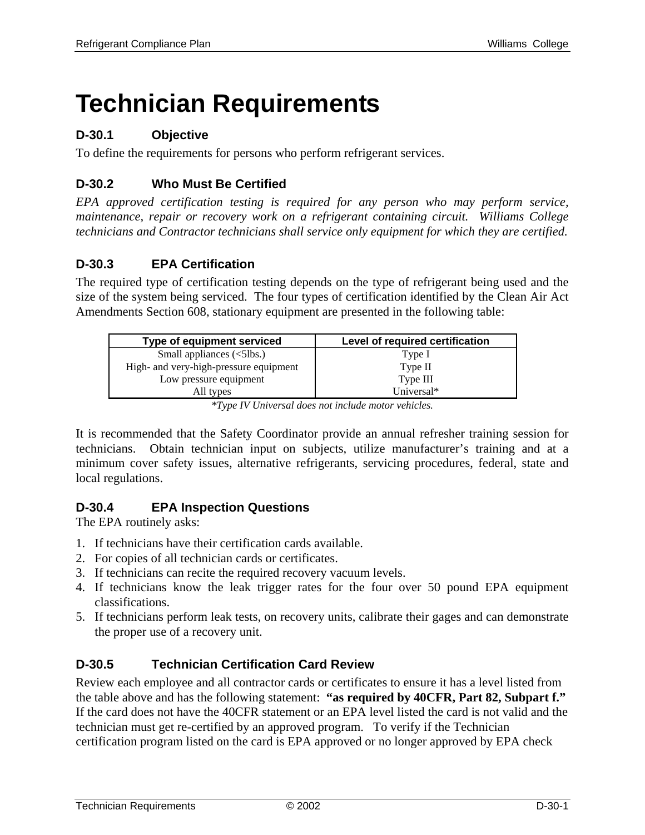## **Technician Requirements**

## **D-30.1 Objective**

To define the requirements for persons who perform refrigerant services.

## **D-30.2 Who Must Be Certified**

*EPA approved certification testing is required for any person who may perform service, maintenance, repair or recovery work on a refrigerant containing circuit. Williams College technicians and Contractor technicians shall service only equipment for which they are certified.* 

## **D-30.3 EPA Certification**

The required type of certification testing depends on the type of refrigerant being used and the size of the system being serviced. The four types of certification identified by the Clean Air Act Amendments Section 608, stationary equipment are presented in the following table:

| Type of equipment serviced                                | Level of required certification |
|-----------------------------------------------------------|---------------------------------|
| Small appliances $\left\langle \text{5lbs.}\right\rangle$ | Type I                          |
| High- and very-high-pressure equipment                    | Type II                         |
| Low pressure equipment                                    | Type III                        |
| All types                                                 | Universal*                      |

*\*Type IV Universal does not include motor vehicles.* 

It is recommended that the Safety Coordinator provide an annual refresher training session for technicians. Obtain technician input on subjects, utilize manufacturer's training and at a minimum cover safety issues, alternative refrigerants, servicing procedures, federal, state and local regulations.

## **D-30.4 EPA Inspection Questions**

The EPA routinely asks:

- 1. If technicians have their certification cards available.
- 2. For copies of all technician cards or certificates.
- 3. If technicians can recite the required recovery vacuum levels.
- 4. If technicians know the leak trigger rates for the four over 50 pound EPA equipment classifications.
- 5. If technicians perform leak tests, on recovery units, calibrate their gages and can demonstrate the proper use of a recovery unit.

## **D-30.5 Technician Certification Card Review**

Review each employee and all contractor cards or certificates to ensure it has a level listed from the table above and has the following statement: **"as required by 40CFR, Part 82, Subpart f."** If the card does not have the 40CFR statement or an EPA level listed the card is not valid and the technician must get re-certified by an approved program. To verify if the Technician certification program listed on the card is EPA approved or no longer approved by EPA check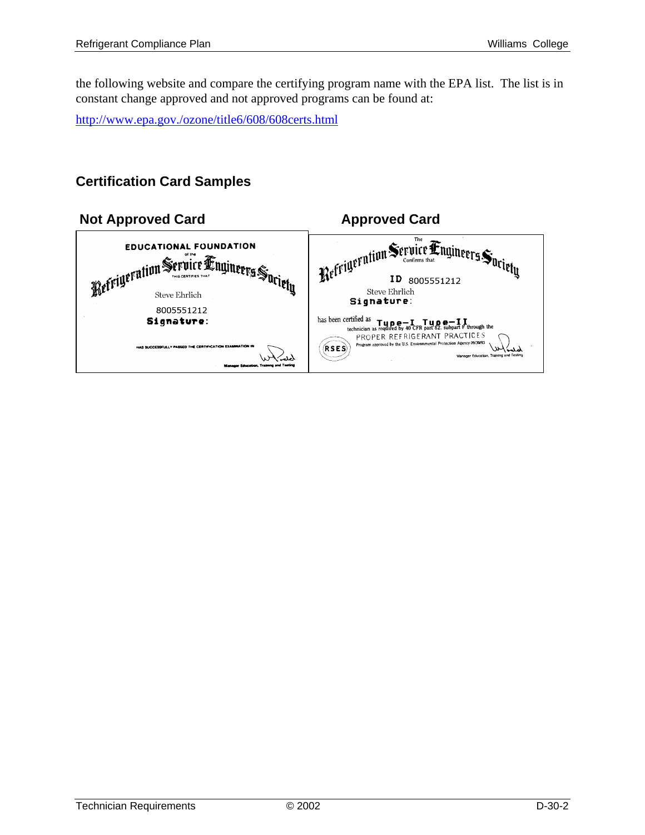the following website and compare the certifying program name with the EPA list. The list is in constant change approved and not approved programs can be found at:

http://www.epa.gov./ozone/title6/608/608certs.html

## **Certification Card Samples**

| <b>Approved Card</b>                                                                                                                                                |
|---------------------------------------------------------------------------------------------------------------------------------------------------------------------|
| Refrigeration Service Engineers Suriety<br>ΙD<br>8005551212                                                                                                         |
| Steve Ehrlich<br>Signature:                                                                                                                                         |
| has been certified as<br>CETTING $a_0$ <b>Tupe</b> $f$ <b>Tupe T Tupe T I</b><br>technician as required by 40 CFR part 82, subpart F through the                    |
| PROPER REFRIGERANT PRACTICES<br>Program approved by the U.S. Environmental Protection Agency 09/30/93<br>(RSES)<br>لملمة<br>Manager Education, Training and Testing |
|                                                                                                                                                                     |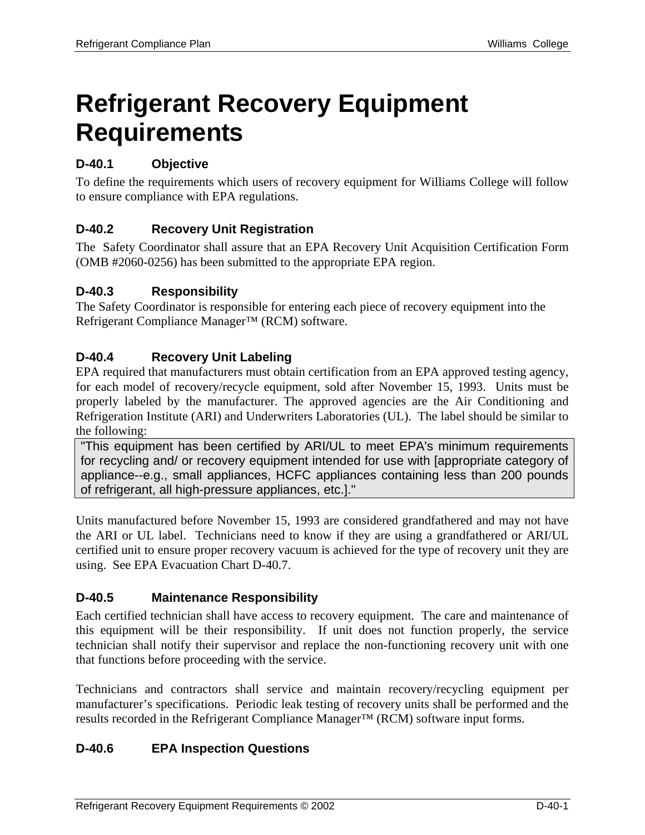# **Refrigerant Recovery Equipment Requirements**

## **D-40.1 Objective**

To define the requirements which users of recovery equipment for Williams College will follow to ensure compliance with EPA regulations.

## **D-40.2 Recovery Unit Registration**

The Safety Coordinator shall assure that an EPA Recovery Unit Acquisition Certification Form (OMB #2060-0256) has been submitted to the appropriate EPA region.

## **D-40.3 Responsibility**

The Safety Coordinator is responsible for entering each piece of recovery equipment into the Refrigerant Compliance Manager™ (RCM) software.

## **D-40.4 Recovery Unit Labeling**

EPA required that manufacturers must obtain certification from an EPA approved testing agency, for each model of recovery/recycle equipment, sold after November 15, 1993. Units must be properly labeled by the manufacturer. The approved agencies are the Air Conditioning and Refrigeration Institute (ARI) and Underwriters Laboratories (UL). The label should be similar to the following:

"This equipment has been certified by ARI/UL to meet EPA's minimum requirements for recycling and/ or recovery equipment intended for use with [appropriate category of appliance--e.g., small appliances, HCFC appliances containing less than 200 pounds of refrigerant, all high-pressure appliances, etc.]."

Units manufactured before November 15, 1993 are considered grandfathered and may not have the ARI or UL label. Technicians need to know if they are using a grandfathered or ARI/UL certified unit to ensure proper recovery vacuum is achieved for the type of recovery unit they are using. See EPA Evacuation Chart D-40.7.

## **D-40.5 Maintenance Responsibility**

Each certified technician shall have access to recovery equipment. The care and maintenance of this equipment will be their responsibility. If unit does not function properly, the service technician shall notify their supervisor and replace the non-functioning recovery unit with one that functions before proceeding with the service.

Technicians and contractors shall service and maintain recovery/recycling equipment per manufacturer's specifications. Periodic leak testing of recovery units shall be performed and the results recorded in the Refrigerant Compliance Manager™ (RCM) software input forms.

## **D-40.6 EPA Inspection Questions**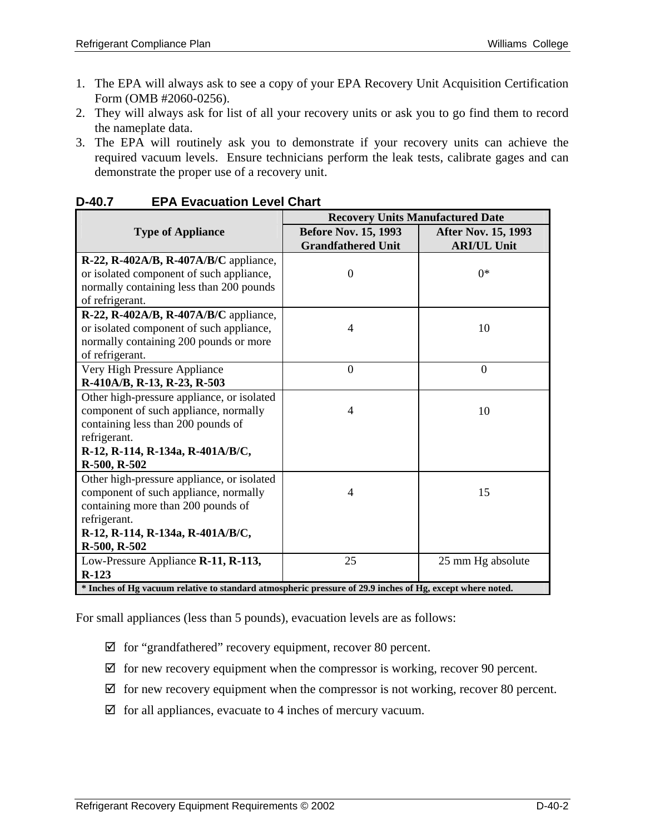- 1. The EPA will always ask to see a copy of your EPA Recovery Unit Acquisition Certification Form (OMB #2060-0256).
- 2. They will always ask for list of all your recovery units or ask you to go find them to record the nameplate data.
- 3. The EPA will routinely ask you to demonstrate if your recovery units can achieve the required vacuum levels. Ensure technicians perform the leak tests, calibrate gages and can demonstrate the proper use of a recovery unit.

|                                                                                                           | <b>Recovery Units Manufactured Date</b> |                            |  |  |
|-----------------------------------------------------------------------------------------------------------|-----------------------------------------|----------------------------|--|--|
| <b>Type of Appliance</b>                                                                                  | <b>Before Nov. 15, 1993</b>             | <b>After Nov. 15, 1993</b> |  |  |
|                                                                                                           | <b>Grandfathered Unit</b>               | <b>ARI/UL Unit</b>         |  |  |
| $R-22$ , $R-402A/B$ , $R-407A/B/C$ appliance,                                                             |                                         |                            |  |  |
| or isolated component of such appliance,                                                                  | $\overline{0}$                          | $0*$                       |  |  |
| normally containing less than 200 pounds                                                                  |                                         |                            |  |  |
| of refrigerant.                                                                                           |                                         |                            |  |  |
| R-22, R-402A/B, R-407A/B/C appliance,                                                                     |                                         |                            |  |  |
| or isolated component of such appliance,                                                                  | $\overline{4}$                          | 10                         |  |  |
| normally containing 200 pounds or more                                                                    |                                         |                            |  |  |
| of refrigerant.                                                                                           |                                         |                            |  |  |
| Very High Pressure Appliance                                                                              | $\overline{0}$                          | $\mathbf{0}$               |  |  |
| R-410A/B, R-13, R-23, R-503                                                                               |                                         |                            |  |  |
| Other high-pressure appliance, or isolated                                                                |                                         |                            |  |  |
| component of such appliance, normally                                                                     | $\overline{4}$                          | 10                         |  |  |
| containing less than 200 pounds of                                                                        |                                         |                            |  |  |
| refrigerant.                                                                                              |                                         |                            |  |  |
| R-12, R-114, R-134a, R-401A/B/C,                                                                          |                                         |                            |  |  |
| R-500, R-502                                                                                              |                                         |                            |  |  |
| Other high-pressure appliance, or isolated                                                                |                                         |                            |  |  |
| component of such appliance, normally                                                                     | 4                                       | 15                         |  |  |
| containing more than 200 pounds of                                                                        |                                         |                            |  |  |
| refrigerant.                                                                                              |                                         |                            |  |  |
| R-12, R-114, R-134a, R-401A/B/C,                                                                          |                                         |                            |  |  |
| R-500, R-502                                                                                              |                                         |                            |  |  |
| Low-Pressure Appliance R-11, R-113,                                                                       | 25                                      | 25 mm Hg absolute          |  |  |
| $R-123$                                                                                                   |                                         |                            |  |  |
| * Inches of Hg vacuum relative to standard atmospheric pressure of 29.9 inches of Hg, except where noted. |                                         |                            |  |  |

#### **D-40.7 EPA Evacuation Level Chart**

For small appliances (less than 5 pounds), evacuation levels are as follows:

- $\boxtimes$  for "grandfathered" recovery equipment, recover 80 percent.
- $\boxtimes$  for new recovery equipment when the compressor is working, recover 90 percent.
- $\boxtimes$  for new recovery equipment when the compressor is not working, recover 80 percent.
- $\boxtimes$  for all appliances, evacuate to 4 inches of mercury vacuum.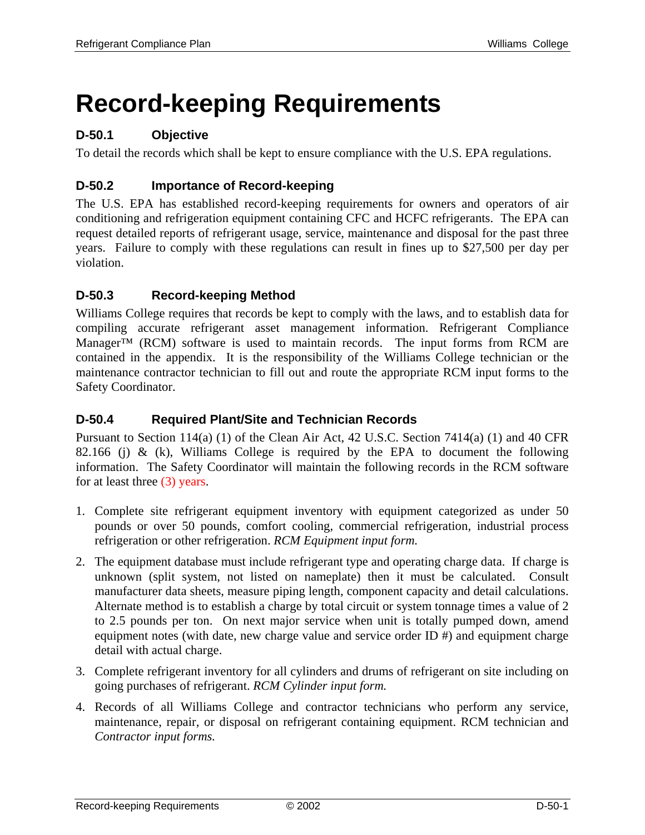## **Record-keeping Requirements**

## **D-50.1 Objective**

To detail the records which shall be kept to ensure compliance with the U.S. EPA regulations.

## **D-50.2 Importance of Record-keeping**

The U.S. EPA has established record-keeping requirements for owners and operators of air conditioning and refrigeration equipment containing CFC and HCFC refrigerants. The EPA can request detailed reports of refrigerant usage, service, maintenance and disposal for the past three years. Failure to comply with these regulations can result in fines up to \$27,500 per day per violation.

## **D-50.3 Record-keeping Method**

Williams College requires that records be kept to comply with the laws, and to establish data for compiling accurate refrigerant asset management information. Refrigerant Compliance Manager™ (RCM) software is used to maintain records. The input forms from RCM are contained in the appendix. It is the responsibility of the Williams College technician or the maintenance contractor technician to fill out and route the appropriate RCM input forms to the Safety Coordinator.

## **D-50.4 Required Plant/Site and Technician Records**

Pursuant to Section 114(a) (1) of the Clean Air Act, 42 U.S.C. Section 7414(a) (1) and 40 CFR 82.166 (j) & (k), Williams College is required by the EPA to document the following information. The Safety Coordinator will maintain the following records in the RCM software for at least three (3) years.

- 1. Complete site refrigerant equipment inventory with equipment categorized as under 50 pounds or over 50 pounds, comfort cooling, commercial refrigeration, industrial process refrigeration or other refrigeration. *RCM Equipment input form.*
- 2. The equipment database must include refrigerant type and operating charge data. If charge is unknown (split system, not listed on nameplate) then it must be calculated. Consult manufacturer data sheets, measure piping length, component capacity and detail calculations. Alternate method is to establish a charge by total circuit or system tonnage times a value of 2 to 2.5 pounds per ton. On next major service when unit is totally pumped down, amend equipment notes (with date, new charge value and service order ID #) and equipment charge detail with actual charge.
- 3. Complete refrigerant inventory for all cylinders and drums of refrigerant on site including on going purchases of refrigerant. *RCM Cylinder input form.*
- 4. Records of all Williams College and contractor technicians who perform any service, maintenance, repair, or disposal on refrigerant containing equipment. RCM technician and *Contractor input forms.*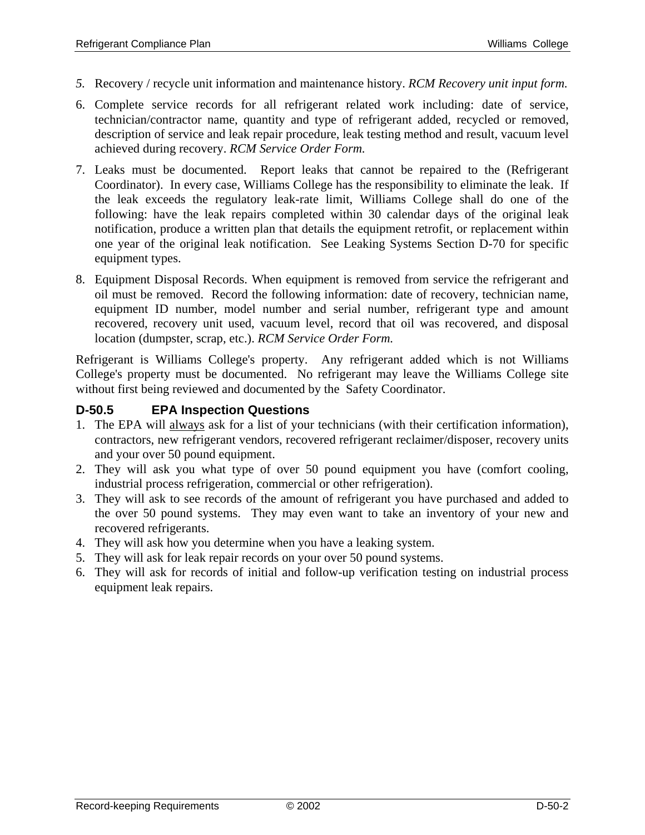- *5.* Recovery / recycle unit information and maintenance history. *RCM Recovery unit input form.*
- 6. Complete service records for all refrigerant related work including: date of service, technician/contractor name, quantity and type of refrigerant added, recycled or removed, description of service and leak repair procedure, leak testing method and result, vacuum level achieved during recovery. *RCM Service Order Form.*
- 7. Leaks must be documented. Report leaks that cannot be repaired to the (Refrigerant Coordinator). In every case, Williams College has the responsibility to eliminate the leak. If the leak exceeds the regulatory leak-rate limit, Williams College shall do one of the following: have the leak repairs completed within 30 calendar days of the original leak notification, produce a written plan that details the equipment retrofit, or replacement within one year of the original leak notification. See Leaking Systems Section D-70 for specific equipment types.
- 8. Equipment Disposal Records. When equipment is removed from service the refrigerant and oil must be removed. Record the following information: date of recovery, technician name, equipment ID number, model number and serial number, refrigerant type and amount recovered, recovery unit used, vacuum level, record that oil was recovered, and disposal location (dumpster, scrap, etc.). *RCM Service Order Form.*

Refrigerant is Williams College's property. Any refrigerant added which is not Williams College's property must be documented. No refrigerant may leave the Williams College site without first being reviewed and documented by the Safety Coordinator.

#### **D-50.5 EPA Inspection Questions**

- 1. The EPA will always ask for a list of your technicians (with their certification information), contractors, new refrigerant vendors, recovered refrigerant reclaimer/disposer, recovery units and your over 50 pound equipment.
- 2. They will ask you what type of over 50 pound equipment you have (comfort cooling, industrial process refrigeration, commercial or other refrigeration).
- 3. They will ask to see records of the amount of refrigerant you have purchased and added to the over 50 pound systems. They may even want to take an inventory of your new and recovered refrigerants.
- 4. They will ask how you determine when you have a leaking system.
- 5. They will ask for leak repair records on your over 50 pound systems.
- 6. They will ask for records of initial and follow-up verification testing on industrial process equipment leak repairs.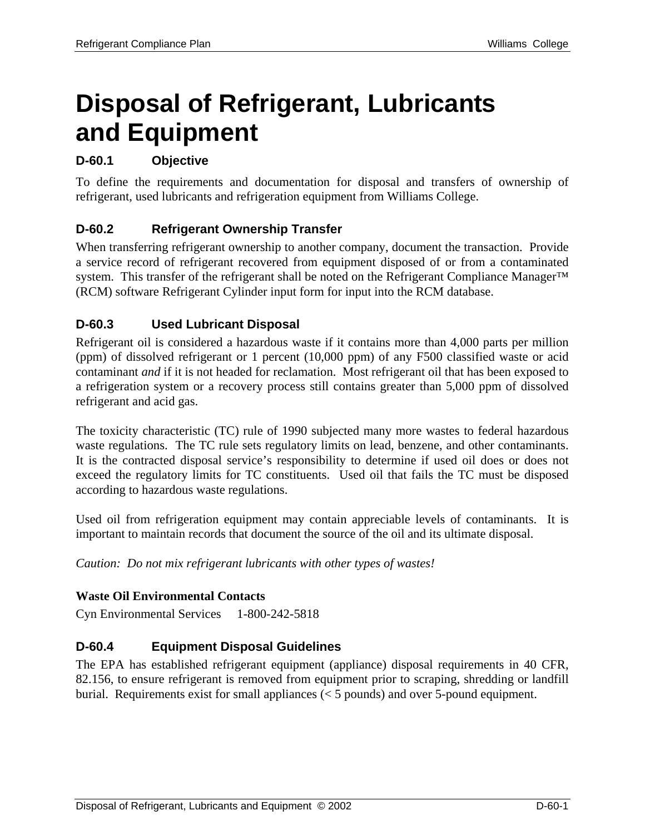## **Disposal of Refrigerant, Lubricants and Equipment**

## **D-60.1 Objective**

To define the requirements and documentation for disposal and transfers of ownership of refrigerant, used lubricants and refrigeration equipment from Williams College.

## **D-60.2 Refrigerant Ownership Transfer**

When transferring refrigerant ownership to another company, document the transaction. Provide a service record of refrigerant recovered from equipment disposed of or from a contaminated system. This transfer of the refrigerant shall be noted on the Refrigerant Compliance Manager™ (RCM) software Refrigerant Cylinder input form for input into the RCM database.

## **D-60.3 Used Lubricant Disposal**

Refrigerant oil is considered a hazardous waste if it contains more than 4,000 parts per million (ppm) of dissolved refrigerant or 1 percent (10,000 ppm) of any F500 classified waste or acid contaminant *and* if it is not headed for reclamation. Most refrigerant oil that has been exposed to a refrigeration system or a recovery process still contains greater than 5,000 ppm of dissolved refrigerant and acid gas.

The toxicity characteristic (TC) rule of 1990 subjected many more wastes to federal hazardous waste regulations. The TC rule sets regulatory limits on lead, benzene, and other contaminants. It is the contracted disposal service's responsibility to determine if used oil does or does not exceed the regulatory limits for TC constituents. Used oil that fails the TC must be disposed according to hazardous waste regulations.

Used oil from refrigeration equipment may contain appreciable levels of contaminants. It is important to maintain records that document the source of the oil and its ultimate disposal.

*Caution: Do not mix refrigerant lubricants with other types of wastes!* 

## **Waste Oil Environmental Contacts**

Cyn Environmental Services 1-800-242-5818

## **D-60.4 Equipment Disposal Guidelines**

The EPA has established refrigerant equipment (appliance) disposal requirements in 40 CFR, 82.156, to ensure refrigerant is removed from equipment prior to scraping, shredding or landfill burial. Requirements exist for small appliances (< 5 pounds) and over 5-pound equipment.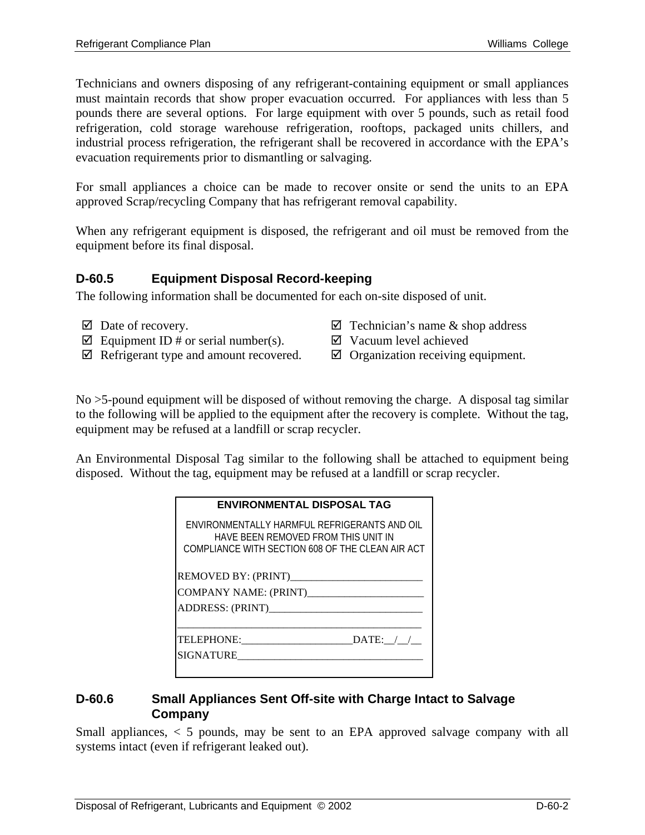Technicians and owners disposing of any refrigerant-containing equipment or small appliances must maintain records that show proper evacuation occurred. For appliances with less than 5 pounds there are several options. For large equipment with over 5 pounds, such as retail food refrigeration, cold storage warehouse refrigeration, rooftops, packaged units chillers, and industrial process refrigeration, the refrigerant shall be recovered in accordance with the EPA's evacuation requirements prior to dismantling or salvaging.

For small appliances a choice can be made to recover onsite or send the units to an EPA approved Scrap/recycling Company that has refrigerant removal capability.

When any refrigerant equipment is disposed, the refrigerant and oil must be removed from the equipment before its final disposal.

## **D-60.5 Equipment Disposal Record-keeping**

The following information shall be documented for each on-site disposed of unit.

- 
- $\boxtimes$  Equipment ID # or serial number(s).  $\boxtimes$  Vacuum level achieved
- $\boxtimes$  Refrigerant type and amount recovered.  $\boxtimes$  Organization receiving equipment.
- $\boxtimes$  Date of recovery.  $\boxtimes$  Technician's name & shop address
	-
	-

No >5-pound equipment will be disposed of without removing the charge. A disposal tag similar to the following will be applied to the equipment after the recovery is complete. Without the tag, equipment may be refused at a landfill or scrap recycler.

An Environmental Disposal Tag similar to the following shall be attached to equipment being disposed. Without the tag, equipment may be refused at a landfill or scrap recycler.

| <b>ENVIRONMENTAL DISPOSAL TAG</b>                                                                                                       |
|-----------------------------------------------------------------------------------------------------------------------------------------|
| ENVIRONMENTALLY HARMEUL REFRIGERANTS AND OIL<br>HAVE BEEN REMOVED FROM THIS UNIT IN<br>COMPLIANCE WITH SECTION 608 OF THE CLEAN AIR ACT |
| REMOVED BY: (PRINT)<br>ADDRESS: (PRINT)                                                                                                 |
| TELEPHONE: DATE: / /<br>SIGNATURE                                                                                                       |

#### **D-60.6 Small Appliances Sent Off-site with Charge Intact to Salvage Company**

Small appliances, < 5 pounds, may be sent to an EPA approved salvage company with all systems intact (even if refrigerant leaked out).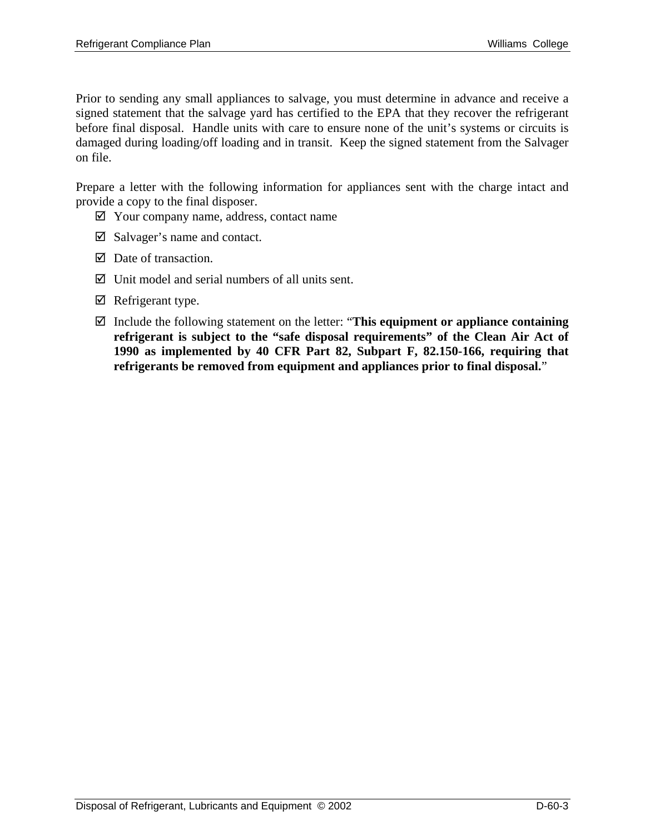Prior to sending any small appliances to salvage, you must determine in advance and receive a signed statement that the salvage yard has certified to the EPA that they recover the refrigerant before final disposal. Handle units with care to ensure none of the unit's systems or circuits is damaged during loading/off loading and in transit. Keep the signed statement from the Salvager on file.

Prepare a letter with the following information for appliances sent with the charge intact and provide a copy to the final disposer.

- $\boxtimes$  Your company name, address, contact name
- $\boxtimes$  Salvager's name and contact.
- $\boxtimes$  Date of transaction.
- $\boxtimes$  Unit model and serial numbers of all units sent.
- $\boxtimes$  Refrigerant type.
- ; Include the following statement on the letter: "**This equipment or appliance containing refrigerant is subject to the "safe disposal requirements" of the Clean Air Act of 1990 as implemented by 40 CFR Part 82, Subpart F, 82.150-166, requiring that refrigerants be removed from equipment and appliances prior to final disposal.**"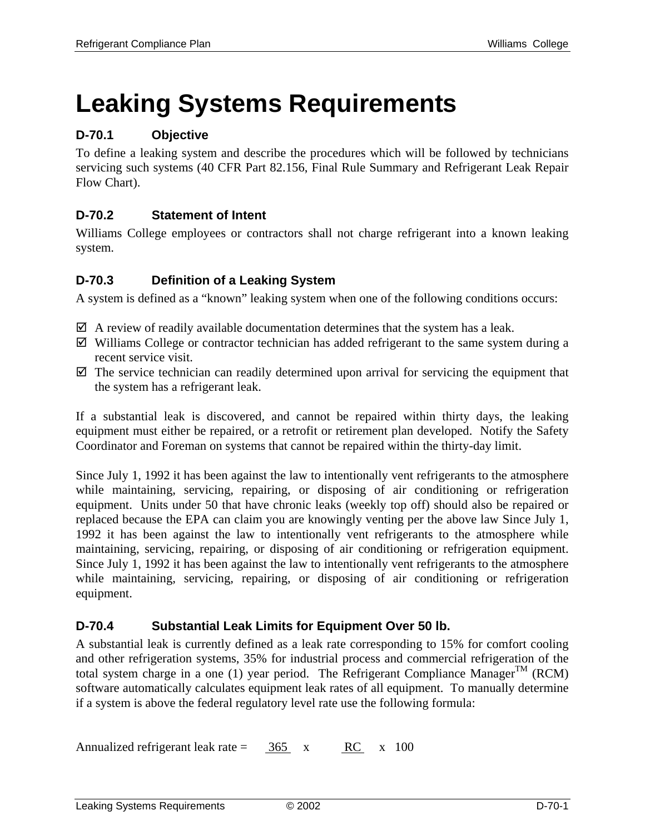# **Leaking Systems Requirements**

## **D-70.1 Objective**

To define a leaking system and describe the procedures which will be followed by technicians servicing such systems (40 CFR Part 82.156, Final Rule Summary and Refrigerant Leak Repair Flow Chart).

## **D-70.2 Statement of Intent**

Williams College employees or contractors shall not charge refrigerant into a known leaking system.

## **D-70.3 Definition of a Leaking System**

A system is defined as a "known" leaking system when one of the following conditions occurs:

- $\boxtimes$  A review of readily available documentation determines that the system has a leak.
- $\boxtimes$  Williams College or contractor technician has added refrigerant to the same system during a recent service visit.
- $\boxtimes$  The service technician can readily determined upon arrival for servicing the equipment that the system has a refrigerant leak.

If a substantial leak is discovered, and cannot be repaired within thirty days, the leaking equipment must either be repaired, or a retrofit or retirement plan developed. Notify the Safety Coordinator and Foreman on systems that cannot be repaired within the thirty-day limit.

Since July 1, 1992 it has been against the law to intentionally vent refrigerants to the atmosphere while maintaining, servicing, repairing, or disposing of air conditioning or refrigeration equipment. Units under 50 that have chronic leaks (weekly top off) should also be repaired or replaced because the EPA can claim you are knowingly venting per the above law Since July 1, 1992 it has been against the law to intentionally vent refrigerants to the atmosphere while maintaining, servicing, repairing, or disposing of air conditioning or refrigeration equipment. Since July 1, 1992 it has been against the law to intentionally vent refrigerants to the atmosphere while maintaining, servicing, repairing, or disposing of air conditioning or refrigeration equipment.

## **D-70.4 Substantial Leak Limits for Equipment Over 50 lb.**

A substantial leak is currently defined as a leak rate corresponding to 15% for comfort cooling and other refrigeration systems, 35% for industrial process and commercial refrigeration of the total system charge in a one (1) year period. The Refrigerant Compliance Manager<sup>TM</sup> (RCM) software automatically calculates equipment leak rates of all equipment. To manually determine if a system is above the federal regulatory level rate use the following formula:

Annualized refrigerant leak rate =  $\frac{365}{} x$  RC x 100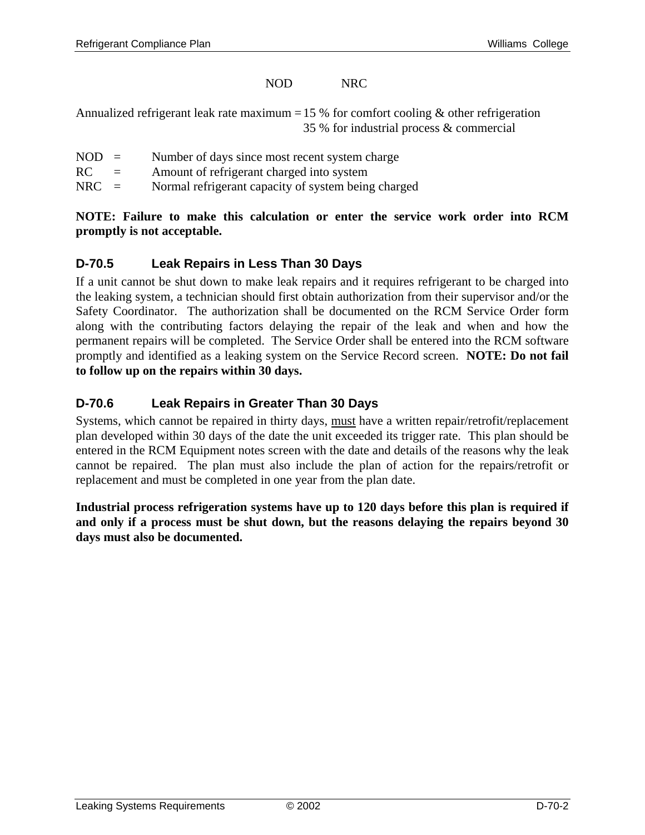#### NOD NRC

Annualized refrigerant leak rate maximum = 15 % for comfort cooling  $\&$  other refrigeration 35 % for industrial process & commercial

- $NOD =$  Number of days since most recent system charge
- RC = Amount of refrigerant charged into system
- NRC = Normal refrigerant capacity of system being charged

#### **NOTE: Failure to make this calculation or enter the service work order into RCM promptly is not acceptable.**

#### **D-70.5 Leak Repairs in Less Than 30 Days**

If a unit cannot be shut down to make leak repairs and it requires refrigerant to be charged into the leaking system, a technician should first obtain authorization from their supervisor and/or the Safety Coordinator. The authorization shall be documented on the RCM Service Order form along with the contributing factors delaying the repair of the leak and when and how the permanent repairs will be completed. The Service Order shall be entered into the RCM software promptly and identified as a leaking system on the Service Record screen. **NOTE: Do not fail to follow up on the repairs within 30 days.** 

#### **D-70.6 Leak Repairs in Greater Than 30 Days**

Systems, which cannot be repaired in thirty days, must have a written repair/retrofit/replacement plan developed within 30 days of the date the unit exceeded its trigger rate. This plan should be entered in the RCM Equipment notes screen with the date and details of the reasons why the leak cannot be repaired. The plan must also include the plan of action for the repairs/retrofit or replacement and must be completed in one year from the plan date.

**Industrial process refrigeration systems have up to 120 days before this plan is required if and only if a process must be shut down, but the reasons delaying the repairs beyond 30 days must also be documented.**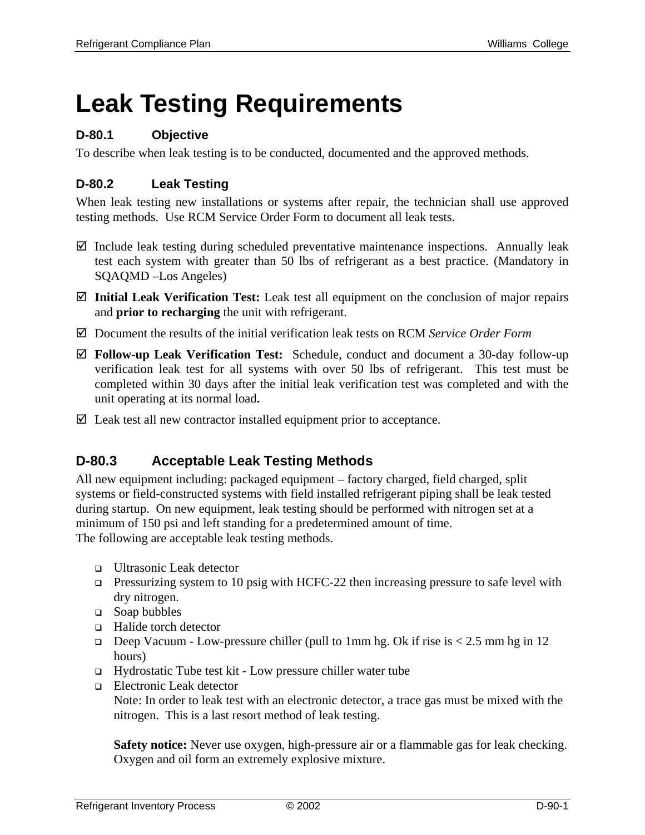# **Leak Testing Requirements**

## **D-80.1 Objective**

To describe when leak testing is to be conducted, documented and the approved methods.

## **D-80.2 Leak Testing**

When leak testing new installations or systems after repair, the technician shall use approved testing methods. Use RCM Service Order Form to document all leak tests.

- $\boxtimes$  Include leak testing during scheduled preventative maintenance inspections. Annually leak test each system with greater than 50 lbs of refrigerant as a best practice. (Mandatory in SQAQMD –Los Angeles)
- ; **Initial Leak Verification Test:** Leak test all equipment on the conclusion of major repairs and **prior to recharging** the unit with refrigerant.
- ; Document the results of the initial verification leak tests on RCM *Service Order Form*
- ; **Follow-up Leak Verification Test:** Schedule, conduct and document a 30-day follow-up verification leak test for all systems with over 50 lbs of refrigerant. This test must be completed within 30 days after the initial leak verification test was completed and with the unit operating at its normal load**.**
- $\boxtimes$  Leak test all new contractor installed equipment prior to acceptance.

## **D-80.3 Acceptable Leak Testing Methods**

All new equipment including: packaged equipment – factory charged, field charged, split systems or field-constructed systems with field installed refrigerant piping shall be leak tested during startup. On new equipment, leak testing should be performed with nitrogen set at a minimum of 150 psi and left standing for a predetermined amount of time. The following are acceptable leak testing methods.

- □ Ultrasonic Leak detector
- **Pressurizing system to 10 psig with HCFC-22 then increasing pressure to safe level with** dry nitrogen.
- □ Soap bubbles
- □ Halide torch detector
- Deep Vacuum Low-pressure chiller (pull to 1mm hg. Ok if rise is  $< 2.5$  mm hg in 12 hours)
- Hydrostatic Tube test kit Low pressure chiller water tube
- □ Electronic Leak detector

Note: In order to leak test with an electronic detector, a trace gas must be mixed with the nitrogen. This is a last resort method of leak testing.

**Safety notice:** Never use oxygen, high-pressure air or a flammable gas for leak checking. Oxygen and oil form an extremely explosive mixture.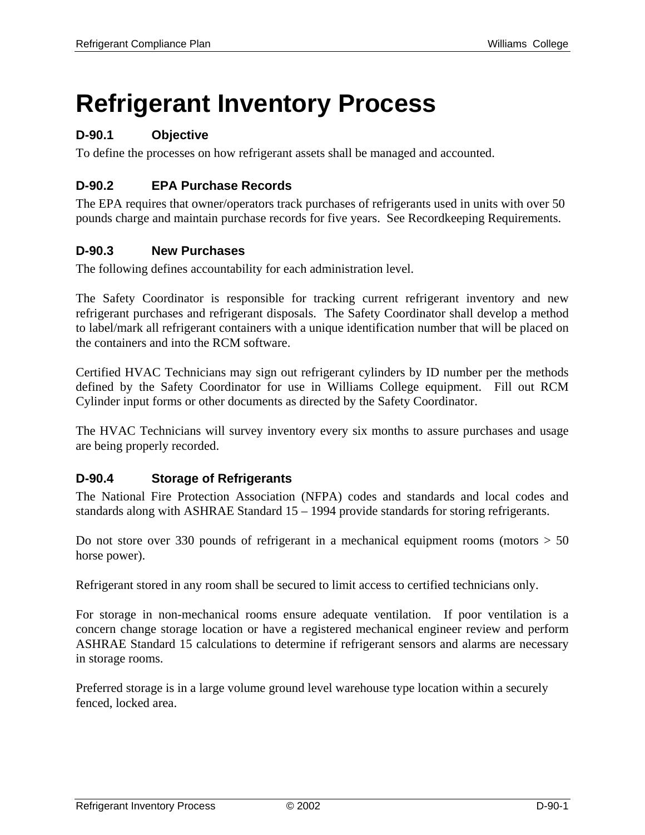## **Refrigerant Inventory Process**

## **D-90.1 Objective**

To define the processes on how refrigerant assets shall be managed and accounted.

## **D-90.2 EPA Purchase Records**

The EPA requires that owner/operators track purchases of refrigerants used in units with over 50 pounds charge and maintain purchase records for five years. See Recordkeeping Requirements.

#### **D-90.3 New Purchases**

The following defines accountability for each administration level.

The Safety Coordinator is responsible for tracking current refrigerant inventory and new refrigerant purchases and refrigerant disposals. The Safety Coordinator shall develop a method to label/mark all refrigerant containers with a unique identification number that will be placed on the containers and into the RCM software.

Certified HVAC Technicians may sign out refrigerant cylinders by ID number per the methods defined by the Safety Coordinator for use in Williams College equipment. Fill out RCM Cylinder input forms or other documents as directed by the Safety Coordinator.

The HVAC Technicians will survey inventory every six months to assure purchases and usage are being properly recorded.

#### **D-90.4 Storage of Refrigerants**

The National Fire Protection Association (NFPA) codes and standards and local codes and standards along with ASHRAE Standard 15 – 1994 provide standards for storing refrigerants.

Do not store over 330 pounds of refrigerant in a mechanical equipment rooms (motors  $> 50$ horse power).

Refrigerant stored in any room shall be secured to limit access to certified technicians only.

For storage in non-mechanical rooms ensure adequate ventilation. If poor ventilation is a concern change storage location or have a registered mechanical engineer review and perform ASHRAE Standard 15 calculations to determine if refrigerant sensors and alarms are necessary in storage rooms.

Preferred storage is in a large volume ground level warehouse type location within a securely fenced, locked area.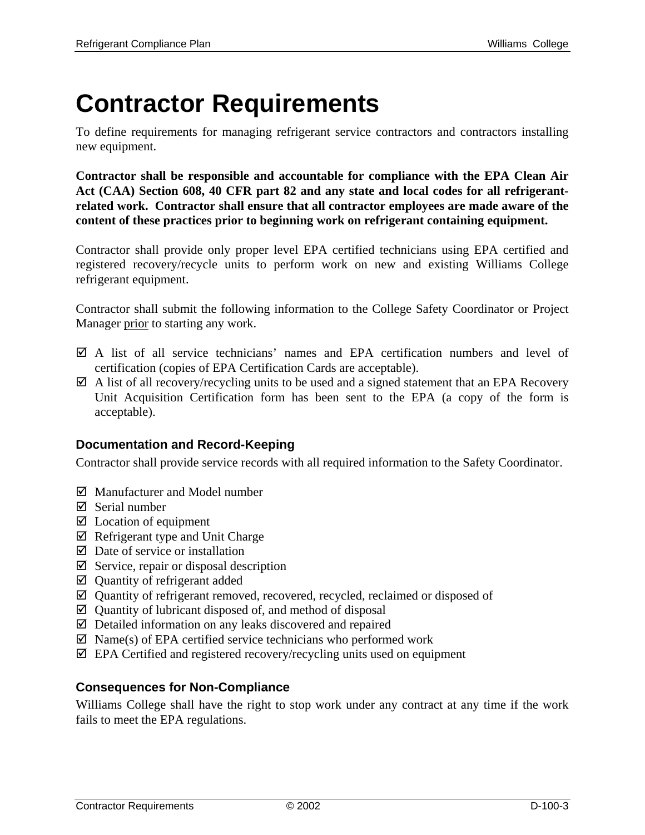# **Contractor Requirements**

To define requirements for managing refrigerant service contractors and contractors installing new equipment.

**Contractor shall be responsible and accountable for compliance with the EPA Clean Air Act (CAA) Section 608, 40 CFR part 82 and any state and local codes for all refrigerantrelated work. Contractor shall ensure that all contractor employees are made aware of the content of these practices prior to beginning work on refrigerant containing equipment.** 

Contractor shall provide only proper level EPA certified technicians using EPA certified and registered recovery/recycle units to perform work on new and existing Williams College refrigerant equipment.

Contractor shall submit the following information to the College Safety Coordinator or Project Manager prior to starting any work.

- $\boxtimes$  A list of all service technicians' names and EPA certification numbers and level of certification (copies of EPA Certification Cards are acceptable).
- $\boxtimes$  A list of all recovery/recycling units to be used and a signed statement that an EPA Recovery Unit Acquisition Certification form has been sent to the EPA (a copy of the form is acceptable).

## **Documentation and Record-Keeping**

Contractor shall provide service records with all required information to the Safety Coordinator.

- $\boxtimes$  Manufacturer and Model number
- $\nabla$  Serial number
- $\boxtimes$  Location of equipment
- $\boxtimes$  Refrigerant type and Unit Charge
- $\boxtimes$  Date of service or installation
- $\boxtimes$  Service, repair or disposal description
- $\boxtimes$  Quantity of refrigerant added
- $\boxtimes$  Quantity of refrigerant removed, recovered, recycled, reclaimed or disposed of
- $\boxtimes$  Quantity of lubricant disposed of, and method of disposal
- $\boxtimes$  Detailed information on any leaks discovered and repaired
- $\boxtimes$  Name(s) of EPA certified service technicians who performed work
- $\boxtimes$  EPA Certified and registered recovery/recycling units used on equipment

#### **Consequences for Non-Compliance**

Williams College shall have the right to stop work under any contract at any time if the work fails to meet the EPA regulations.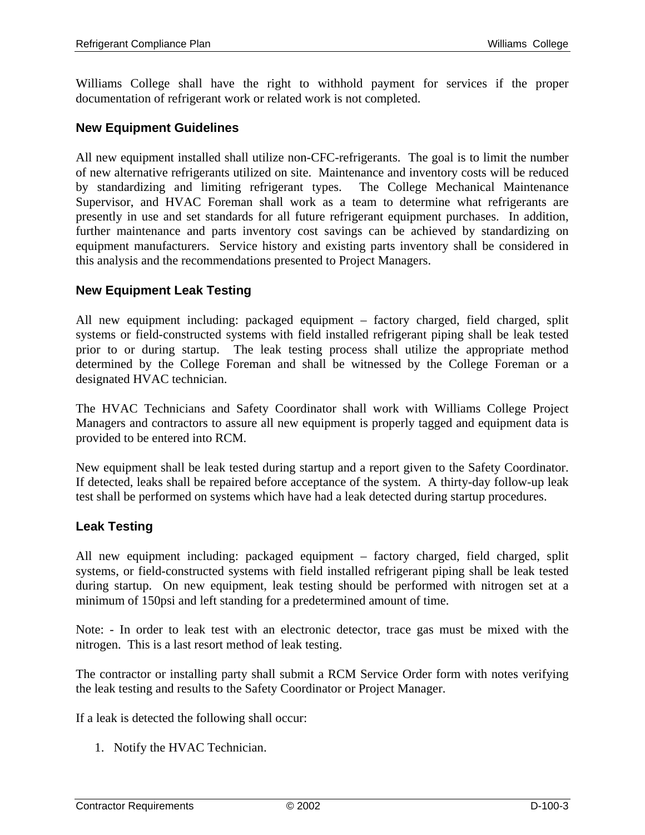Williams College shall have the right to withhold payment for services if the proper documentation of refrigerant work or related work is not completed.

#### **New Equipment Guidelines**

All new equipment installed shall utilize non-CFC-refrigerants. The goal is to limit the number of new alternative refrigerants utilized on site. Maintenance and inventory costs will be reduced by standardizing and limiting refrigerant types. The College Mechanical Maintenance Supervisor, and HVAC Foreman shall work as a team to determine what refrigerants are presently in use and set standards for all future refrigerant equipment purchases. In addition, further maintenance and parts inventory cost savings can be achieved by standardizing on equipment manufacturers. Service history and existing parts inventory shall be considered in this analysis and the recommendations presented to Project Managers.

#### **New Equipment Leak Testing**

All new equipment including: packaged equipment – factory charged, field charged, split systems or field-constructed systems with field installed refrigerant piping shall be leak tested prior to or during startup. The leak testing process shall utilize the appropriate method determined by the College Foreman and shall be witnessed by the College Foreman or a designated HVAC technician.

The HVAC Technicians and Safety Coordinator shall work with Williams College Project Managers and contractors to assure all new equipment is properly tagged and equipment data is provided to be entered into RCM.

New equipment shall be leak tested during startup and a report given to the Safety Coordinator. If detected, leaks shall be repaired before acceptance of the system. A thirty-day follow-up leak test shall be performed on systems which have had a leak detected during startup procedures.

#### **Leak Testing**

All new equipment including: packaged equipment – factory charged, field charged, split systems, or field-constructed systems with field installed refrigerant piping shall be leak tested during startup. On new equipment, leak testing should be performed with nitrogen set at a minimum of 150psi and left standing for a predetermined amount of time.

Note: - In order to leak test with an electronic detector, trace gas must be mixed with the nitrogen. This is a last resort method of leak testing.

The contractor or installing party shall submit a RCM Service Order form with notes verifying the leak testing and results to the Safety Coordinator or Project Manager.

If a leak is detected the following shall occur:

1. Notify the HVAC Technician.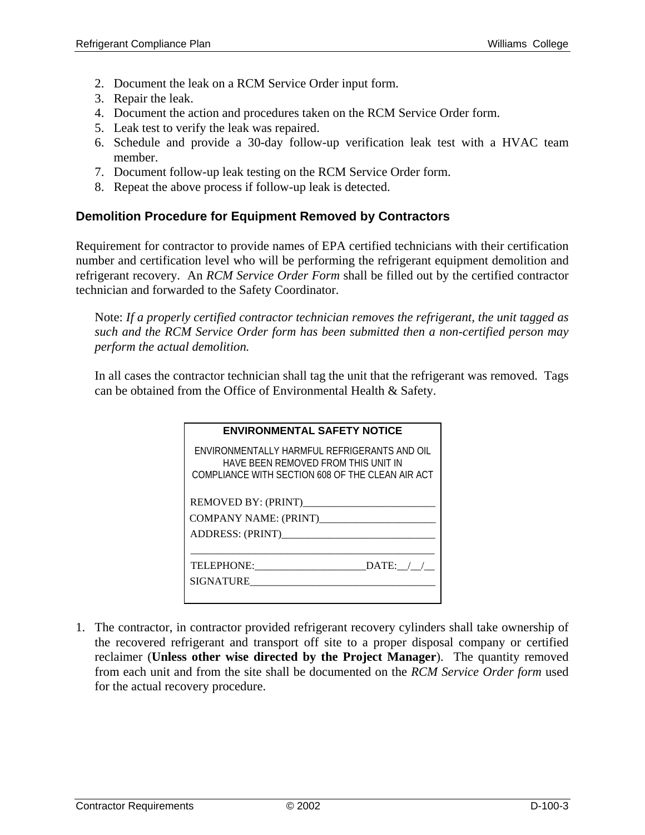- 2. Document the leak on a RCM Service Order input form.
- 3. Repair the leak.
- 4. Document the action and procedures taken on the RCM Service Order form.
- 5. Leak test to verify the leak was repaired.
- 6. Schedule and provide a 30-day follow-up verification leak test with a HVAC team member.
- 7. Document follow-up leak testing on the RCM Service Order form.
- 8. Repeat the above process if follow-up leak is detected.

#### **Demolition Procedure for Equipment Removed by Contractors**

Requirement for contractor to provide names of EPA certified technicians with their certification number and certification level who will be performing the refrigerant equipment demolition and refrigerant recovery. An *RCM Service Order Form* shall be filled out by the certified contractor technician and forwarded to the Safety Coordinator.

Note: *If a properly certified contractor technician removes the refrigerant, the unit tagged as such and the RCM Service Order form has been submitted then a non-certified person may perform the actual demolition.* 

In all cases the contractor technician shall tag the unit that the refrigerant was removed. Tags can be obtained from the Office of Environmental Health & Safety.

| <b>ENVIRONMENTAL SAFETY NOTICE</b>                                                                                                      |
|-----------------------------------------------------------------------------------------------------------------------------------------|
| ENVIRONMENTALLY HARMEUL REFRIGERANTS AND OIL<br>HAVE BEEN REMOVED FROM THIS UNIT IN<br>COMPLIANCE WITH SECTION 608 OF THE CLEAN AIR ACT |
| REMOVED BY: (PRINT)                                                                                                                     |
|                                                                                                                                         |
|                                                                                                                                         |
|                                                                                                                                         |
| DATE: $/$ /                                                                                                                             |
| SIGNATURE                                                                                                                               |
|                                                                                                                                         |

1. The contractor, in contractor provided refrigerant recovery cylinders shall take ownership of the recovered refrigerant and transport off site to a proper disposal company or certified reclaimer (**Unless other wise directed by the Project Manager**). The quantity removed from each unit and from the site shall be documented on the *RCM Service Order form* used for the actual recovery procedure.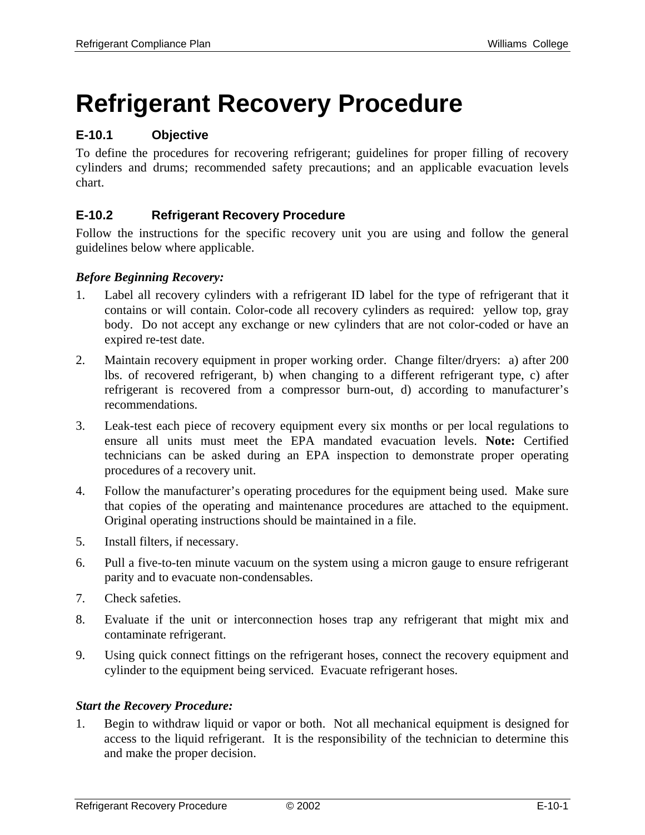# **Refrigerant Recovery Procedure**

## **E-10.1 Objective**

To define the procedures for recovering refrigerant; guidelines for proper filling of recovery cylinders and drums; recommended safety precautions; and an applicable evacuation levels chart.

## **E-10.2 Refrigerant Recovery Procedure**

Follow the instructions for the specific recovery unit you are using and follow the general guidelines below where applicable.

#### *Before Beginning Recovery:*

- 1. Label all recovery cylinders with a refrigerant ID label for the type of refrigerant that it contains or will contain. Color-code all recovery cylinders as required: yellow top, gray body. Do not accept any exchange or new cylinders that are not color-coded or have an expired re-test date.
- 2. Maintain recovery equipment in proper working order. Change filter/dryers: a) after 200 lbs. of recovered refrigerant, b) when changing to a different refrigerant type, c) after refrigerant is recovered from a compressor burn-out, d) according to manufacturer's recommendations.
- 3. Leak-test each piece of recovery equipment every six months or per local regulations to ensure all units must meet the EPA mandated evacuation levels. **Note:** Certified technicians can be asked during an EPA inspection to demonstrate proper operating procedures of a recovery unit.
- 4. Follow the manufacturer's operating procedures for the equipment being used. Make sure that copies of the operating and maintenance procedures are attached to the equipment. Original operating instructions should be maintained in a file.
- 5. Install filters, if necessary.
- 6. Pull a five-to-ten minute vacuum on the system using a micron gauge to ensure refrigerant parity and to evacuate non-condensables.
- 7. Check safeties.
- 8. Evaluate if the unit or interconnection hoses trap any refrigerant that might mix and contaminate refrigerant.
- 9. Using quick connect fittings on the refrigerant hoses, connect the recovery equipment and cylinder to the equipment being serviced. Evacuate refrigerant hoses.

#### *Start the Recovery Procedure:*

1. Begin to withdraw liquid or vapor or both. Not all mechanical equipment is designed for access to the liquid refrigerant. It is the responsibility of the technician to determine this and make the proper decision.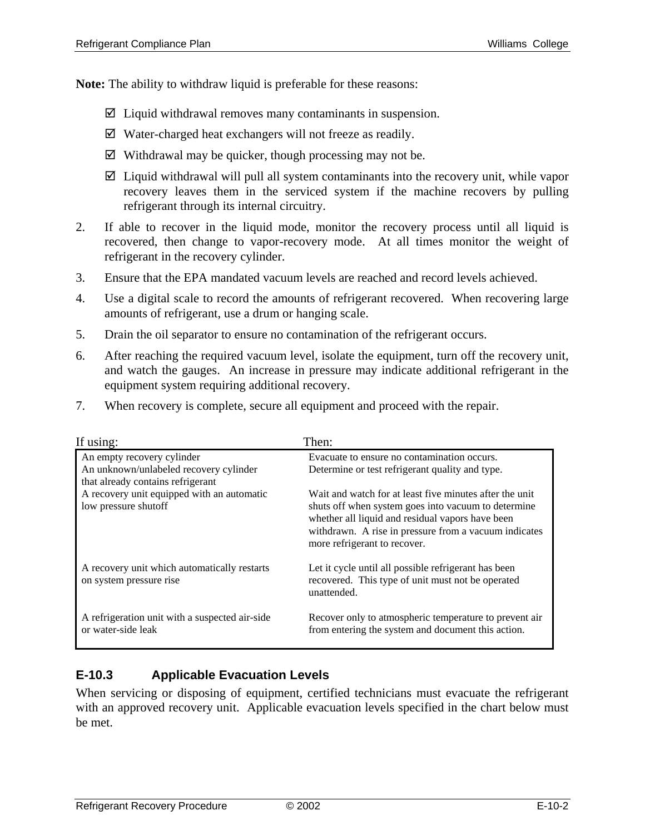**Note:** The ability to withdraw liquid is preferable for these reasons:

- $\boxtimes$  Liquid withdrawal removes many contaminants in suspension.
- $\boxtimes$  Water-charged heat exchangers will not freeze as readily.
- $\boxtimes$  Withdrawal may be quicker, though processing may not be.
- $\boxtimes$  Liquid withdrawal will pull all system contaminants into the recovery unit, while vapor recovery leaves them in the serviced system if the machine recovers by pulling refrigerant through its internal circuitry.
- 2. If able to recover in the liquid mode, monitor the recovery process until all liquid is recovered, then change to vapor-recovery mode. At all times monitor the weight of refrigerant in the recovery cylinder.
- 3. Ensure that the EPA mandated vacuum levels are reached and record levels achieved.
- 4. Use a digital scale to record the amounts of refrigerant recovered. When recovering large amounts of refrigerant, use a drum or hanging scale.
- 5. Drain the oil separator to ensure no contamination of the refrigerant occurs.
- 6. After reaching the required vacuum level, isolate the equipment, turn off the recovery unit, and watch the gauges. An increase in pressure may indicate additional refrigerant in the equipment system requiring additional recovery.
- 7. When recovery is complete, secure all equipment and proceed with the repair.

| If using:                                                                                                 | Then:                                                                                                                                                                                                                                                       |
|-----------------------------------------------------------------------------------------------------------|-------------------------------------------------------------------------------------------------------------------------------------------------------------------------------------------------------------------------------------------------------------|
| An empty recovery cylinder<br>An unknown/unlabeled recovery cylinder<br>that already contains refrigerant | Evacuate to ensure no contamination occurs.<br>Determine or test refrigerant quality and type.                                                                                                                                                              |
| A recovery unit equipped with an automatic<br>low pressure shutoff                                        | Wait and watch for at least five minutes after the unit<br>shuts off when system goes into vacuum to determine<br>whether all liquid and residual vapors have been<br>withdrawn. A rise in pressure from a vacuum indicates<br>more refrigerant to recover. |
| A recovery unit which automatically restarts<br>on system pressure rise                                   | Let it cycle until all possible refrigerant has been<br>recovered. This type of unit must not be operated<br>unattended.                                                                                                                                    |
| A refrigeration unit with a suspected air-side<br>or water-side leak                                      | Recover only to atmospheric temperature to prevent air<br>from entering the system and document this action.                                                                                                                                                |

## **E-10.3 Applicable Evacuation Levels**

When servicing or disposing of equipment, certified technicians must evacuate the refrigerant with an approved recovery unit. Applicable evacuation levels specified in the chart below must be met.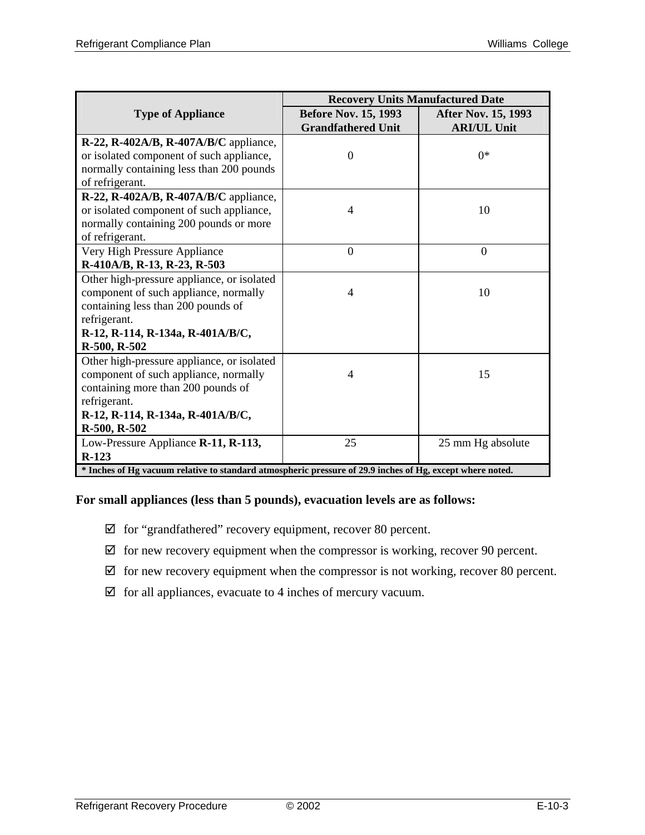|                                                                                                           | <b>Recovery Units Manufactured Date</b> |                            |  |  |
|-----------------------------------------------------------------------------------------------------------|-----------------------------------------|----------------------------|--|--|
| <b>Type of Appliance</b>                                                                                  | <b>Before Nov. 15, 1993</b>             | <b>After Nov. 15, 1993</b> |  |  |
|                                                                                                           | <b>Grandfathered Unit</b>               | <b>ARI/UL Unit</b>         |  |  |
| R-22, R-402A/B, R-407A/B/C appliance,                                                                     |                                         |                            |  |  |
| or isolated component of such appliance,                                                                  | $\overline{0}$                          | $0*$                       |  |  |
| normally containing less than 200 pounds                                                                  |                                         |                            |  |  |
| of refrigerant.                                                                                           |                                         |                            |  |  |
| R-22, R-402A/B, R-407A/B/C appliance,                                                                     |                                         |                            |  |  |
| or isolated component of such appliance,                                                                  | 4                                       | 10                         |  |  |
| normally containing 200 pounds or more                                                                    |                                         |                            |  |  |
| of refrigerant.                                                                                           |                                         |                            |  |  |
| Very High Pressure Appliance                                                                              | $\overline{0}$                          | $\mathbf{0}$               |  |  |
| R-410A/B, R-13, R-23, R-503                                                                               |                                         |                            |  |  |
| Other high-pressure appliance, or isolated                                                                |                                         |                            |  |  |
| component of such appliance, normally                                                                     | 4                                       | 10                         |  |  |
| containing less than 200 pounds of                                                                        |                                         |                            |  |  |
| refrigerant.                                                                                              |                                         |                            |  |  |
| R-12, R-114, R-134a, R-401A/B/C,                                                                          |                                         |                            |  |  |
| R-500, R-502                                                                                              |                                         |                            |  |  |
| Other high-pressure appliance, or isolated                                                                |                                         |                            |  |  |
| component of such appliance, normally                                                                     | 4                                       | 15                         |  |  |
| containing more than 200 pounds of                                                                        |                                         |                            |  |  |
| refrigerant.                                                                                              |                                         |                            |  |  |
| R-12, R-114, R-134a, R-401A/B/C,                                                                          |                                         |                            |  |  |
| R-500, R-502                                                                                              |                                         |                            |  |  |
| Low-Pressure Appliance R-11, R-113,                                                                       | 25                                      | 25 mm Hg absolute          |  |  |
| $R-123$                                                                                                   |                                         |                            |  |  |
| * Inches of Hg vacuum relative to standard atmospheric pressure of 29.9 inches of Hg, except where noted. |                                         |                            |  |  |

#### **For small appliances (less than 5 pounds), evacuation levels are as follows:**

- $\boxtimes$  for "grandfathered" recovery equipment, recover 80 percent.
- $\boxtimes$  for new recovery equipment when the compressor is working, recover 90 percent.
- $\boxtimes$  for new recovery equipment when the compressor is not working, recover 80 percent.
- $\boxtimes$  for all appliances, evacuate to 4 inches of mercury vacuum.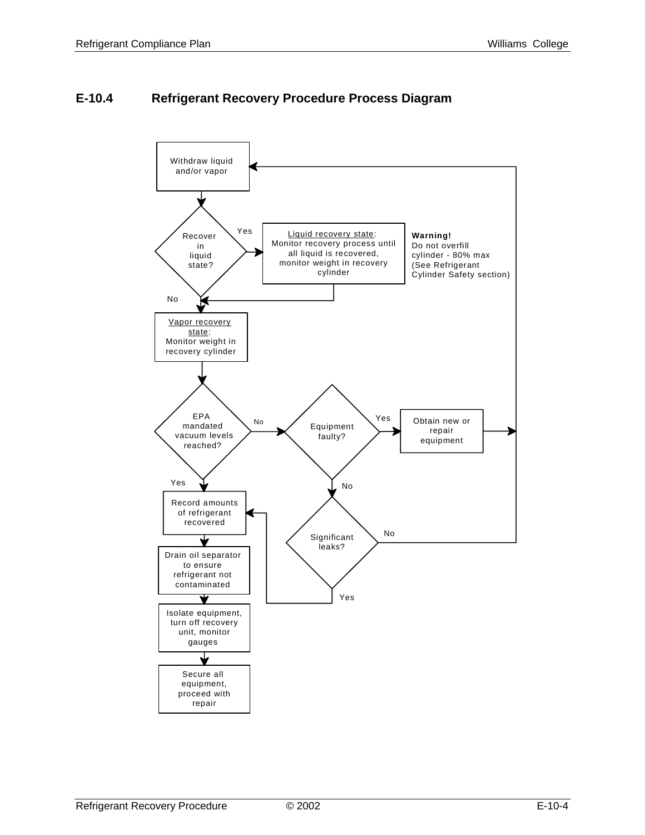## **E-10.4 Refrigerant Recovery Procedure Process Diagram**

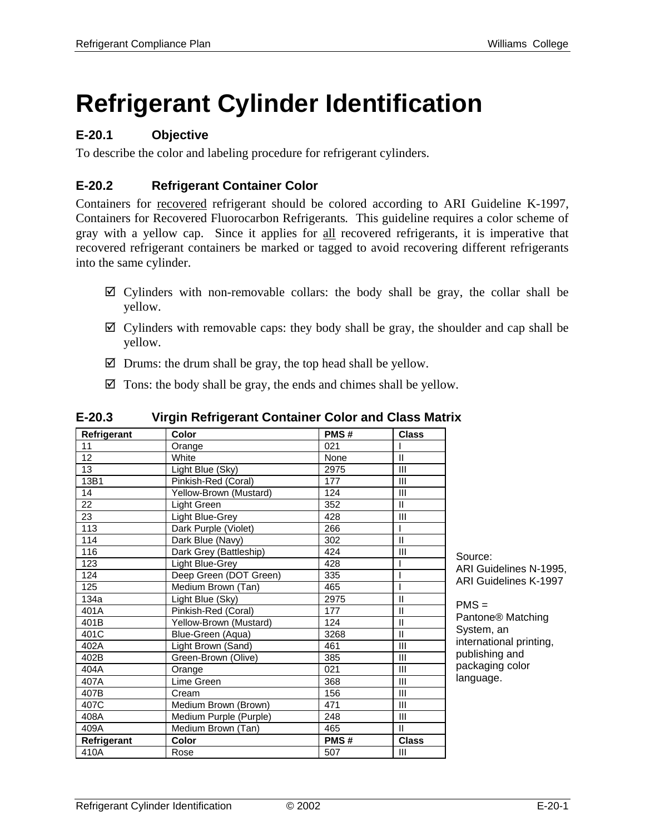# **Refrigerant Cylinder Identification**

## **E-20.1 Objective**

To describe the color and labeling procedure for refrigerant cylinders.

## **E-20.2 Refrigerant Container Color**

Containers for recovered refrigerant should be colored according to ARI Guideline K-1997, Containers for Recovered Fluorocarbon Refrigerants*.* This guideline requires a color scheme of gray with a yellow cap. Since it applies for all recovered refrigerants, it is imperative that recovered refrigerant containers be marked or tagged to avoid recovering different refrigerants into the same cylinder.

- $\boxtimes$  Cylinders with non-removable collars: the body shall be gray, the collar shall be yellow.
- $\boxtimes$  Cylinders with removable caps: they body shall be gray, the shoulder and cap shall be yellow.
- $\boxtimes$  Drums: the drum shall be gray, the top head shall be yellow.
- $\boxtimes$  Tons: the body shall be gray, the ends and chimes shall be yellow.

| Refrigerant | Color                  | PMS# | <b>Class</b>   |                               |
|-------------|------------------------|------|----------------|-------------------------------|
| 11          | Orange                 | 021  |                |                               |
| 12          | White                  | None | $\mathbf{I}$   |                               |
| 13          | Light Blue (Sky)       | 2975 | $\mathbf{III}$ |                               |
| 13B1        | Pinkish-Red (Coral)    | 177  | $\mathbf{III}$ |                               |
| 14          | Yellow-Brown (Mustard) | 124  | $\mathbf{III}$ |                               |
| 22          | Light Green            | 352  | $\mathbf{I}$   |                               |
| 23          | Light Blue-Grey        | 428  | $\mathbf{III}$ |                               |
| 113         | Dark Purple (Violet)   | 266  |                |                               |
| 114         | Dark Blue (Navy)       | 302  | $\mathbf{I}$   |                               |
| 116         | Dark Grey (Battleship) | 424  | $\mathbf{III}$ | Source:                       |
| 123         | Light Blue-Grey        | 428  |                | ARI Guidelines N-1995,        |
| 124         | Deep Green (DOT Green) | 335  |                | ARI Guidelines K-1997         |
| 125         | Medium Brown (Tan)     | 465  |                |                               |
| 134a        | Light Blue (Sky)       | 2975 | $\mathsf{I}$   | $PMS =$                       |
| 401A        | Pinkish-Red (Coral)    | 177  | $\mathbf{I}$   |                               |
| 401B        | Yellow-Brown (Mustard) | 124  | $\mathbf{I}$   | Pantone <sup>®</sup> Matching |
| 401C        | Blue-Green (Aqua)      | 3268 | $\mathbf{H}$   | System, an                    |
| 402A        | Light Brown (Sand)     | 461  | $\mathsf{III}$ | international printing,       |
| 402B        | Green-Brown (Olive)    | 385  | $\mathbf{III}$ | publishing and                |
| 404A        | Orange                 | 021  | $\mathsf{III}$ | packaging color               |
| 407A        | Lime Green             | 368  | III            | language.                     |
| 407B        | Cream                  | 156  | $\mathbf{III}$ |                               |
| 407C        | Medium Brown (Brown)   | 471  | III            |                               |
| 408A        | Medium Purple (Purple) | 248  | $\mathbf{III}$ |                               |
| 409A        | Medium Brown (Tan)     | 465  | $\mathbf{I}$   |                               |
| Refrigerant | <b>Color</b>           | PMS# | <b>Class</b>   |                               |
| 410A        | Rose                   | 507  | III            |                               |

#### **E-20.3 Virgin Refrigerant Container Color and Class Matrix**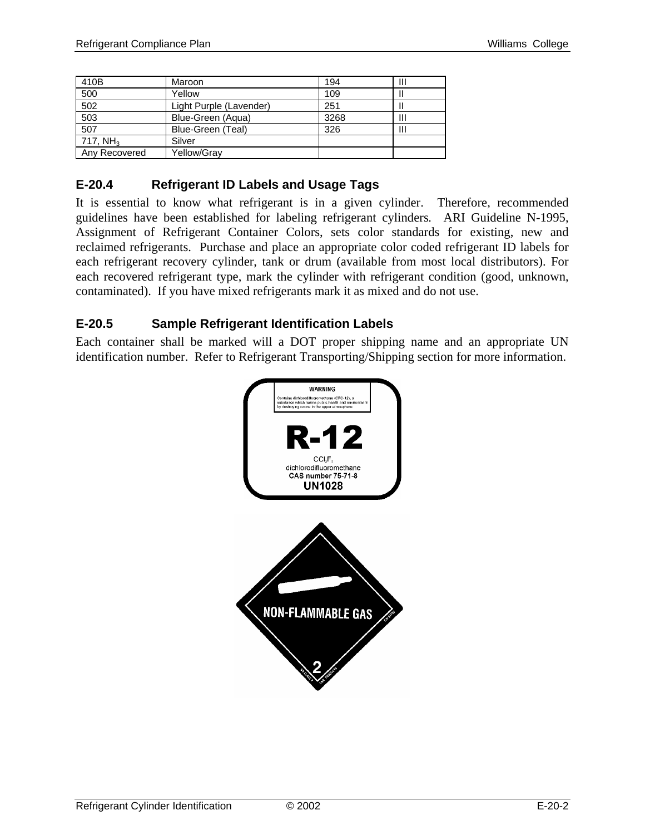| 410B                 | Maroon                  | 194  | Ш |
|----------------------|-------------------------|------|---|
| 500                  | Yellow                  | 109  |   |
| 502                  | Light Purple (Lavender) | 251  |   |
| 503                  | Blue-Green (Aqua)       | 3268 | Ш |
| 507                  | Blue-Green (Teal)       | 326  | Ш |
| 717. NH <sub>3</sub> | Silver                  |      |   |
| Any Recovered        | Yellow/Gray             |      |   |

## **E-20.4 Refrigerant ID Labels and Usage Tags**

It is essential to know what refrigerant is in a given cylinder. Therefore, recommended guidelines have been established for labeling refrigerant cylinders*.* ARI Guideline N-1995, Assignment of Refrigerant Container Colors, sets color standards for existing, new and reclaimed refrigerants. Purchase and place an appropriate color coded refrigerant ID labels for each refrigerant recovery cylinder, tank or drum (available from most local distributors). For each recovered refrigerant type, mark the cylinder with refrigerant condition (good, unknown, contaminated). If you have mixed refrigerants mark it as mixed and do not use.

## **E-20.5 Sample Refrigerant Identification Labels**

Each container shall be marked will a DOT proper shipping name and an appropriate UN identification number. Refer to Refrigerant Transporting/Shipping section for more information.

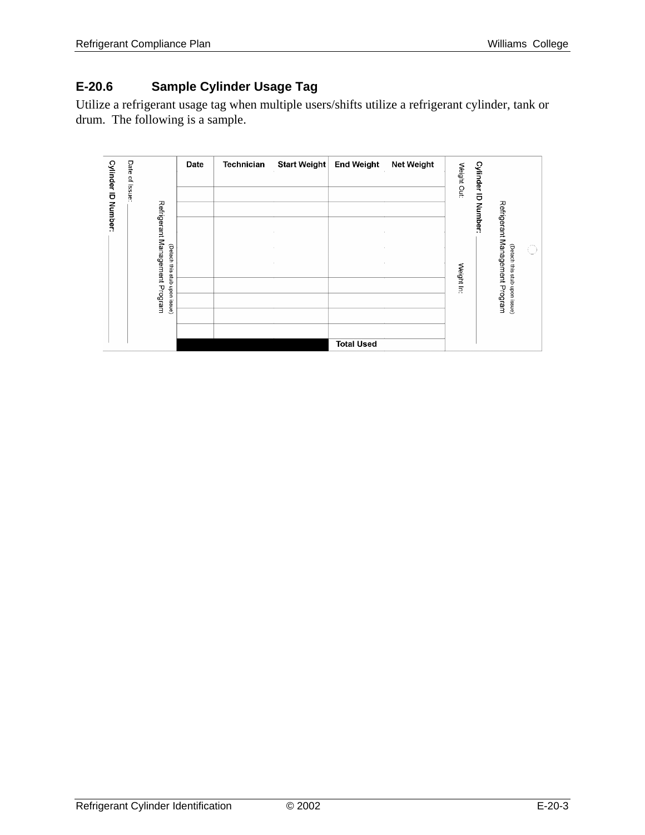## **E-20.6 Sample Cylinder Usage Tag**

Utilize a refrigerant usage tag when multiple users/shifts utilize a refrigerant cylinder, tank or drum. The following is a sample.

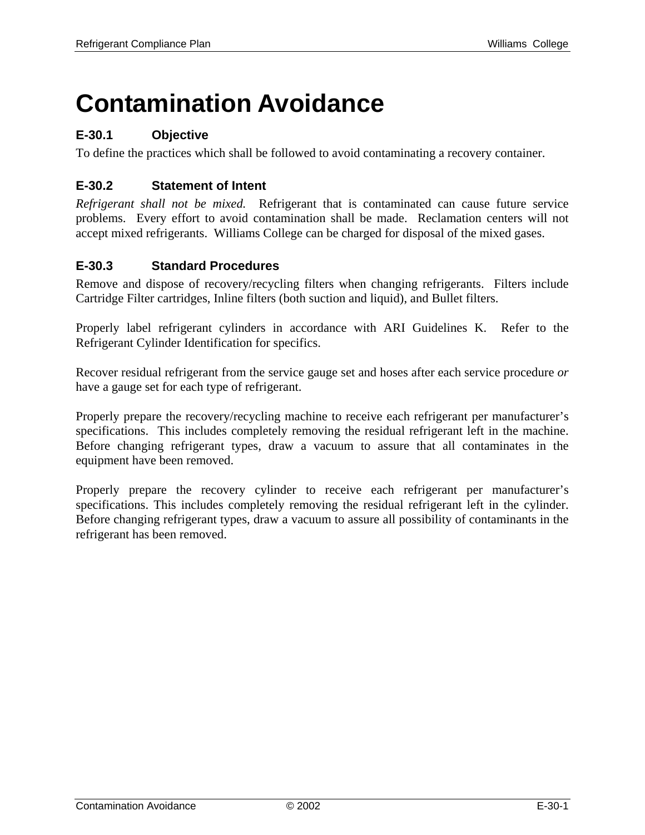## **Contamination Avoidance**

## **E-30.1 Objective**

To define the practices which shall be followed to avoid contaminating a recovery container.

## **E-30.2 Statement of Intent**

*Refrigerant shall not be mixed.* Refrigerant that is contaminated can cause future service problems. Every effort to avoid contamination shall be made. Reclamation centers will not accept mixed refrigerants. Williams College can be charged for disposal of the mixed gases.

#### **E-30.3 Standard Procedures**

Remove and dispose of recovery/recycling filters when changing refrigerants. Filters include Cartridge Filter cartridges, Inline filters (both suction and liquid), and Bullet filters.

Properly label refrigerant cylinders in accordance with ARI Guidelines K. Refer to the Refrigerant Cylinder Identification for specifics.

Recover residual refrigerant from the service gauge set and hoses after each service procedure *or* have a gauge set for each type of refrigerant.

Properly prepare the recovery/recycling machine to receive each refrigerant per manufacturer's specifications. This includes completely removing the residual refrigerant left in the machine. Before changing refrigerant types, draw a vacuum to assure that all contaminates in the equipment have been removed.

Properly prepare the recovery cylinder to receive each refrigerant per manufacturer's specifications. This includes completely removing the residual refrigerant left in the cylinder. Before changing refrigerant types, draw a vacuum to assure all possibility of contaminants in the refrigerant has been removed.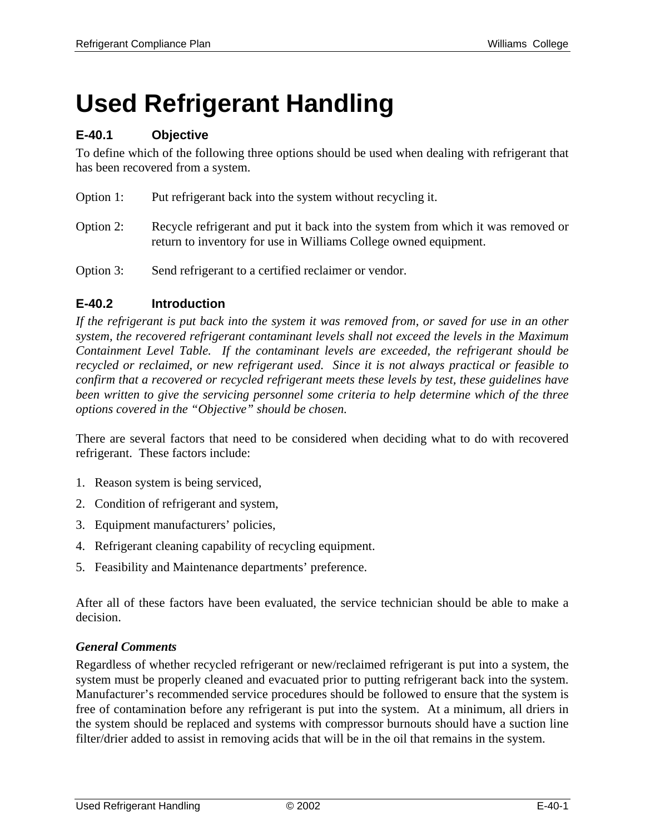# **Used Refrigerant Handling**

## **E-40.1 Objective**

To define which of the following three options should be used when dealing with refrigerant that has been recovered from a system.

- Option 1: Put refrigerant back into the system without recycling it.
- Option 2: Recycle refrigerant and put it back into the system from which it was removed or return to inventory for use in Williams College owned equipment.
- Option 3: Send refrigerant to a certified reclaimer or vendor.

## **E-40.2 Introduction**

*If the refrigerant is put back into the system it was removed from, or saved for use in an other system, the recovered refrigerant contaminant levels shall not exceed the levels in the Maximum Containment Level Table. If the contaminant levels are exceeded, the refrigerant should be recycled or reclaimed, or new refrigerant used. Since it is not always practical or feasible to confirm that a recovered or recycled refrigerant meets these levels by test, these guidelines have been written to give the servicing personnel some criteria to help determine which of the three options covered in the "Objective" should be chosen.* 

There are several factors that need to be considered when deciding what to do with recovered refrigerant. These factors include:

- 1. Reason system is being serviced,
- 2. Condition of refrigerant and system,
- 3. Equipment manufacturers' policies,
- 4. Refrigerant cleaning capability of recycling equipment.
- 5. Feasibility and Maintenance departments' preference.

After all of these factors have been evaluated, the service technician should be able to make a decision.

#### *General Comments*

Regardless of whether recycled refrigerant or new/reclaimed refrigerant is put into a system, the system must be properly cleaned and evacuated prior to putting refrigerant back into the system. Manufacturer's recommended service procedures should be followed to ensure that the system is free of contamination before any refrigerant is put into the system. At a minimum, all driers in the system should be replaced and systems with compressor burnouts should have a suction line filter/drier added to assist in removing acids that will be in the oil that remains in the system.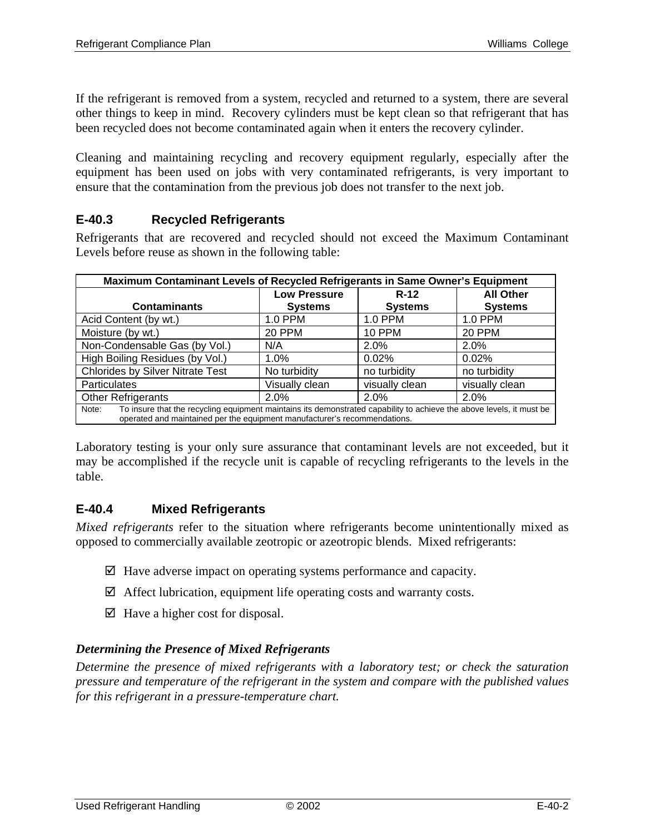If the refrigerant is removed from a system, recycled and returned to a system, there are several other things to keep in mind. Recovery cylinders must be kept clean so that refrigerant that has been recycled does not become contaminated again when it enters the recovery cylinder.

Cleaning and maintaining recycling and recovery equipment regularly, especially after the equipment has been used on jobs with very contaminated refrigerants, is very important to ensure that the contamination from the previous job does not transfer to the next job.

## **E-40.3 Recycled Refrigerants**

Refrigerants that are recovered and recycled should not exceed the Maximum Contaminant Levels before reuse as shown in the following table:

| Maximum Contaminant Levels of Recycled Refrigerants in Same Owner's Equipment                                                                                                                              |                                                   |                |                |  |
|------------------------------------------------------------------------------------------------------------------------------------------------------------------------------------------------------------|---------------------------------------------------|----------------|----------------|--|
|                                                                                                                                                                                                            | <b>Low Pressure</b><br><b>All Other</b><br>$R-12$ |                |                |  |
| <b>Contaminants</b>                                                                                                                                                                                        | <b>Systems</b>                                    | <b>Systems</b> | <b>Systems</b> |  |
| Acid Content (by wt.)                                                                                                                                                                                      | 1.0 PPM                                           | 1.0 PPM        | 1.0 PPM        |  |
| Moisture (by wt.)                                                                                                                                                                                          | 20 PPM                                            | <b>10 PPM</b>  | <b>20 PPM</b>  |  |
| Non-Condensable Gas (by Vol.)                                                                                                                                                                              | N/A                                               | 2.0%           | 2.0%           |  |
| High Boiling Residues (by Vol.)                                                                                                                                                                            | 1.0%                                              | 0.02%          | 0.02%          |  |
| <b>Chlorides by Silver Nitrate Test</b>                                                                                                                                                                    | No turbidity                                      | no turbidity   | no turbidity   |  |
| <b>Particulates</b><br>Visually clean<br>visually clean<br>visually clean                                                                                                                                  |                                                   |                |                |  |
| <b>Other Refrigerants</b><br>2.0%<br>2.0%<br>2.0%                                                                                                                                                          |                                                   |                |                |  |
| To insure that the recycling equipment maintains its demonstrated capability to achieve the above levels, it must be<br>Note:<br>operated and maintained per the equipment manufacturer's recommendations. |                                                   |                |                |  |

Laboratory testing is your only sure assurance that contaminant levels are not exceeded, but it may be accomplished if the recycle unit is capable of recycling refrigerants to the levels in the table.

#### **E-40.4 Mixed Refrigerants**

*Mixed refrigerants* refer to the situation where refrigerants become unintentionally mixed as opposed to commercially available zeotropic or azeotropic blends. Mixed refrigerants:

- $\boxtimes$  Have adverse impact on operating systems performance and capacity.
- $\boxtimes$  Affect lubrication, equipment life operating costs and warranty costs.
- $\boxtimes$  Have a higher cost for disposal.

#### *Determining the Presence of Mixed Refrigerants*

*Determine the presence of mixed refrigerants with a laboratory test; or check the saturation pressure and temperature of the refrigerant in the system and compare with the published values for this refrigerant in a pressure-temperature chart.*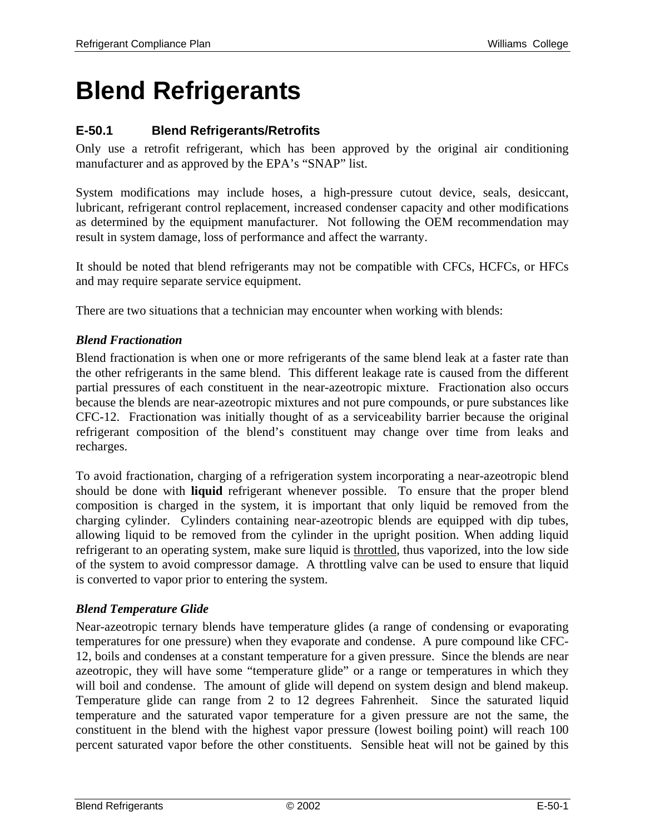## **Blend Refrigerants**

## **E-50.1 Blend Refrigerants/Retrofits**

Only use a retrofit refrigerant, which has been approved by the original air conditioning manufacturer and as approved by the EPA's "SNAP" list.

System modifications may include hoses, a high-pressure cutout device, seals, desiccant, lubricant, refrigerant control replacement, increased condenser capacity and other modifications as determined by the equipment manufacturer. Not following the OEM recommendation may result in system damage, loss of performance and affect the warranty.

It should be noted that blend refrigerants may not be compatible with CFCs, HCFCs, or HFCs and may require separate service equipment.

There are two situations that a technician may encounter when working with blends:

#### *Blend Fractionation*

Blend fractionation is when one or more refrigerants of the same blend leak at a faster rate than the other refrigerants in the same blend. This different leakage rate is caused from the different partial pressures of each constituent in the near-azeotropic mixture. Fractionation also occurs because the blends are near-azeotropic mixtures and not pure compounds, or pure substances like CFC-12. Fractionation was initially thought of as a serviceability barrier because the original refrigerant composition of the blend's constituent may change over time from leaks and recharges.

To avoid fractionation, charging of a refrigeration system incorporating a near-azeotropic blend should be done with **liquid** refrigerant whenever possible. To ensure that the proper blend composition is charged in the system, it is important that only liquid be removed from the charging cylinder. Cylinders containing near-azeotropic blends are equipped with dip tubes, allowing liquid to be removed from the cylinder in the upright position. When adding liquid refrigerant to an operating system, make sure liquid is throttled, thus vaporized, into the low side of the system to avoid compressor damage. A throttling valve can be used to ensure that liquid is converted to vapor prior to entering the system.

#### *Blend Temperature Glide*

Near-azeotropic ternary blends have temperature glides (a range of condensing or evaporating temperatures for one pressure) when they evaporate and condense. A pure compound like CFC-12, boils and condenses at a constant temperature for a given pressure. Since the blends are near azeotropic, they will have some "temperature glide" or a range or temperatures in which they will boil and condense. The amount of glide will depend on system design and blend makeup. Temperature glide can range from 2 to 12 degrees Fahrenheit. Since the saturated liquid temperature and the saturated vapor temperature for a given pressure are not the same, the constituent in the blend with the highest vapor pressure (lowest boiling point) will reach 100 percent saturated vapor before the other constituents. Sensible heat will not be gained by this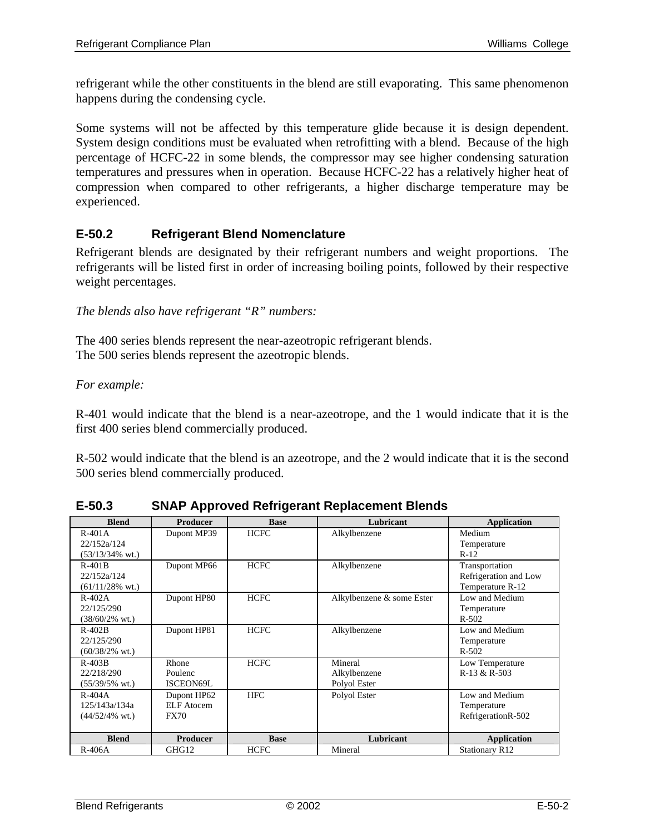refrigerant while the other constituents in the blend are still evaporating. This same phenomenon happens during the condensing cycle.

Some systems will not be affected by this temperature glide because it is design dependent. System design conditions must be evaluated when retrofitting with a blend. Because of the high percentage of HCFC-22 in some blends, the compressor may see higher condensing saturation temperatures and pressures when in operation. Because HCFC-22 has a relatively higher heat of compression when compared to other refrigerants, a higher discharge temperature may be experienced.

## **E-50.2 Refrigerant Blend Nomenclature**

Refrigerant blends are designated by their refrigerant numbers and weight proportions. The refrigerants will be listed first in order of increasing boiling points, followed by their respective weight percentages.

*The blends also have refrigerant "R" numbers:*

The 400 series blends represent the near-azeotropic refrigerant blends. The 500 series blends represent the azeotropic blends.

#### *For example:*

R-401 would indicate that the blend is a near-azeotrope, and the 1 would indicate that it is the first 400 series blend commercially produced.

R-502 would indicate that the blend is an azeotrope, and the 2 would indicate that it is the second 500 series blend commercially produced.

| <b>Blend</b>               | <b>Producer</b>   | <b>Base</b> | Lubricant                 | <b>Application</b>    |
|----------------------------|-------------------|-------------|---------------------------|-----------------------|
| $R-401A$                   | Dupont MP39       | <b>HCFC</b> | Alkylbenzene              | Medium                |
| 22/152a/124                |                   |             |                           | Temperature           |
| $(53/13/34\% \text{ wt.})$ |                   |             |                           | $R-12$                |
| $R-401B$                   | Dupont MP66       | <b>HCFC</b> | Alkylbenzene              | Transportation        |
| 22/152a/124                |                   |             |                           | Refrigeration and Low |
| $(61/11/28\% \text{ wt.})$ |                   |             |                           | Temperature R-12      |
| $R-402A$                   | Dupont HP80       | <b>HCFC</b> | Alkylbenzene & some Ester | Low and Medium        |
| 22/125/290                 |                   |             |                           | Temperature           |
| $(38/60/2\% \text{ wt.})$  |                   |             |                           | $R - 502$             |
| $R-402B$                   | Dupont HP81       | <b>HCFC</b> | Alkylbenzene              | Low and Medium        |
| 22/125/290                 |                   |             |                           | Temperature           |
| $(60/38/2\% \text{ wt.})$  |                   |             |                           | $R - 502$             |
| $R-403B$                   | Rhone             | <b>HCFC</b> | Mineral                   | Low Temperature       |
| 22/218/290                 | Poulenc           |             | Alkylbenzene              | R-13 & R-503          |
| $(55/39/5\% \text{ wt.})$  | ISCEON69L         |             | Polyol Ester              |                       |
| $R-404A$                   | Dupont HP62       | <b>HFC</b>  | Polyol Ester              | Low and Medium        |
| 125/143a/134a              | <b>ELF</b> Atocem |             |                           | Temperature           |
| $(44/52/4\% \text{ wt.})$  | <b>FX70</b>       |             |                           | RefrigerationR-502    |
|                            |                   |             |                           |                       |
| <b>Blend</b>               | <b>Producer</b>   | <b>Base</b> | Lubricant                 | <b>Application</b>    |
| $R-406A$                   | GHG12             | <b>HCFC</b> | Mineral                   | <b>Stationary R12</b> |

**E-50.3 SNAP Approved Refrigerant Replacement Blends**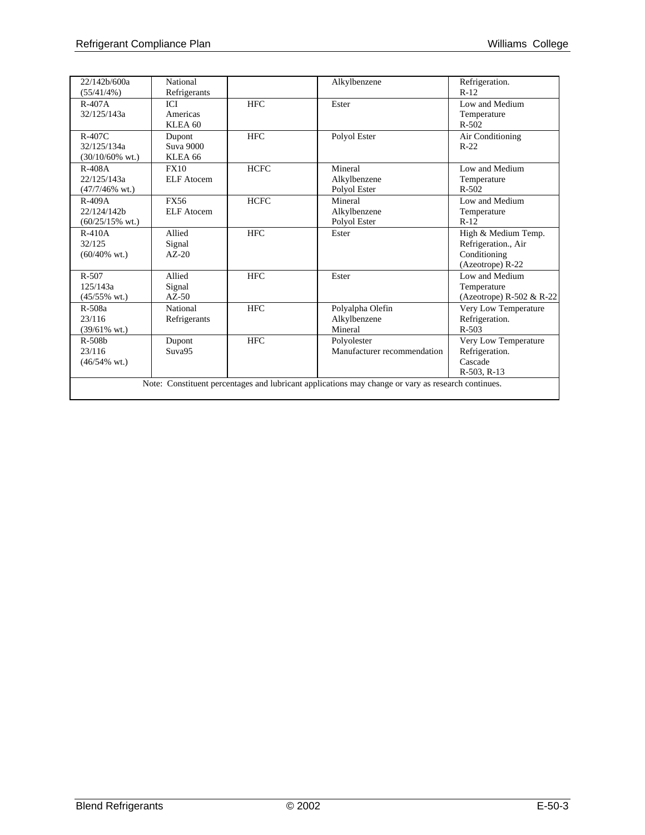| 22/142b/600a               | National           |             | Alkylbenzene                                                                                       | Refrigeration.           |
|----------------------------|--------------------|-------------|----------------------------------------------------------------------------------------------------|--------------------------|
| (55/41/4%)                 | Refrigerants       |             |                                                                                                    | $R-12$                   |
| $R-407A$                   | ICI                | <b>HFC</b>  | Ester                                                                                              | Low and Medium           |
| 32/125/143a                | Americas           |             |                                                                                                    | Temperature              |
|                            | KLEA <sub>60</sub> |             |                                                                                                    | $R - 502$                |
| $R-407C$                   | Dupont             | <b>HFC</b>  | Polyol Ester                                                                                       | Air Conditioning         |
| 32/125/134a                | Suva 9000          |             |                                                                                                    | $R-22$                   |
| $(30/10/60\% \text{ wt.})$ | KLEA <sub>66</sub> |             |                                                                                                    |                          |
| $R-408A$                   | <b>FX10</b>        | <b>HCFC</b> | Mineral                                                                                            | Low and Medium           |
| 22/125/143a                | ELF Atocem         |             | Alkylbenzene                                                                                       | Temperature              |
| $(47/7/46\%$ wt.)          |                    |             | Polyol Ester                                                                                       | $R - 502$                |
| $R-409A$                   | <b>FX56</b>        | <b>HCFC</b> | Mineral                                                                                            | Low and Medium           |
| 22/124/142b                | ELF Atocem         |             | Alkylbenzene                                                                                       | Temperature              |
| $(60/25/15\% \text{ wt.})$ |                    |             | Polyol Ester                                                                                       | $R-12$                   |
| $R-410A$                   | Allied             | <b>HFC</b>  | Ester                                                                                              | High & Medium Temp.      |
| 32/125                     | Signal             |             |                                                                                                    | Refrigeration., Air      |
| $(60/40\% \text{ wt.})$    | $AZ-20$            |             |                                                                                                    | Conditioning             |
|                            |                    |             |                                                                                                    | (Azeotrope) R-22         |
| $R - 507$                  | Allied             | <b>HFC</b>  | Ester                                                                                              | Low and Medium           |
| 125/143a                   | Signal             |             |                                                                                                    | Temperature              |
| $(45/55\% \text{ wt.})$    | $AZ-50$            |             |                                                                                                    | (Azeotrope) R-502 & R-22 |
| $R-508a$                   | National           | <b>HFC</b>  | Polyalpha Olefin                                                                                   | Very Low Temperature     |
| 23/116                     | Refrigerants       |             | Alkylbenzene                                                                                       | Refrigeration.           |
| $(39/61\% \text{ wt.})$    |                    |             | Mineral                                                                                            | $R - 503$                |
| $R-508b$                   | Dupont             | <b>HFC</b>  | Polyolester                                                                                        | Very Low Temperature     |
| 23/116                     | Suva95             |             | Manufacturer recommendation                                                                        | Refrigeration.           |
| $(46/54\% \text{ wt.})$    |                    |             |                                                                                                    | Cascade                  |
|                            |                    |             |                                                                                                    | $R-503$ , $R-13$         |
|                            |                    |             | Note: Constituent percentages and lubricant applications may change or vary as research continues. |                          |
|                            |                    |             |                                                                                                    |                          |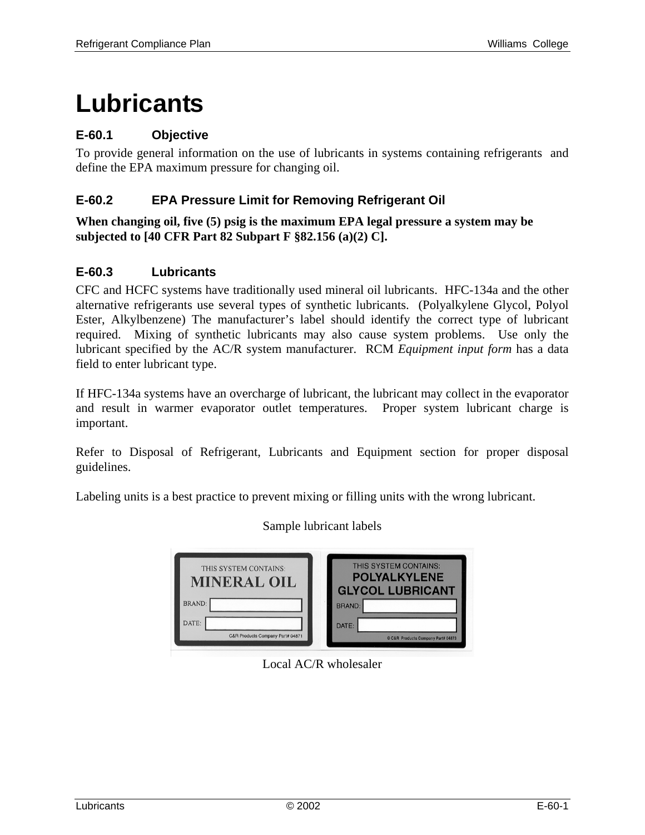## **Lubricants**

## **E-60.1 Objective**

To provide general information on the use of lubricants in systems containing refrigerants and define the EPA maximum pressure for changing oil.

#### **E-60.2 EPA Pressure Limit for Removing Refrigerant Oil**

**When changing oil, five (5) psig is the maximum EPA legal pressure a system may be subjected to [40 CFR Part 82 Subpart F §82.156 (a)(2) C].** 

#### **E-60.3 Lubricants**

CFC and HCFC systems have traditionally used mineral oil lubricants. HFC-134a and the other alternative refrigerants use several types of synthetic lubricants. (Polyalkylene Glycol, Polyol Ester, Alkylbenzene) The manufacturer's label should identify the correct type of lubricant required. Mixing of synthetic lubricants may also cause system problems. Use only the lubricant specified by the AC/R system manufacturer. RCM *Equipment input form* has a data field to enter lubricant type.

If HFC-134a systems have an overcharge of lubricant, the lubricant may collect in the evaporator and result in warmer evaporator outlet temperatures. Proper system lubricant charge is important.

Refer to Disposal of Refrigerant, Lubricants and Equipment section for proper disposal guidelines.

Labeling units is a best practice to prevent mixing or filling units with the wrong lubricant.

| THIS SYSTEM CONTAINS:<br><b>MINERAL OIL</b> | THIS SYSTEM CONTAINS:<br><b>POLYALKYLENE</b><br><b>GLYCOL LUBRICANT</b> |
|---------------------------------------------|-------------------------------------------------------------------------|
| <b>BRAND:</b>                               | <b>BRAND:</b>                                                           |
| DATE:<br>C&R Products Company Part# 04871   | DATE:<br>© C&R Products Company Part# 04873                             |

## Sample lubricant labels

Local AC/R wholesaler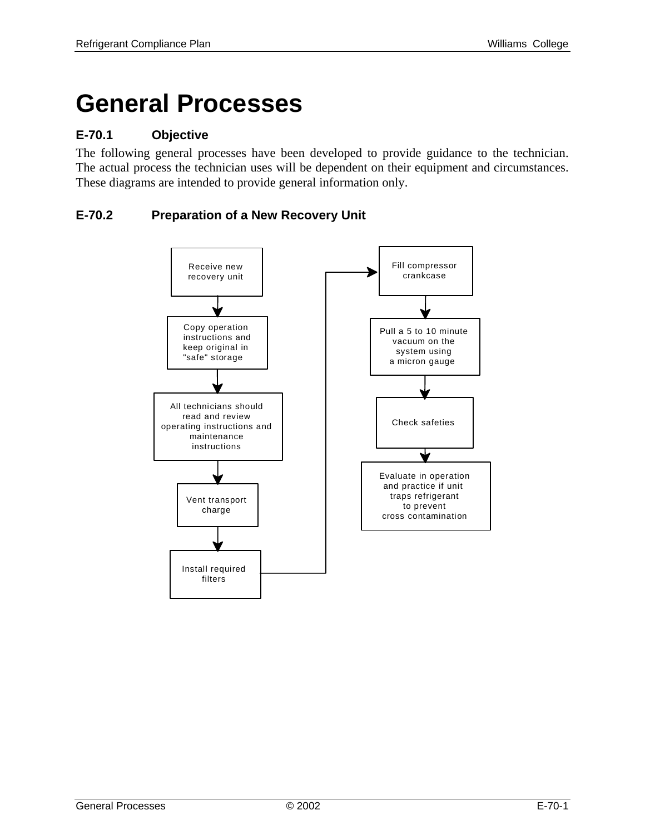## **General Processes**

## **E-70.1 Objective**

The following general processes have been developed to provide guidance to the technician. The actual process the technician uses will be dependent on their equipment and circumstances. These diagrams are intended to provide general information only.

## **E-70.2 Preparation of a New Recovery Unit**

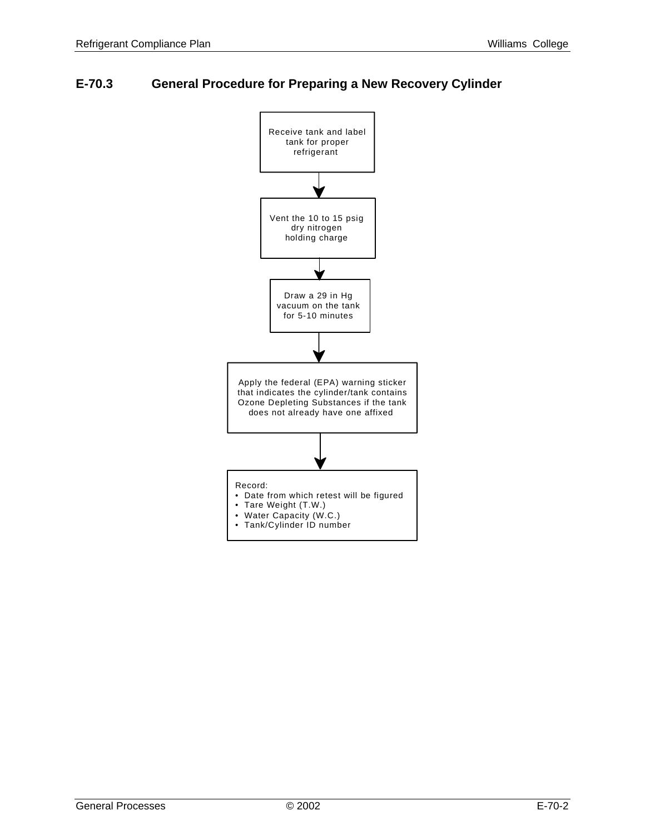## **E-70.3 General Procedure for Preparing a New Recovery Cylinder**

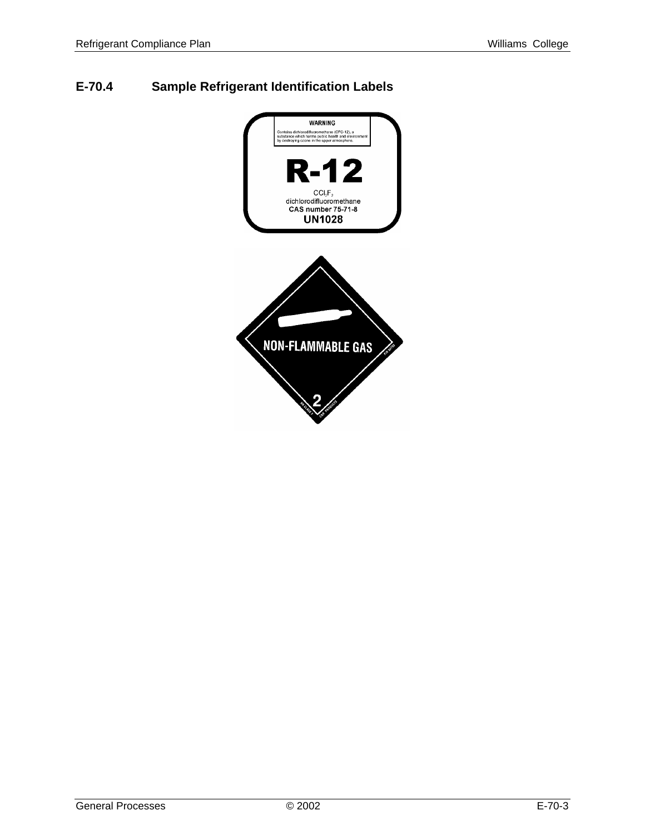## **E-70.4 Sample Refrigerant Identification Labels**

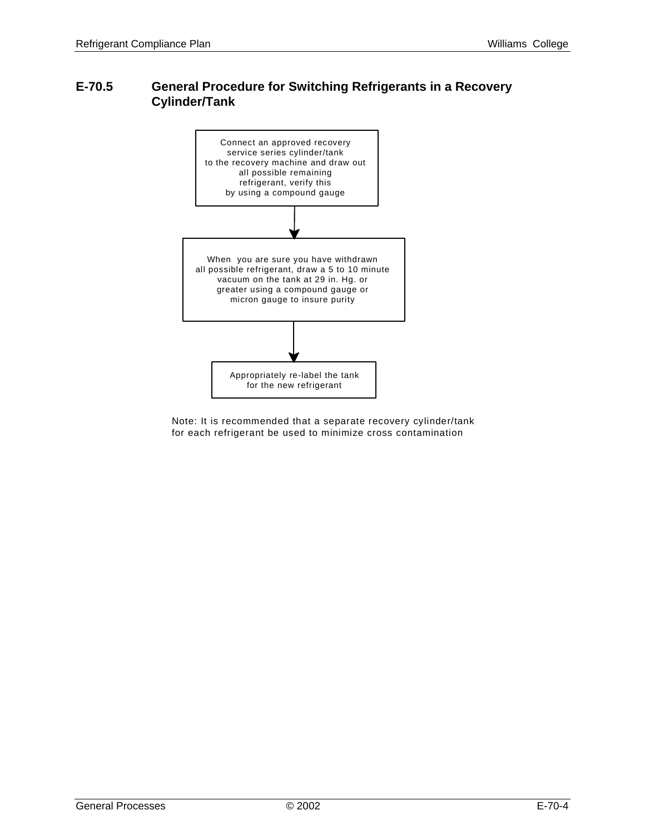## **E-70.5 General Procedure for Switching Refrigerants in a Recovery Cylinder/Tank**



Note: It is recommended that a separate recovery cylinder/tank for each refrigerant be used to minimize cross contamination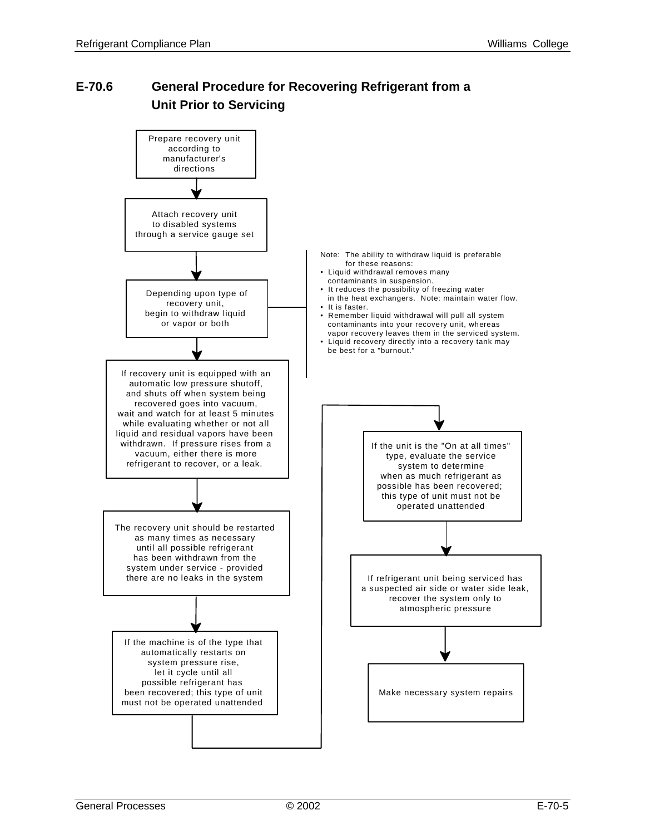## **E-70.6 General Procedure for Recovering Refrigerant from a Unit Prior to Servicing**

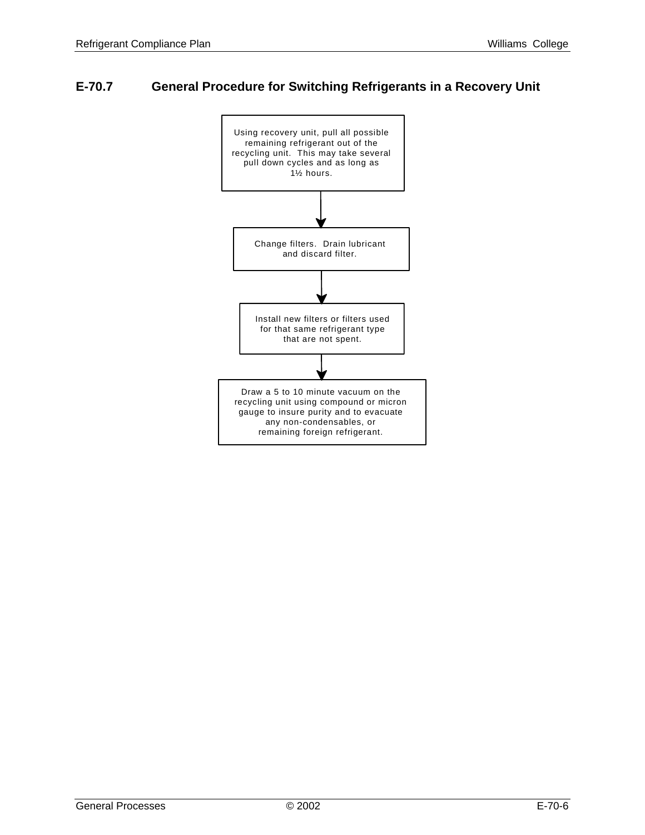## **E-70.7 General Procedure for Switching Refrigerants in a Recovery Unit**

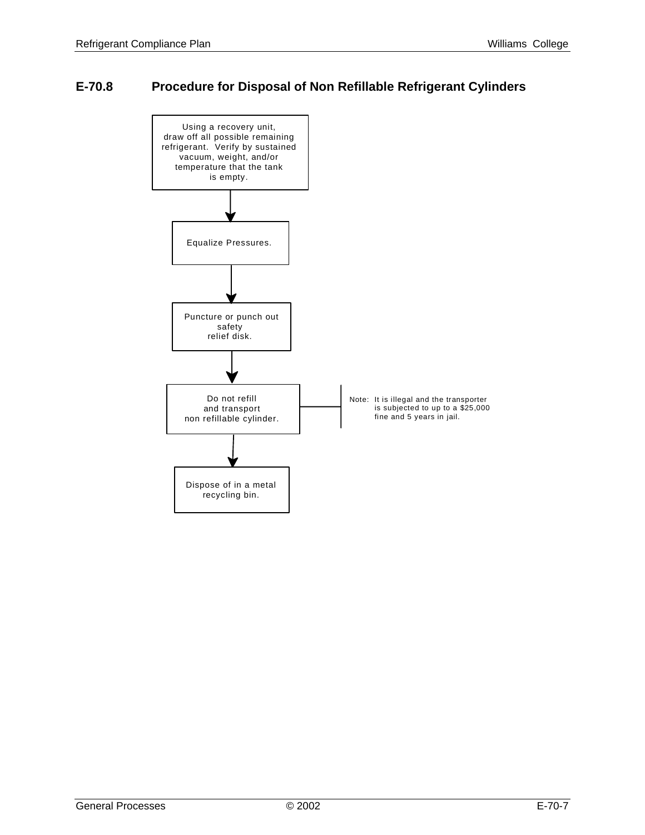## **E-70.8 Procedure for Disposal of Non Refillable Refrigerant Cylinders**

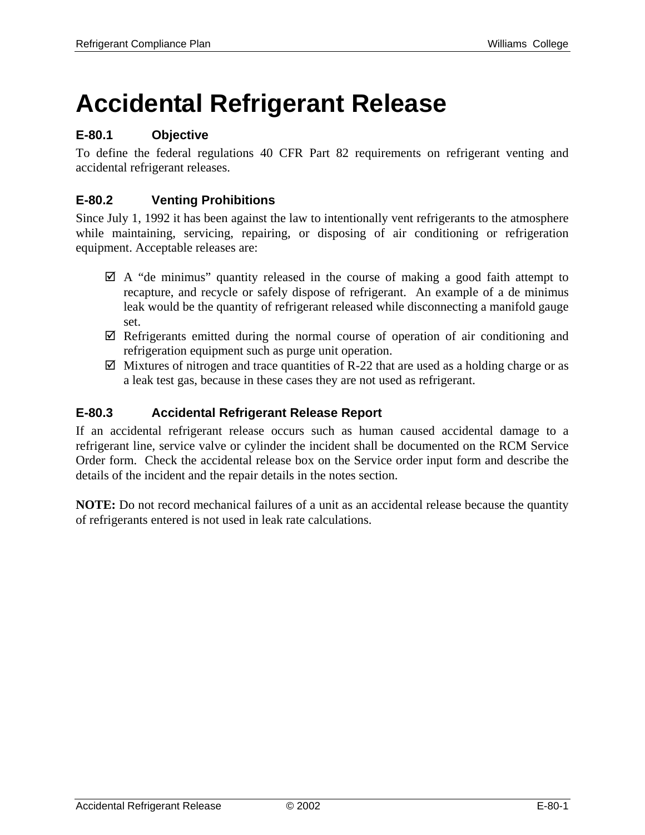# **Accidental Refrigerant Release**

## **E-80.1 Objective**

To define the federal regulations 40 CFR Part 82 requirements on refrigerant venting and accidental refrigerant releases.

## **E-80.2 Venting Prohibitions**

Since July 1, 1992 it has been against the law to intentionally vent refrigerants to the atmosphere while maintaining, servicing, repairing, or disposing of air conditioning or refrigeration equipment. Acceptable releases are:

- $\boxtimes$  A "de minimus" quantity released in the course of making a good faith attempt to recapture, and recycle or safely dispose of refrigerant. An example of a de minimus leak would be the quantity of refrigerant released while disconnecting a manifold gauge set.
- $\boxtimes$  Refrigerants emitted during the normal course of operation of air conditioning and refrigeration equipment such as purge unit operation.
- $\boxtimes$  Mixtures of nitrogen and trace quantities of R-22 that are used as a holding charge or as a leak test gas, because in these cases they are not used as refrigerant.

### **E-80.3 Accidental Refrigerant Release Report**

If an accidental refrigerant release occurs such as human caused accidental damage to a refrigerant line, service valve or cylinder the incident shall be documented on the RCM Service Order form. Check the accidental release box on the Service order input form and describe the details of the incident and the repair details in the notes section.

**NOTE:** Do not record mechanical failures of a unit as an accidental release because the quantity of refrigerants entered is not used in leak rate calculations.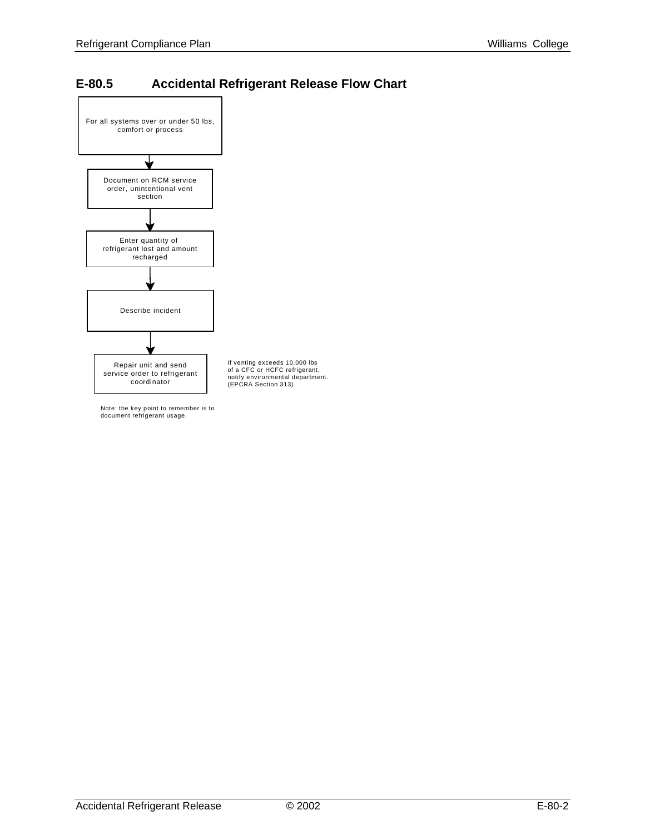## **E-80.5 Accidental Refrigerant Release Flow Chart**



Note: the key point to remember is to document refrigerant usage.

Accidental Refrigerant Release  $\oslash$  2002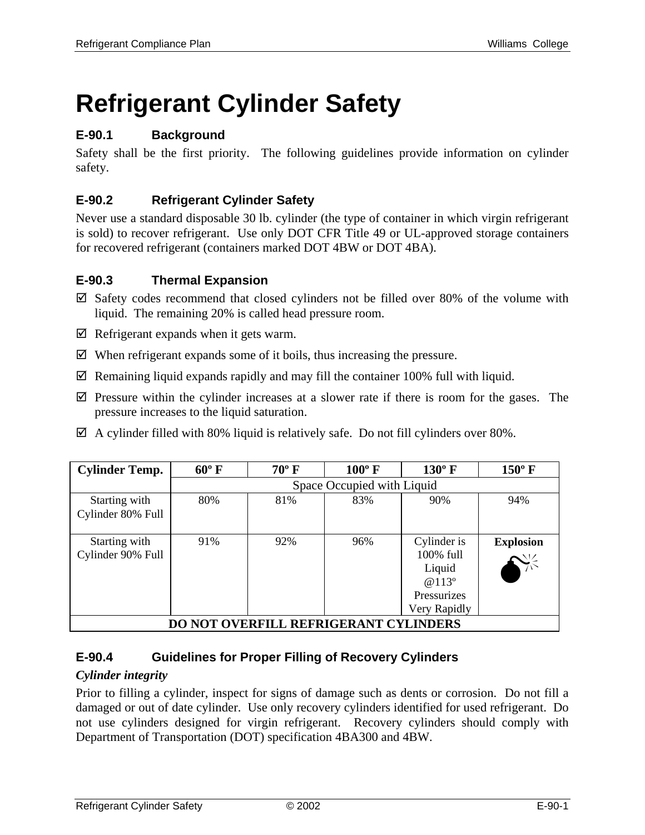# **Refrigerant Cylinder Safety**

## **E-90.1 Background**

Safety shall be the first priority. The following guidelines provide information on cylinder safety.

## **E-90.2 Refrigerant Cylinder Safety**

Never use a standard disposable 30 lb. cylinder (the type of container in which virgin refrigerant is sold) to recover refrigerant. Use only DOT CFR Title 49 or UL-approved storage containers for recovered refrigerant (containers marked DOT 4BW or DOT 4BA).

#### **E-90.3 Thermal Expansion**

- $\boxtimes$  Safety codes recommend that closed cylinders not be filled over 80% of the volume with liquid. The remaining 20% is called head pressure room.
- $\boxtimes$  Refrigerant expands when it gets warm.
- $\boxtimes$  When refrigerant expands some of it boils, thus increasing the pressure.
- $\boxtimes$  Remaining liquid expands rapidly and may fill the container 100% full with liquid.
- $\boxtimes$  Pressure within the cylinder increases at a slower rate if there is room for the gases. The pressure increases to the liquid saturation.
- $\boxtimes$  A cylinder filled with 80% liquid is relatively safe. Do not fill cylinders over 80%.

| <b>Cylinder Temp.</b>                        | $60^{\circ}$ F             | $70^{\circ}$ F | $100^{\circ}$ F | $130^{\circ}$ F                                                                         | $150^{\circ}$ F  |
|----------------------------------------------|----------------------------|----------------|-----------------|-----------------------------------------------------------------------------------------|------------------|
|                                              | Space Occupied with Liquid |                |                 |                                                                                         |                  |
| Starting with<br>Cylinder 80% Full           | 80%                        | 81%            | 83%             | 90%                                                                                     | 94%              |
| Starting with<br>Cylinder 90% Full           | 91%                        | 92%            | 96%             | Cylinder is<br>100% full<br>Liquid<br>@ 113 <sup>o</sup><br>Pressurizes<br>Very Rapidly | <b>Explosion</b> |
| <b>DO NOT OVERFILL REFRIGERANT CYLINDERS</b> |                            |                |                 |                                                                                         |                  |

## **E-90.4 Guidelines for Proper Filling of Recovery Cylinders**

#### *Cylinder integrity*

Prior to filling a cylinder, inspect for signs of damage such as dents or corrosion. Do not fill a damaged or out of date cylinder. Use only recovery cylinders identified for used refrigerant. Do not use cylinders designed for virgin refrigerant. Recovery cylinders should comply with Department of Transportation (DOT) specification 4BA300 and 4BW.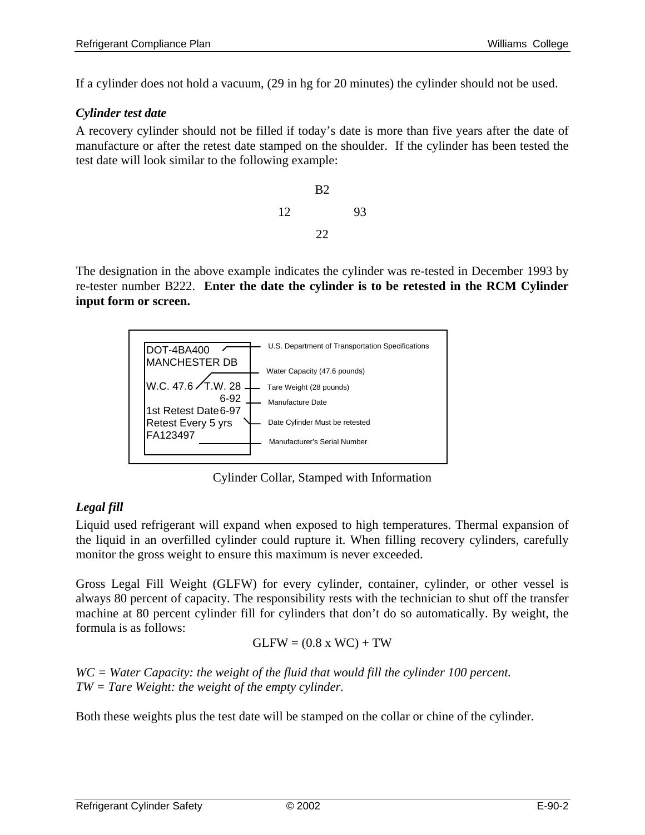If a cylinder does not hold a vacuum, (29 in hg for 20 minutes) the cylinder should not be used.

#### *Cylinder test date*

A recovery cylinder should not be filled if today's date is more than five years after the date of manufacture or after the retest date stamped on the shoulder. If the cylinder has been tested the test date will look similar to the following example:



The designation in the above example indicates the cylinder was re-tested in December 1993 by re-tester number B222. **Enter the date the cylinder is to be retested in the RCM Cylinder input form or screen.** 



Cylinder Collar, Stamped with Information

## *Legal fill*

Liquid used refrigerant will expand when exposed to high temperatures. Thermal expansion of the liquid in an overfilled cylinder could rupture it. When filling recovery cylinders, carefully monitor the gross weight to ensure this maximum is never exceeded.

Gross Legal Fill Weight (GLFW) for every cylinder, container, cylinder, or other vessel is always 80 percent of capacity. The responsibility rests with the technician to shut off the transfer machine at 80 percent cylinder fill for cylinders that don't do so automatically. By weight, the formula is as follows:

$$
GLFW = (0.8 \times WC) + TW
$$

*WC = Water Capacity: the weight of the fluid that would fill the cylinder 100 percent. TW = Tare Weight: the weight of the empty cylinder.* 

Both these weights plus the test date will be stamped on the collar or chine of the cylinder.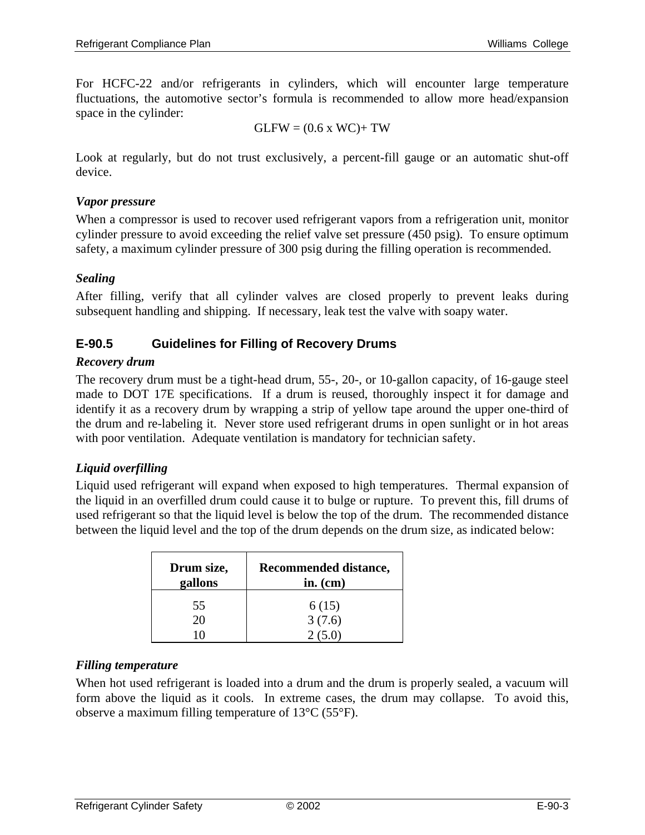For HCFC-22 and/or refrigerants in cylinders, which will encounter large temperature fluctuations, the automotive sector's formula is recommended to allow more head/expansion space in the cylinder:

$$
GLFW = (0.6 \times WC) + TW
$$

Look at regularly, but do not trust exclusively, a percent-fill gauge or an automatic shut-off device.

#### *Vapor pressure*

When a compressor is used to recover used refrigerant vapors from a refrigeration unit, monitor cylinder pressure to avoid exceeding the relief valve set pressure (450 psig). To ensure optimum safety, a maximum cylinder pressure of 300 psig during the filling operation is recommended.

#### *Sealing*

After filling, verify that all cylinder valves are closed properly to prevent leaks during subsequent handling and shipping. If necessary, leak test the valve with soapy water.

#### **E-90.5 Guidelines for Filling of Recovery Drums**

#### *Recovery drum*

The recovery drum must be a tight-head drum, 55-, 20-, or 10-gallon capacity, of 16-gauge steel made to DOT 17E specifications. If a drum is reused, thoroughly inspect it for damage and identify it as a recovery drum by wrapping a strip of yellow tape around the upper one-third of the drum and re-labeling it. Never store used refrigerant drums in open sunlight or in hot areas with poor ventilation. Adequate ventilation is mandatory for technician safety.

#### *Liquid overfilling*

Liquid used refrigerant will expand when exposed to high temperatures. Thermal expansion of the liquid in an overfilled drum could cause it to bulge or rupture. To prevent this, fill drums of used refrigerant so that the liquid level is below the top of the drum. The recommended distance between the liquid level and the top of the drum depends on the drum size, as indicated below:

| Drum size,<br>gallons | Recommended distance,<br>in. $(cm)$ |
|-----------------------|-------------------------------------|
| 55                    | 6(15)                               |
| 20                    | 3(7.6)                              |
|                       | 2(5.0)                              |

#### *Filling temperature*

When hot used refrigerant is loaded into a drum and the drum is properly sealed, a vacuum will form above the liquid as it cools. In extreme cases, the drum may collapse. To avoid this, observe a maximum filling temperature of 13°C (55°F).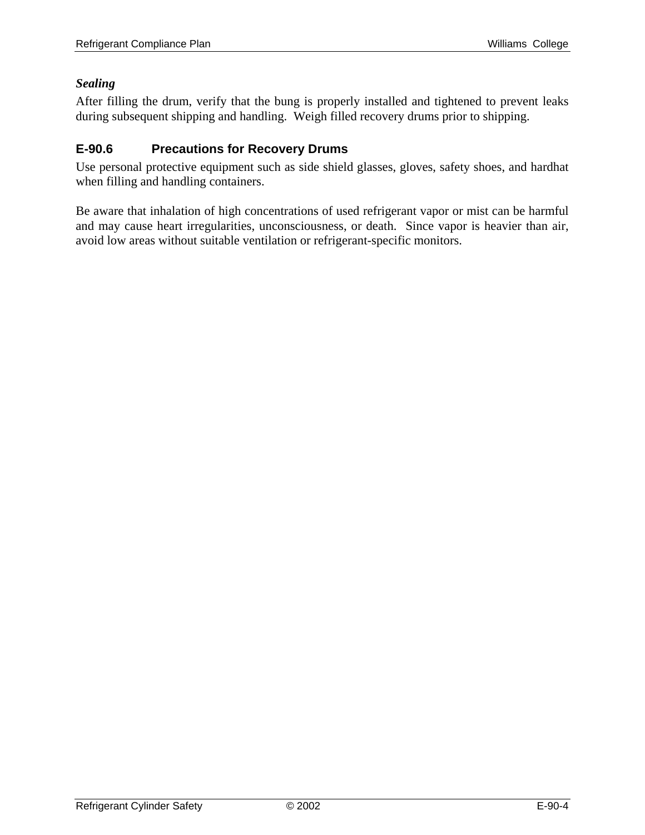#### *Sealing*

After filling the drum, verify that the bung is properly installed and tightened to prevent leaks during subsequent shipping and handling. Weigh filled recovery drums prior to shipping.

## **E-90.6 Precautions for Recovery Drums**

Use personal protective equipment such as side shield glasses, gloves, safety shoes, and hardhat when filling and handling containers.

Be aware that inhalation of high concentrations of used refrigerant vapor or mist can be harmful and may cause heart irregularities, unconsciousness, or death. Since vapor is heavier than air, avoid low areas without suitable ventilation or refrigerant-specific monitors.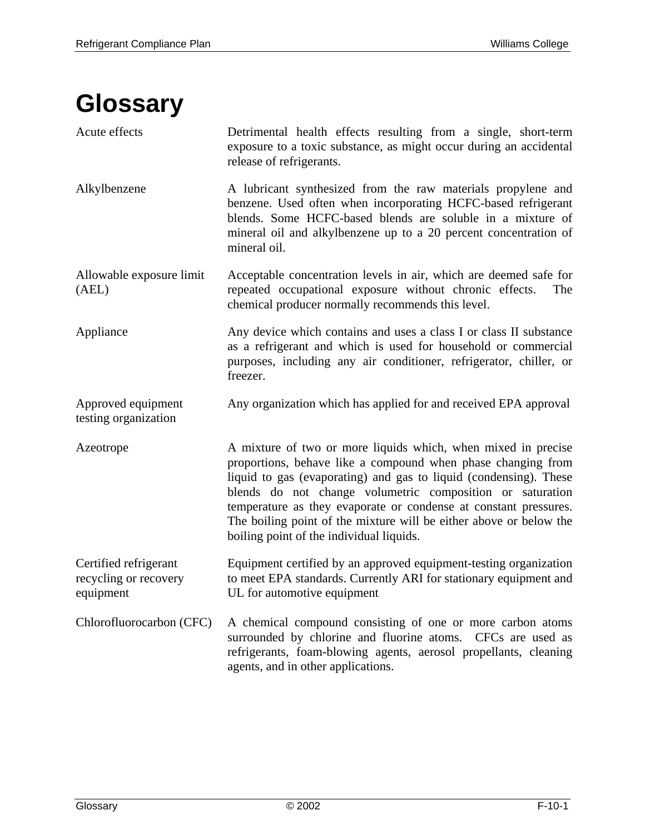## **Glossary**

| Acute effects                                               | Detrimental health effects resulting from a single, short-term<br>exposure to a toxic substance, as might occur during an accidental<br>release of refrigerants.                                                                                                                                                                                                                                                                                      |
|-------------------------------------------------------------|-------------------------------------------------------------------------------------------------------------------------------------------------------------------------------------------------------------------------------------------------------------------------------------------------------------------------------------------------------------------------------------------------------------------------------------------------------|
| Alkylbenzene                                                | A lubricant synthesized from the raw materials propylene and<br>benzene. Used often when incorporating HCFC-based refrigerant<br>blends. Some HCFC-based blends are soluble in a mixture of<br>mineral oil and alkylbenzene up to a 20 percent concentration of<br>mineral oil.                                                                                                                                                                       |
| Allowable exposure limit<br>(AEL)                           | Acceptable concentration levels in air, which are deemed safe for<br>repeated occupational exposure without chronic effects.<br>The<br>chemical producer normally recommends this level.                                                                                                                                                                                                                                                              |
| Appliance                                                   | Any device which contains and uses a class I or class II substance<br>as a refrigerant and which is used for household or commercial<br>purposes, including any air conditioner, refrigerator, chiller, or<br>freezer.                                                                                                                                                                                                                                |
| Approved equipment<br>testing organization                  | Any organization which has applied for and received EPA approval                                                                                                                                                                                                                                                                                                                                                                                      |
| Azeotrope                                                   | A mixture of two or more liquids which, when mixed in precise<br>proportions, behave like a compound when phase changing from<br>liquid to gas (evaporating) and gas to liquid (condensing). These<br>blends do not change volumetric composition or saturation<br>temperature as they evaporate or condense at constant pressures.<br>The boiling point of the mixture will be either above or below the<br>boiling point of the individual liquids. |
| Certified refrigerant<br>recycling or recovery<br>equipment | Equipment certified by an approved equipment-testing organization<br>to meet EPA standards. Currently ARI for stationary equipment and<br>UL for automotive equipment                                                                                                                                                                                                                                                                                 |
| Chlorofluorocarbon (CFC)                                    | A chemical compound consisting of one or more carbon atoms<br>surrounded by chlorine and fluorine atoms. CFCs are used as<br>refrigerants, foam-blowing agents, aerosol propellants, cleaning<br>agents, and in other applications.                                                                                                                                                                                                                   |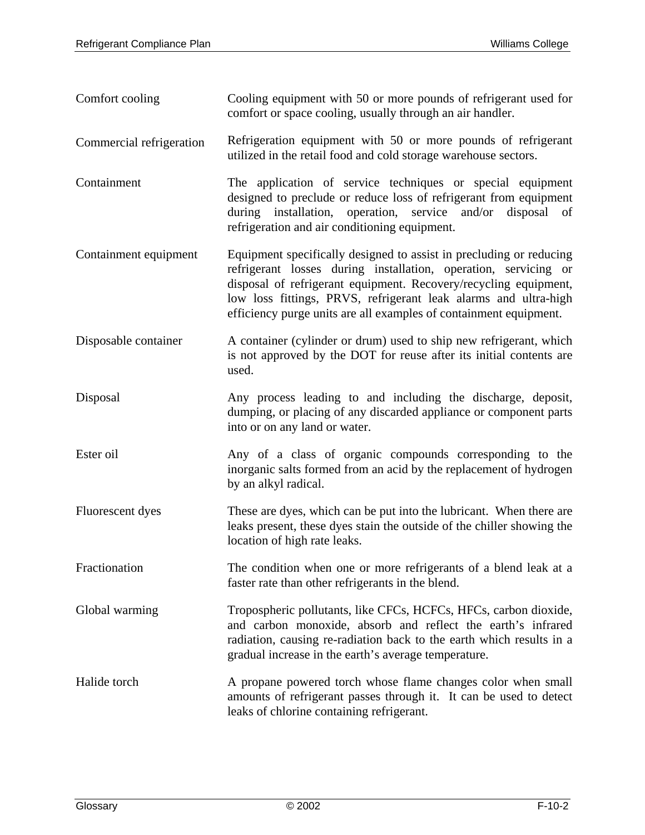| Comfort cooling          | Cooling equipment with 50 or more pounds of refrigerant used for<br>comfort or space cooling, usually through an air handler.                                                                                                                                                                                                                      |
|--------------------------|----------------------------------------------------------------------------------------------------------------------------------------------------------------------------------------------------------------------------------------------------------------------------------------------------------------------------------------------------|
| Commercial refrigeration | Refrigeration equipment with 50 or more pounds of refrigerant<br>utilized in the retail food and cold storage warehouse sectors.                                                                                                                                                                                                                   |
| Containment              | The application of service techniques or special equipment<br>designed to preclude or reduce loss of refrigerant from equipment<br>during installation, operation, service and/or disposal<br>of<br>refrigeration and air conditioning equipment.                                                                                                  |
| Containment equipment    | Equipment specifically designed to assist in precluding or reducing<br>refrigerant losses during installation, operation, servicing or<br>disposal of refrigerant equipment. Recovery/recycling equipment,<br>low loss fittings, PRVS, refrigerant leak alarms and ultra-high<br>efficiency purge units are all examples of containment equipment. |
| Disposable container     | A container (cylinder or drum) used to ship new refrigerant, which<br>is not approved by the DOT for reuse after its initial contents are<br>used.                                                                                                                                                                                                 |
| Disposal                 | Any process leading to and including the discharge, deposit,<br>dumping, or placing of any discarded appliance or component parts<br>into or on any land or water.                                                                                                                                                                                 |
| Ester oil                | Any of a class of organic compounds corresponding to the<br>inorganic salts formed from an acid by the replacement of hydrogen<br>by an alkyl radical.                                                                                                                                                                                             |
| Fluorescent dyes         | These are dyes, which can be put into the lubricant. When there are<br>leaks present, these dyes stain the outside of the chiller showing the<br>location of high rate leaks.                                                                                                                                                                      |
| Fractionation            | The condition when one or more refrigerants of a blend leak at a<br>faster rate than other refrigerants in the blend.                                                                                                                                                                                                                              |
| Global warming           | Tropospheric pollutants, like CFCs, HCFCs, HFCs, carbon dioxide,<br>and carbon monoxide, absorb and reflect the earth's infrared<br>radiation, causing re-radiation back to the earth which results in a<br>gradual increase in the earth's average temperature.                                                                                   |
| Halide torch             | A propane powered torch whose flame changes color when small<br>amounts of refrigerant passes through it. It can be used to detect<br>leaks of chlorine containing refrigerant.                                                                                                                                                                    |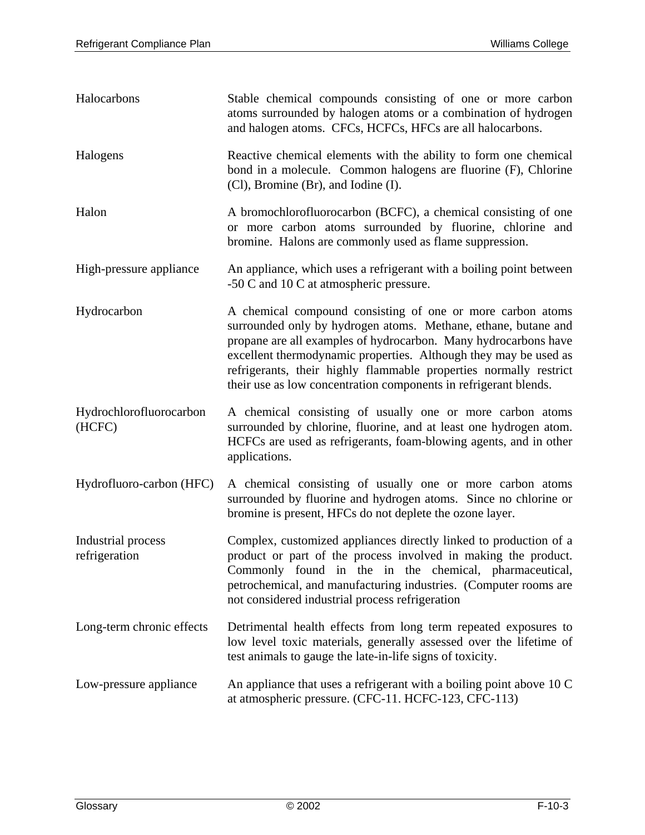| Halocarbons                         | Stable chemical compounds consisting of one or more carbon<br>atoms surrounded by halogen atoms or a combination of hydrogen<br>and halogen atoms. CFCs, HCFCs, HFCs are all halocarbons.                                                                                                                                                                                                                    |
|-------------------------------------|--------------------------------------------------------------------------------------------------------------------------------------------------------------------------------------------------------------------------------------------------------------------------------------------------------------------------------------------------------------------------------------------------------------|
| Halogens                            | Reactive chemical elements with the ability to form one chemical<br>bond in a molecule. Common halogens are fluorine (F), Chlorine<br>(Cl), Bromine (Br), and Iodine (I).                                                                                                                                                                                                                                    |
| Halon                               | A bromochlorofluorocarbon (BCFC), a chemical consisting of one<br>or more carbon atoms surrounded by fluorine, chlorine and<br>bromine. Halons are commonly used as flame suppression.                                                                                                                                                                                                                       |
| High-pressure appliance             | An appliance, which uses a refrigerant with a boiling point between<br>-50 C and 10 C at atmospheric pressure.                                                                                                                                                                                                                                                                                               |
| Hydrocarbon                         | A chemical compound consisting of one or more carbon atoms<br>surrounded only by hydrogen atoms. Methane, ethane, butane and<br>propane are all examples of hydrocarbon. Many hydrocarbons have<br>excellent thermodynamic properties. Although they may be used as<br>refrigerants, their highly flammable properties normally restrict<br>their use as low concentration components in refrigerant blends. |
| Hydrochlorofluorocarbon<br>(HCFC)   | A chemical consisting of usually one or more carbon atoms<br>surrounded by chlorine, fluorine, and at least one hydrogen atom.<br>HCFCs are used as refrigerants, foam-blowing agents, and in other<br>applications.                                                                                                                                                                                         |
| Hydrofluoro-carbon (HFC)            | A chemical consisting of usually one or more carbon atoms<br>surrounded by fluorine and hydrogen atoms. Since no chlorine or<br>bromine is present, HFCs do not deplete the ozone layer.                                                                                                                                                                                                                     |
| Industrial process<br>refrigeration | Complex, customized appliances directly linked to production of a<br>product or part of the process involved in making the product.<br>Commonly found in the in the chemical, pharmaceutical,<br>petrochemical, and manufacturing industries. (Computer rooms are<br>not considered industrial process refrigeration                                                                                         |
| Long-term chronic effects           | Detrimental health effects from long term repeated exposures to<br>low level toxic materials, generally assessed over the lifetime of<br>test animals to gauge the late-in-life signs of toxicity.                                                                                                                                                                                                           |
| Low-pressure appliance              | An appliance that uses a refrigerant with a boiling point above 10 C<br>at atmospheric pressure. (CFC-11. HCFC-123, CFC-113)                                                                                                                                                                                                                                                                                 |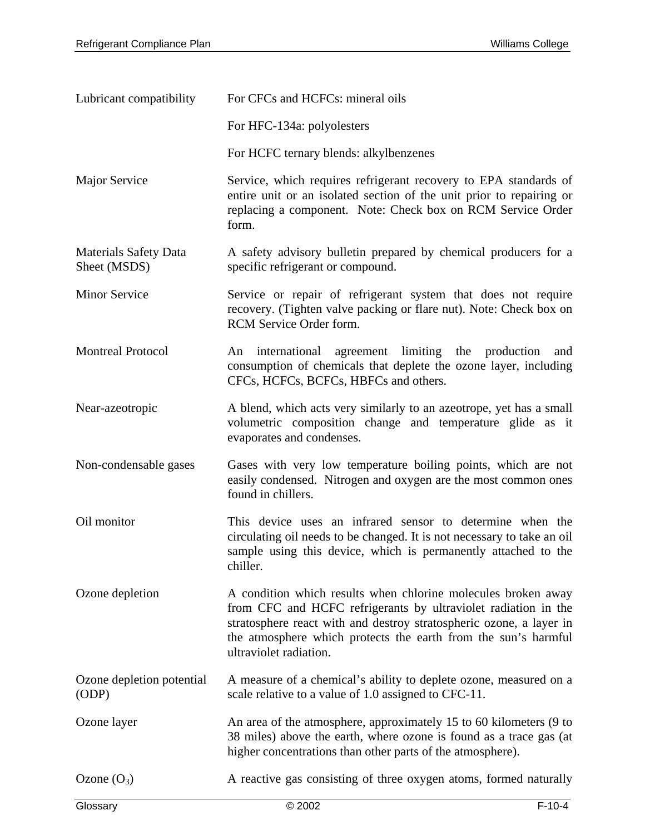| Lubricant compatibility                      | For CFCs and HCFCs: mineral oils                                                                                                                                                                                                                                                                   |  |
|----------------------------------------------|----------------------------------------------------------------------------------------------------------------------------------------------------------------------------------------------------------------------------------------------------------------------------------------------------|--|
|                                              | For HFC-134a: polyolesters                                                                                                                                                                                                                                                                         |  |
|                                              | For HCFC ternary blends: alkylbenzenes                                                                                                                                                                                                                                                             |  |
| Major Service                                | Service, which requires refrigerant recovery to EPA standards of<br>entire unit or an isolated section of the unit prior to repairing or<br>replacing a component. Note: Check box on RCM Service Order<br>form.                                                                                   |  |
| <b>Materials Safety Data</b><br>Sheet (MSDS) | A safety advisory bulletin prepared by chemical producers for a<br>specific refrigerant or compound.                                                                                                                                                                                               |  |
| <b>Minor Service</b>                         | Service or repair of refrigerant system that does not require<br>recovery. (Tighten valve packing or flare nut). Note: Check box on<br>RCM Service Order form.                                                                                                                                     |  |
| <b>Montreal Protocol</b>                     | An international agreement limiting the production<br>and<br>consumption of chemicals that deplete the ozone layer, including<br>CFCs, HCFCs, BCFCs, HBFCs and others.                                                                                                                             |  |
| Near-azeotropic                              | A blend, which acts very similarly to an azeotrope, yet has a small<br>volumetric composition change and temperature glide as it<br>evaporates and condenses.                                                                                                                                      |  |
| Non-condensable gases                        | Gases with very low temperature boiling points, which are not<br>easily condensed. Nitrogen and oxygen are the most common ones<br>found in chillers.                                                                                                                                              |  |
| Oil monitor                                  | This device uses an infrared sensor to determine when the<br>circulating oil needs to be changed. It is not necessary to take an oil<br>sample using this device, which is permanently attached to the<br>chiller.                                                                                 |  |
| Ozone depletion                              | A condition which results when chlorine molecules broken away<br>from CFC and HCFC refrigerants by ultraviolet radiation in the<br>stratosphere react with and destroy stratospheric ozone, a layer in<br>the atmosphere which protects the earth from the sun's harmful<br>ultraviolet radiation. |  |
| Ozone depletion potential<br>(ODP)           | A measure of a chemical's ability to deplete ozone, measured on a<br>scale relative to a value of 1.0 assigned to CFC-11.                                                                                                                                                                          |  |
| Ozone layer                                  | An area of the atmosphere, approximately 15 to 60 kilometers (9 to<br>38 miles) above the earth, where ozone is found as a trace gas (at<br>higher concentrations than other parts of the atmosphere).                                                                                             |  |
| Ozone $(O_3)$                                | A reactive gas consisting of three oxygen atoms, formed naturally                                                                                                                                                                                                                                  |  |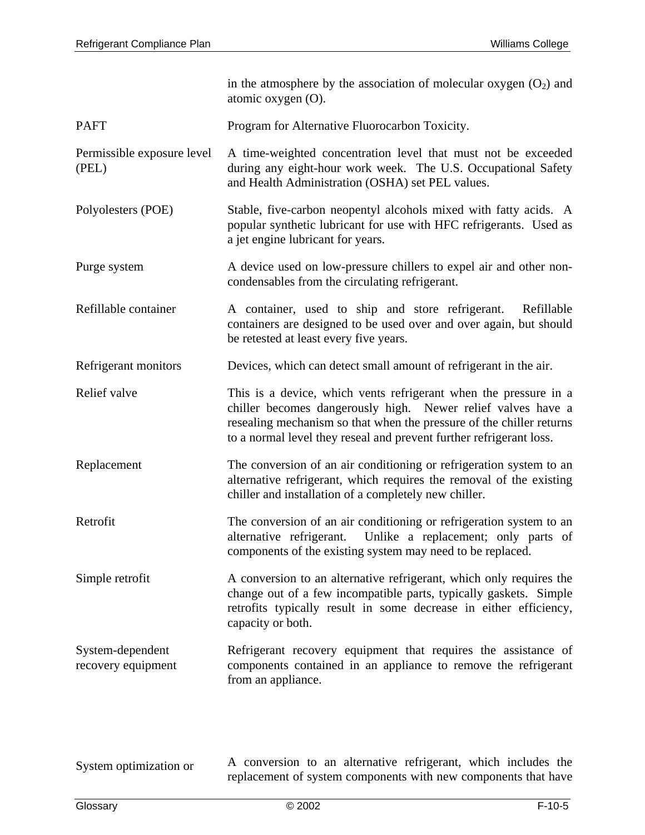|                                        | in the atmosphere by the association of molecular oxygen $(O_2)$ and<br>atomic oxygen $(O)$ .                                                                                                                                                                                   |
|----------------------------------------|---------------------------------------------------------------------------------------------------------------------------------------------------------------------------------------------------------------------------------------------------------------------------------|
| <b>PAFT</b>                            | Program for Alternative Fluorocarbon Toxicity.                                                                                                                                                                                                                                  |
| Permissible exposure level<br>(PEL)    | A time-weighted concentration level that must not be exceeded<br>during any eight-hour work week. The U.S. Occupational Safety<br>and Health Administration (OSHA) set PEL values.                                                                                              |
| Polyolesters (POE)                     | Stable, five-carbon neopentyl alcohols mixed with fatty acids. A<br>popular synthetic lubricant for use with HFC refrigerants. Used as<br>a jet engine lubricant for years.                                                                                                     |
| Purge system                           | A device used on low-pressure chillers to expel air and other non-<br>condensables from the circulating refrigerant.                                                                                                                                                            |
| Refillable container                   | A container, used to ship and store refrigerant.<br>Refillable<br>containers are designed to be used over and over again, but should<br>be retested at least every five years.                                                                                                  |
| Refrigerant monitors                   | Devices, which can detect small amount of refrigerant in the air.                                                                                                                                                                                                               |
| Relief valve                           | This is a device, which vents refrigerant when the pressure in a<br>chiller becomes dangerously high. Newer relief valves have a<br>resealing mechanism so that when the pressure of the chiller returns<br>to a normal level they reseal and prevent further refrigerant loss. |
| Replacement                            | The conversion of an air conditioning or refrigeration system to an<br>alternative refrigerant, which requires the removal of the existing<br>chiller and installation of a completely new chiller.                                                                             |
| Retrofit                               | The conversion of an air conditioning or refrigeration system to an<br>Unlike a replacement; only parts of<br>alternative refrigerant.<br>components of the existing system may need to be replaced.                                                                            |
| Simple retrofit                        | A conversion to an alternative refrigerant, which only requires the<br>change out of a few incompatible parts, typically gaskets. Simple<br>retrofits typically result in some decrease in either efficiency,<br>capacity or both.                                              |
| System-dependent<br>recovery equipment | Refrigerant recovery equipment that requires the assistance of<br>components contained in an appliance to remove the refrigerant<br>from an appliance.                                                                                                                          |
|                                        |                                                                                                                                                                                                                                                                                 |
| System optimization or                 | A conversion to an alternative refrigerant, which includes the                                                                                                                                                                                                                  |

replacement of system components with new components that have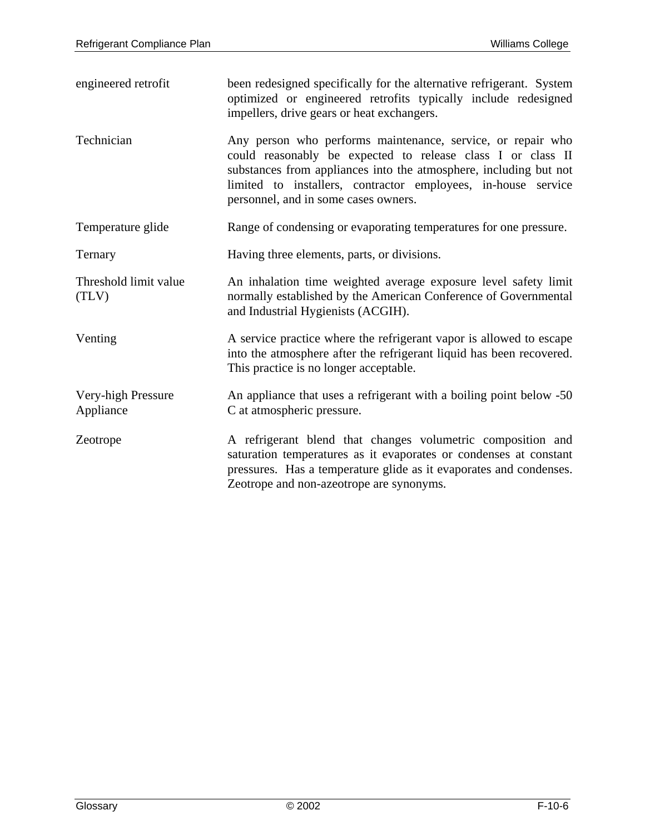| engineered retrofit             | been redesigned specifically for the alternative refrigerant. System<br>optimized or engineered retrofits typically include redesigned<br>impellers, drive gears or heat exchangers.                                                                                                                     |
|---------------------------------|----------------------------------------------------------------------------------------------------------------------------------------------------------------------------------------------------------------------------------------------------------------------------------------------------------|
| Technician                      | Any person who performs maintenance, service, or repair who<br>could reasonably be expected to release class I or class II<br>substances from appliances into the atmosphere, including but not<br>limited to installers, contractor employees, in-house service<br>personnel, and in some cases owners. |
| Temperature glide               | Range of condensing or evaporating temperatures for one pressure.                                                                                                                                                                                                                                        |
| Ternary                         | Having three elements, parts, or divisions.                                                                                                                                                                                                                                                              |
| Threshold limit value<br>(TLV)  | An inhalation time weighted average exposure level safety limit<br>normally established by the American Conference of Governmental<br>and Industrial Hygienists (ACGIH).                                                                                                                                 |
| Venting                         | A service practice where the refrigerant vapor is allowed to escape<br>into the atmosphere after the refrigerant liquid has been recovered.<br>This practice is no longer acceptable.                                                                                                                    |
| Very-high Pressure<br>Appliance | An appliance that uses a refrigerant with a boiling point below -50<br>C at atmospheric pressure.                                                                                                                                                                                                        |
| Zeotrope                        | A refrigerant blend that changes volumetric composition and<br>saturation temperatures as it evaporates or condenses at constant<br>pressures. Has a temperature glide as it evaporates and condenses.<br>Zeotrope and non-azeotrope are synonyms.                                                       |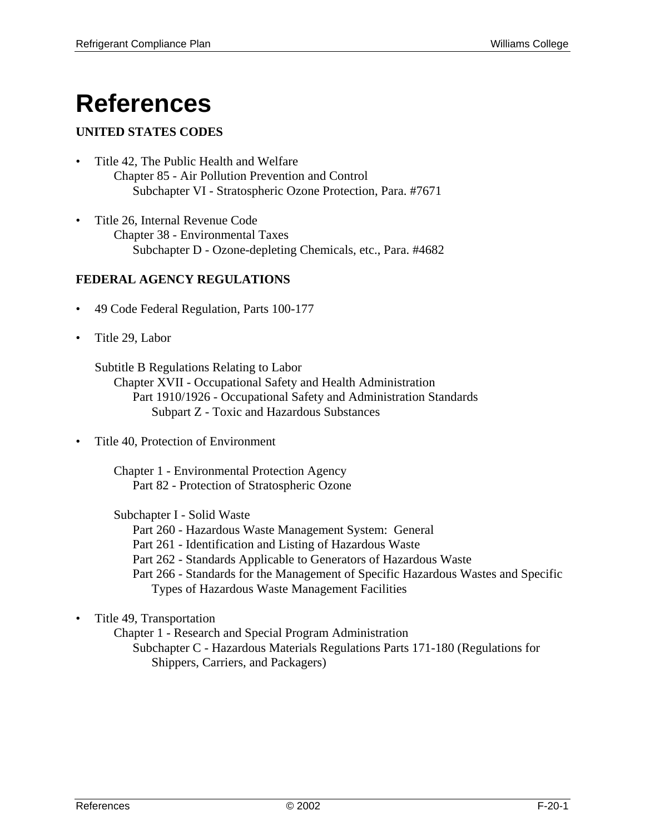# **References**

### **UNITED STATES CODES**

- Title 42, The Public Health and Welfare Chapter 85 - Air Pollution Prevention and Control Subchapter VI - Stratospheric Ozone Protection, Para. #7671
- Title 26, Internal Revenue Code Chapter 38 - Environmental Taxes Subchapter D - Ozone-depleting Chemicals, etc., Para. #4682

#### **FEDERAL AGENCY REGULATIONS**

- 49 Code Federal Regulation, Parts 100-177
- Title 29, Labor

Subtitle B Regulations Relating to Labor

 Chapter XVII - Occupational Safety and Health Administration Part 1910/1926 - Occupational Safety and Administration Standards Subpart Z - Toxic and Hazardous Substances

• Title 40, Protection of Environment

 Chapter 1 - Environmental Protection Agency Part 82 - Protection of Stratospheric Ozone

Subchapter I - Solid Waste

Part 260 - Hazardous Waste Management System: General

Part 261 - Identification and Listing of Hazardous Waste

Part 262 - Standards Applicable to Generators of Hazardous Waste

 Part 266 - Standards for the Management of Specific Hazardous Wastes and Specific Types of Hazardous Waste Management Facilities

#### • Title 49, Transportation

 Chapter 1 - Research and Special Program Administration Subchapter C - Hazardous Materials Regulations Parts 171-180 (Regulations for Shippers, Carriers, and Packagers)